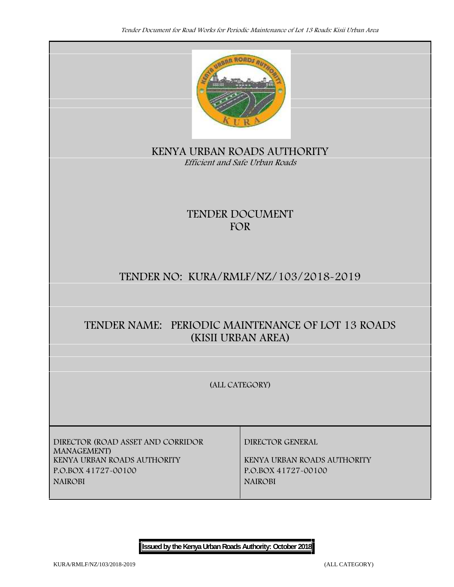

**KENYA URBAN ROADS AUTHORITY** *Efficient and Safe Urban Roads*

> **TENDER DOCUMENT FOR**

# **TENDER NO: KURA/RMLF/NZ/103/2018-2019**

# **TENDER NAME: PERIODIC MAINTENANCE OF LOT 13 ROADS (KISII URBAN AREA)**

**(ALL CATEGORY)**

**DIRECTOR (ROAD ASSET AND CORRIDOR MANAGEMENT) KENYA URBAN ROADS AUTHORITY KENYA URBAN ROADS AUTHORITY P.O.BOX 41727-00100 P.O.BOX 41727-00100 NAIROBI NAIROBI**

**DIRECTOR GENERAL**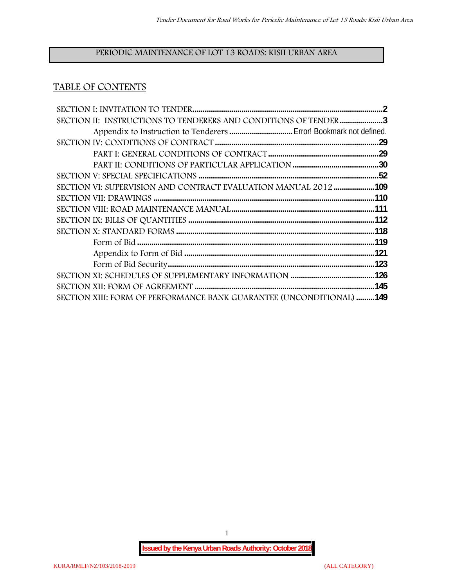## **PERIODIC MAINTENANCE OF LOT 13 ROADS: KISII URBAN AREA**

## **TABLE OF CONTENTS**

| SECTION II: INSTRUCTIONS TO TENDERERS AND CONDITIONS OF TENDER 3     |  |
|----------------------------------------------------------------------|--|
|                                                                      |  |
|                                                                      |  |
|                                                                      |  |
|                                                                      |  |
|                                                                      |  |
| SECTION VI: SUPERVISION AND CONTRACT EVALUATION MANUAL 2012109       |  |
|                                                                      |  |
|                                                                      |  |
|                                                                      |  |
|                                                                      |  |
|                                                                      |  |
|                                                                      |  |
|                                                                      |  |
|                                                                      |  |
|                                                                      |  |
| SECTION XIII: FORM OF PERFORMANCE BANK GUARANTEE (UNCONDITIONAL) 149 |  |

1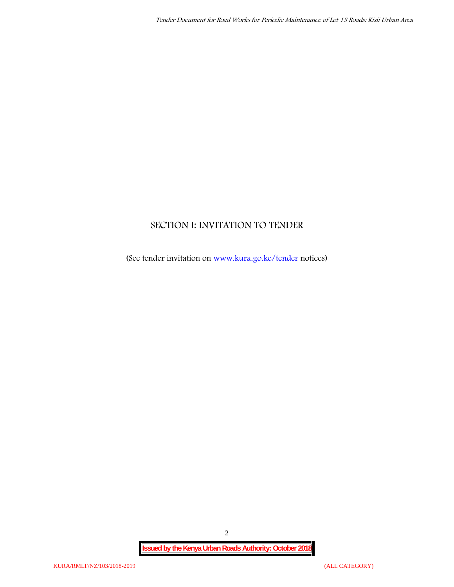# **SECTION I: INVITATION TO TENDER**

(See tender invitation on www.kura.go.ke/tender notices)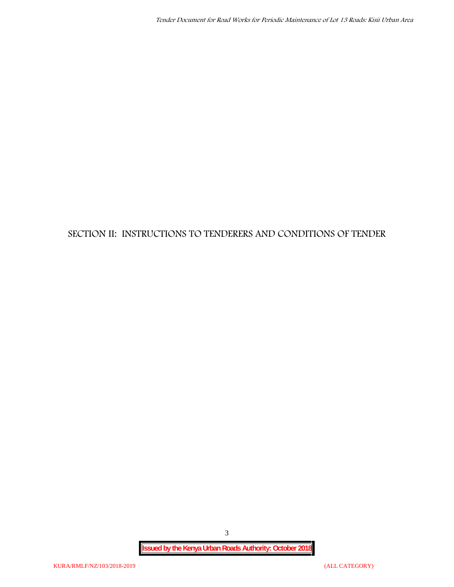## **SECTION II: INSTRUCTIONS TO TENDERERS AND CONDITIONS OF TENDER**

3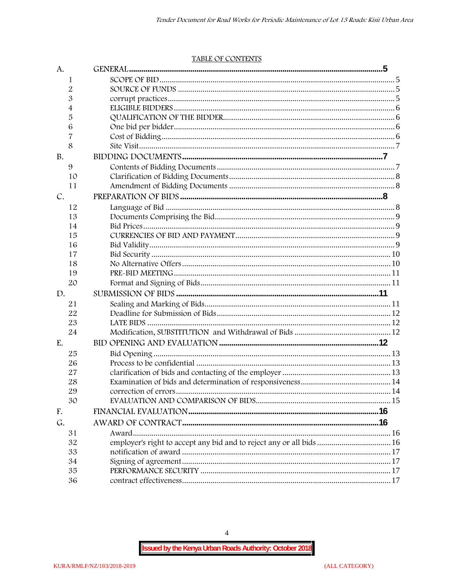#### TABLE OF CONTENTS

| A.        |                                                                      |  |
|-----------|----------------------------------------------------------------------|--|
| 1         |                                                                      |  |
| 2         |                                                                      |  |
| 3         |                                                                      |  |
| 4         |                                                                      |  |
| 5         |                                                                      |  |
| 6         |                                                                      |  |
| 7         |                                                                      |  |
| 8         |                                                                      |  |
| <b>B.</b> |                                                                      |  |
| 9         |                                                                      |  |
| 10        |                                                                      |  |
| 11        |                                                                      |  |
| C.        |                                                                      |  |
| 12        |                                                                      |  |
| 13        |                                                                      |  |
| 14        |                                                                      |  |
| 15        |                                                                      |  |
| 16        |                                                                      |  |
| 17        |                                                                      |  |
| 18        |                                                                      |  |
| 19        |                                                                      |  |
| 20        |                                                                      |  |
| D.        |                                                                      |  |
| 21        |                                                                      |  |
| 22        |                                                                      |  |
| 23        |                                                                      |  |
| 24        |                                                                      |  |
| E.        |                                                                      |  |
| 25        |                                                                      |  |
| 26        |                                                                      |  |
| 27        |                                                                      |  |
| 28        |                                                                      |  |
| 29        |                                                                      |  |
| 30        |                                                                      |  |
| F.        |                                                                      |  |
| G.        |                                                                      |  |
| 31        |                                                                      |  |
| 32        | employer's right to accept any bid and to reject any or all bids  16 |  |
| 33        |                                                                      |  |
| 34        |                                                                      |  |
| 35        |                                                                      |  |
| 36        |                                                                      |  |

 $\overline{4}$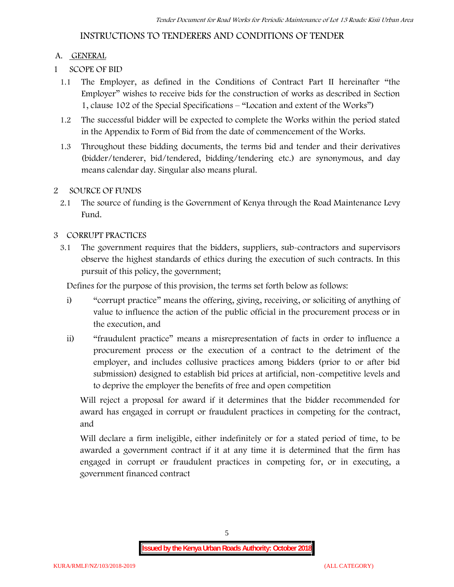## **INSTRUCTIONS TO TENDERERS AND CONDITIONS OF TENDER**

### **A. GENERAL**

- **1 SCOPE OF BID**
	- 1.1 The Employer, as defined in the Conditions of Contract Part II hereinafter "the Employer" wishes to receive bids for the construction of works as described in Section 1, clause 102 of the Special Specifications – "Location and extent of the Works")
	- 1.2 The successful bidder will be expected to complete the Works within the period stated in the Appendix to Form of Bid from the date of commencement of the Works.
	- 1.3 Throughout these bidding documents, the terms bid and tender and their derivatives (bidder/tenderer, bid/tendered, bidding/tendering etc.) are synonymous, and day means calendar day. Singular also means plural.

### **2 SOURCE OF FUNDS**

2.1 The source of funding is the Government of Kenya through the Road Maintenance Levy Fund.

### **3 CORRUPT PRACTICES**

3.1 The government requires that the bidders, suppliers, sub-contractors and supervisors observe the highest standards of ethics during the execution of such contracts. In this pursuit of this policy, the government;

Defines for the purpose of this provision, the terms set forth below as follows:

- i) "corrupt practice" means the offering, giving, receiving, or soliciting of anything of value to influence the action of the public official in the procurement process or in the execution, and
- ii) "fraudulent practice" means a misrepresentation of facts in order to influence a procurement process or the execution of a contract to the detriment of the employer, and includes collusive practices among bidders (prior to or after bid submission) designed to establish bid prices at artificial, non-competitive levels and to deprive the employer the benefits of free and open competition

Will reject a proposal for award if it determines that the bidder recommended for award has engaged in corrupt or fraudulent practices in competing for the contract, and

Will declare a firm ineligible, either indefinitely or for a stated period of time, to be awarded a government contract if it at any time it is determined that the firm has engaged in corrupt or fraudulent practices in competing for, or in executing, a government financed contract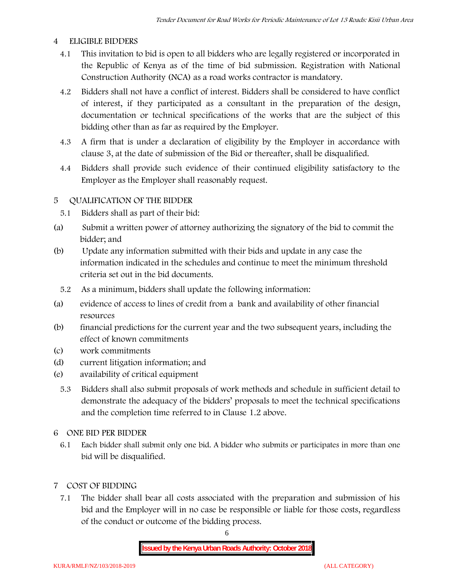### **4 ELIGIBLE BIDDERS**

- 4.1 This invitation to bid is open to all bidders who are legally registered or incorporated in the Republic of Kenya as of the time of bid submission. Registration with National Construction Authority (NCA) as a road works contractor is mandatory.
- 4.2 Bidders shall not have a conflict of interest. Bidders shall be considered to have conflict of interest, if they participated as a consultant in the preparation of the design, documentation or technical specifications of the works that are the subject of this bidding other than as far as required by the Employer.
- 4.3 A firm that is under a declaration of eligibility by the Employer in accordance with clause 3, at the date of submission of the Bid or thereafter, shall be disqualified.
- 4.4 Bidders shall provide such evidence of their continued eligibility satisfactory to the Employer as the Employer shall reasonably request.

### **5 QUALIFICATION OF THE BIDDER**

- 5.1 Bidders shall as part of their bid:
- (a) Submit a written power of attorney authorizing the signatory of the bid to commit the bidder; and
- (b) Update any information submitted with their bids and update in any case the information indicated in the schedules and continue to meet the minimum threshold criteria set out in the bid documents.
	- 5.2 As a minimum, bidders shall update the following information:
- (a) evidence of access to lines of credit from a bank and availability of other financial resources
- (b) financial predictions for the current year and the two subsequent years, including the effect of known commitments
- (c) work commitments
- (d) current litigation information; and
- (e) availability of critical equipment
	- 5.3 Bidders shall also submit proposals of work methods and schedule in sufficient detail to demonstrate the adequacy of the bidders' proposals to meet the technical specifications and the completion time referred to in Clause 1.2 above.
- **6 ONE BID PER BIDDER**
	- 6.1 Each bidder shall submit only one bid. A bidder who submits or participates in more than one bid will be disqualified.
- **7 COST OF BIDDING**
	- 7.1 The bidder shall bear all costs associated with the preparation and submission of his bid and the Employer will in no case be responsible or liable for those costs, regardless of the conduct or outcome of the bidding process.

6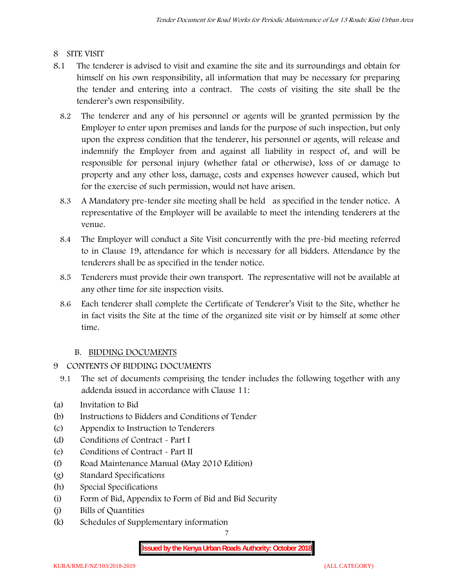### **8 SITE VISIT**

- 8.1 The tenderer is advised to visit and examine the site and its surroundings and obtain for himself on his own responsibility, all information that may be necessary for preparing the tender and entering into a contract. The costs of visiting the site shall be the tenderer's own responsibility.
	- 8.2 The tenderer and any of his personnel or agents will be granted permission by the Employer to enter upon premises and lands for the purpose of such inspection, but only upon the express condition that the tenderer, his personnel or agents, will release and indemnify the Employer from and against all liability in respect of, and will be responsible for personal injury (whether fatal or otherwise), loss of or damage to property and any other loss, damage, costs and expenses however caused, which but for the exercise of such permission, would not have arisen.
	- 8.3 A Mandatory pre-tender site meeting shall be held as specified in the tender notice. A representative of the Employer will be available to meet the intending tenderers at the venue.
	- 8.4 The Employer will conduct a Site Visit concurrently with the pre-bid meeting referred to in Clause 19, attendance for which is necessary for all bidders. Attendance by the tenderers shall be as specified in the tender notice.
	- 8.5 Tenderers must provide their own transport. The representative will not be available at any other time for site inspection visits.
	- 8.6 Each tenderer shall complete the Certificate of Tenderer's Visit to the Site, whether he in fact visits the Site at the time of the organized site visit or by himself at some other time.

### **B. BIDDING DOCUMENTS**

- **9 CONTENTS OF BIDDING DOCUMENTS**
	- 9.1 The set of documents comprising the tender includes the following together with any addenda issued in accordance with Clause 11:
- (a) Invitation to Bid
- (b) Instructions to Bidders and Conditions of Tender
- (c) Appendix to Instruction to Tenderers
- (d) Conditions of Contract Part I
- (e) Conditions of Contract Part II
- (f) Road Maintenance Manual (May 2010 Edition)
- (g) Standard Specifications
- (h) Special Specifications
- (i) Form of Bid, Appendix to Form of Bid and Bid Security
- (j) Bills of Quantities
- (k) Schedules of Supplementary information

7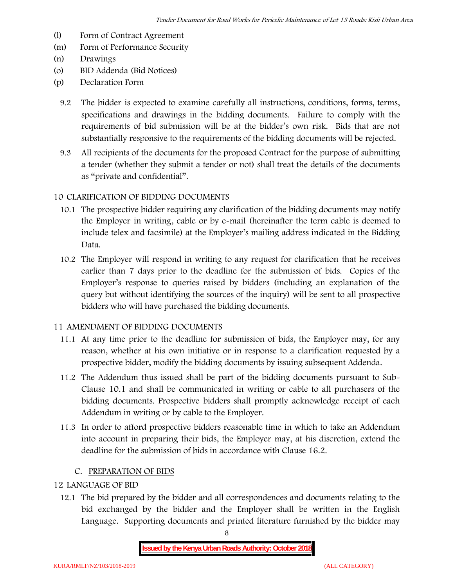- (l) Form of Contract Agreement
- (m) Form of Performance Security
- (n) Drawings
- (o) BID Addenda (Bid Notices)
- (p) Declaration Form
	- 9.2 The bidder is expected to examine carefully all instructions, conditions, forms, terms, specifications and drawings in the bidding documents. Failure to comply with the requirements of bid submission will be at the bidder's own risk. Bids that are not substantially responsive to the requirements of the bidding documents will be rejected.
	- 9.3 All recipients of the documents for the proposed Contract for the purpose of submitting a tender (whether they submit a tender or not) shall treat the details of the documents as "private and confidential".

### **10 CLARIFICATION OF BIDDING DOCUMENTS**

- 10.1 The prospective bidder requiring any clarification of the bidding documents may notify the Employer in writing, cable or by e-mail (hereinafter the term cable is deemed to include telex and facsimile) at the Employer's mailing address indicated in the Bidding Data.
- 10.2 The Employer will respond in writing to any request for clarification that he receives earlier than 7 days prior to the deadline for the submission of bids. Copies of the Employer's response to queries raised by bidders (including an explanation of the query but without identifying the sources of the inquiry) will be sent to all prospective bidders who will have purchased the bidding documents.

### **11 AMENDMENT OF BIDDING DOCUMENTS**

- 11.1 At any time prior to the deadline for submission of bids, the Employer may, for any reason, whether at his own initiative or in response to a clarification requested by a prospective bidder, modify the bidding documents by issuing subsequent Addenda.
- 11.2 The Addendum thus issued shall be part of the bidding documents pursuant to Sub- Clause 10.1 and shall be communicated in writing or cable to all purchasers of the bidding documents. Prospective bidders shall promptly acknowledge receipt of each Addendum in writing or by cable to the Employer.
- 11.3 In order to afford prospective bidders reasonable time in which to take an Addendum into account in preparing their bids, the Employer may, at his discretion, extend the deadline for the submission of bids in accordance with Clause 16.2.

### **C. PREPARATION OF BIDS**

### **12 LANGUAGE OF BID**

12.1 The bid prepared by the bidder and all correspondences and documents relating to the bid exchanged by the bidder and the Employer shall be written in the English Language. Supporting documents and printed literature furnished by the bidder may

8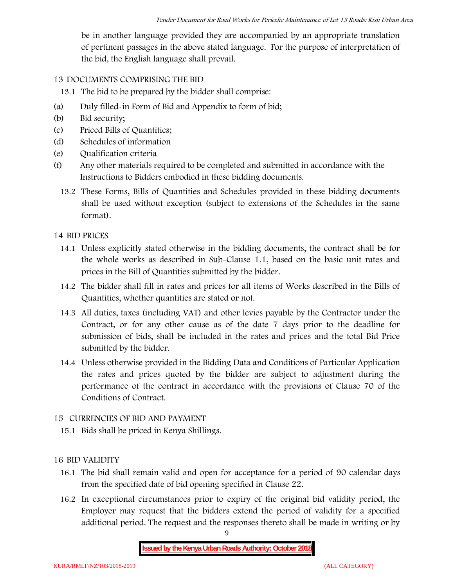be in another language provided they are accompanied by an appropriate translation of pertinent passages in the above stated language. For the purpose of interpretation of the bid, the English language shall prevail.

### **13 DOCUMENTS COMPRISING THE BID**

13.1 The bid to be prepared by the bidder shall comprise:

- (a) Duly filled-in Form of Bid and Appendix to form of bid;
- (b) Bid security;
- (c) Priced Bills of Quantities;
- (d) Schedules of information
- (e) Qualification criteria
- (f) Any other materials required to be completed and submitted in accordance with the Instructions to Bidders embodied in these bidding documents.
	- 13.2 These Forms, Bills of Quantities and Schedules provided in these bidding documents shall be used without exception (subject to extensions of the Schedules in the same format).

### **14 BID PRICES**

- 14.1 Unless explicitly stated otherwise in the bidding documents, the contract shall be for the whole works as described in Sub-Clause 1.1, based on the basic unit rates and prices in the Bill of Quantities submitted by the bidder.
- 14.2 The bidder shall fill in rates and prices for all items of Works described in the Bills of Quantities, whether quantities are stated or not.
- 14.3 All duties, taxes (including VAT) and other levies payable by the Contractor under the Contract, or for any other cause as of the date 7 days prior to the deadline for submission of bids, shall be included in the rates and prices and the total Bid Price submitted by the bidder.
- 14.4 Unless otherwise provided in the Bidding Data and Conditions of Particular Application the rates and prices quoted by the bidder are subject to adjustment during the performance of the contract in accordance with the provisions of Clause 70 of the Conditions of Contract.

### **15 CURRENCIES OF BID AND PAYMENT**

15.1 Bids shall be priced in Kenya Shillings.

### **16 BID VALIDITY**

- 16.1 The bid shall remain valid and open for acceptance for a period of 90 calendar days from the specified date of bid opening specified in Clause 22.
- 16.2 In exceptional circumstances prior to expiry of the original bid validity period, the Employer may request that the bidders extend the period of validity for a specified additional period. The request and the responses thereto shall be made in writing or by

9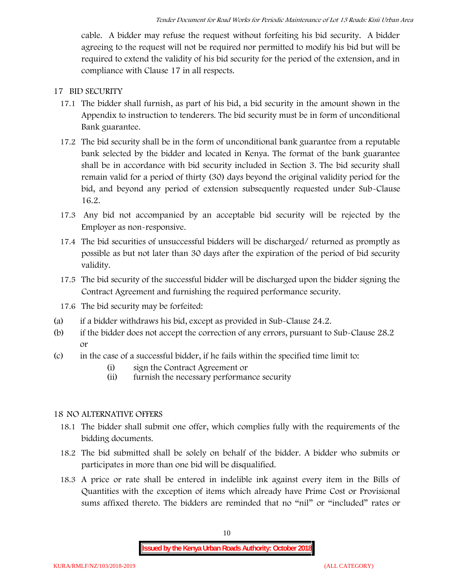cable. A bidder may refuse the request without forfeiting his bid security. A bidder agreeing to the request will not be required nor permitted to modify his bid but will be required to extend the validity of his bid security for the period of the extension, and in compliance with Clause 17 in all respects.

### **17 BID SECURITY**

- **17.1** The bidder shall furnish, as part of his bid, a bid security in the amount shown in the Appendix to instruction to tenderers. **The bid security must be in form of unconditional Bank guarantee.**
- 17.2 The bid security shall be in the form of unconditional bank guarantee from a reputable bank selected by the bidder and located in Kenya. The format of the bank guarantee shall be in accordance with bid security included in Section 3. The bid security shall remain valid for a period of thirty (30) days beyond the original validity period for the bid, and beyond any period of extension subsequently requested under Sub-Clause 16.2.
- 17.3 Any bid not accompanied by an acceptable bid security will be rejected by the Employer as non-responsive.
- 17.4 The bid securities of unsuccessful bidders will be discharged/ returned as promptly as possible as but not later than 30 days after the expiration of the period of bid security validity.
- 17.5 The bid security of the successful bidder will be discharged upon the bidder signing the Contract Agreement and furnishing the required performance security.
- 17.6 The bid security may be forfeited:
- (a) if a bidder withdraws his bid, except as provided in Sub-Clause 24.2.
- (b) if the bidder does not accept the correction of any errors, pursuant to Sub-Clause 28.2 or
- (c) in the case of a successful bidder, if he fails within the specified time limit to:
	- (i) sign the Contract Agreement or
	- (ii) furnish the necessary performance security

### **18 NO ALTERNATIVE OFFERS**

- 18.1 The bidder shall submit one offer, which complies fully with the requirements of the bidding documents.
- 18.2 The bid submitted shall be solely on behalf of the bidder. A bidder who submits or participates in more than one bid will be disqualified.
- 18.3 A price or rate shall be entered in indelible ink against every item in the Bills of Quantities with the exception of items which already have Prime Cost or Provisional sums affixed thereto. The bidders are reminded that no "nil" or "included" rates or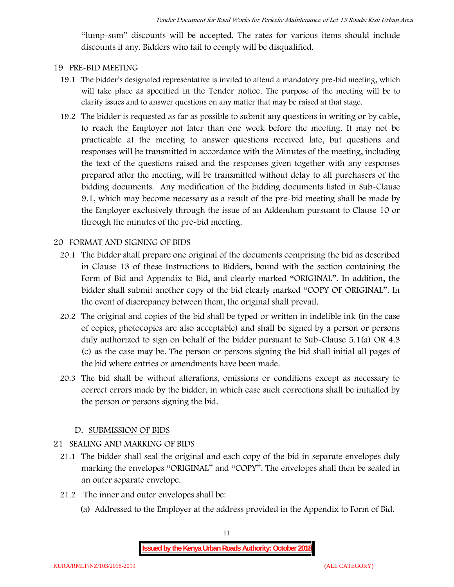"lump-sum" discounts will be accepted. The rates for various items should include discounts if any. Bidders who fail to comply will be disqualified.

#### **19 PRE-BID MEETING**

- 19.1 The bidder's designated representative is invited to attend a mandatory pre-bid meeting, which will take place as specified in the Tender notice. The purpose of the meeting will be to clarify issues and to answer questions on any matter that may be raised at that stage.
- 19.2 The bidder is requested as far as possible to submit any questions in writing or by cable, to reach the Employer not later than one week before the meeting. It may not be practicable at the meeting to answer questions received late, but questions and responses will be transmitted in accordance with the Minutes of the meeting, including the text of the questions raised and the responses given together with any responses prepared after the meeting, will be transmitted without delay to all purchasers of the bidding documents. Any modification of the bidding documents listed in Sub-Clause 9.1, which may become necessary as a result of the pre-bid meeting shall be made by the Employer exclusively through the issue of an Addendum pursuant to Clause 10 or through the minutes of the pre-bid meeting.

### **20 FORMAT AND SIGNING OF BIDS**

- 20.1 The bidder shall prepare one original of the documents comprising the bid as described in Clause 13 of these Instructions to Bidders, bound with the section containing the Form of Bid and Appendix to Bid, and clearly marked "ORIGINAL". In addition, the bidder shall submit another copy of the bid clearly marked "COPY OF ORIGINAL". In the event of discrepancy between them, the original shall prevail.
- 20.2 The original and copies of the bid shall be typed or written in indelible ink (in the case of copies, photocopies are also acceptable) and shall be signed by a person or persons duly authorized to sign on behalf of the bidder pursuant to Sub-Clause 5.1(a) OR 4.3 (c) as the case may be. The person or persons signing the bid shall initial all pages of the bid where entries or amendments have been made.
- 20.3 The bid shall be without alterations, omissions or conditions except as necessary to correct errors made by the bidder, in which case such corrections shall be initialled by the person or persons signing the bid.

### **D. SUBMISSION OF BIDS**

### **21 SEALING AND MARKING OF BIDS**

- 21.1 The bidder shall seal the original and each copy of the bid in separate envelopes duly marking the envelopes "ORIGINAL" and "COPY". The envelopes shall then be sealed in an outer separate envelope.
- 21.2 The inner and outer envelopes shall be:
	- (a) Addressed to the Employer at the address provided in the Appendix to Form of Bid.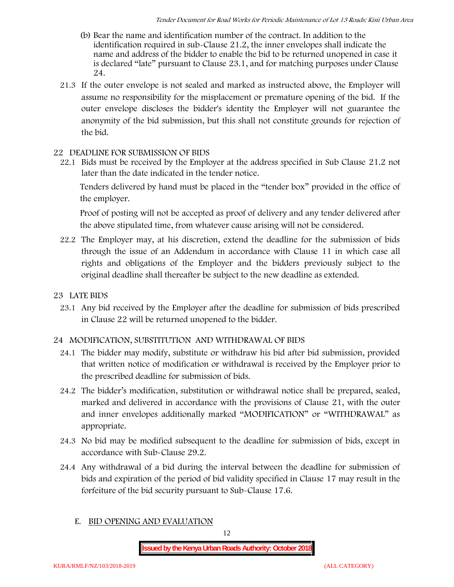- (b) Bear the name and identification number of the contract. In addition to the identification required in sub-Clause 21.2, the inner envelopes shall indicate the name and address of the bidder to enable the bid to be returned unopened in case it is declared "late" pursuant to Clause 23.1, and for matching purposes under Clause 24.
- 21.3 If the outer envelope is not sealed and marked as instructed above, the Employer will assume no responsibility for the misplacement or premature opening of the bid. If the outer envelope discloses the bidder's identity the Employer will not guarantee the anonymity of the bid submission, but this shall not constitute grounds for rejection of the bid.

### **22 DEADLINE FOR SUBMISSION OF BIDS**

22.1 Bids must be received by the Employer at the address specified in Sub Clause 21.2 not later than **the date indicated in the tender notice.**

Tenders delivered by hand must be placed in the "tender box" provided in the office of the employer.

Proof of posting will not be accepted as proof of delivery and any tender delivered after the above stipulated time, from whatever cause arising will not be considered.

- 22.2 The Employer may, at his discretion, extend the deadline for the submission of bids through the issue of an Addendum in accordance with Clause 11 in which case all rights and obligations of the Employer and the bidders previously subject to the original deadline shall thereafter be subject to the new deadline as extended.
- **23 LATE BIDS**
	- 23.1 Any bid received by the Employer after the deadline for submission of bids prescribed in Clause 22 will be returned unopened to the bidder.

### **24 MODIFICATION, SUBSTITUTION AND WITHDRAWAL OF BIDS**

- 24.1 The bidder may modify, substitute or withdraw his bid after bid submission, provided that written notice of modification or withdrawal is received by the Employer prior to the prescribed deadline for submission of bids.
- 24.2 The bidder's modification, substitution or withdrawal notice shall be prepared, sealed, marked and delivered in accordance with the provisions of Clause 21, with the outer and inner envelopes additionally marked "MODIFICATION" or "WITHDRAWAL" as appropriate.
- 24.3 No bid may be modified subsequent to the deadline for submission of bids, except in accordance with Sub-Clause 29.2.
- 24.4 Any withdrawal of a bid during the interval between the deadline for submission of bids and expiration of the period of bid validity specified in Clause 17 may result in the forfeiture of the bid security pursuant to Sub-Clause 17.6.
	- **E. BID OPENING AND EVALUATION**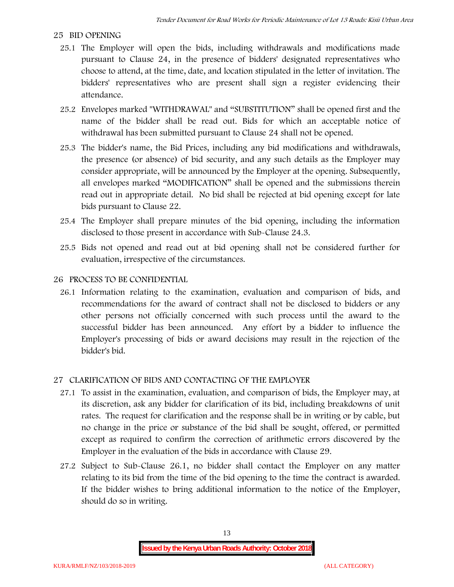### **25 BID OPENING**

- 25.1 The Employer will open the bids, including withdrawals and modifications made pursuant to Clause 24, in the presence of bidders' designated representatives who choose to attend, at the time, date, and location stipulated in the letter of invitation. The bidders' representatives who are present shall sign a register evidencing their attendance.
- 25.2 Envelopes marked "WITHDRAWAL" and "SUBSTITUTION" shall be opened first and the name of the bidder shall be read out. Bids for which an acceptable notice of withdrawal has been submitted pursuant to Clause 24 shall not be opened.
- 25.3 The bidder's name, the Bid Prices, including any bid modifications and withdrawals, the presence (or absence) of bid security, and any such details as the Employer may consider appropriate, will be announced by the Employer at the opening. Subsequently, all envelopes marked "MODIFICATION" shall be opened and the submissions therein read out in appropriate detail. No bid shall be rejected at bid opening except for late bids pursuant to Clause 22.
- 25.4 The Employer shall prepare minutes of the bid opening, including the information disclosed to those present in accordance with Sub-Clause 24.3.
- 25.5 Bids not opened and read out at bid opening shall not be considered further for evaluation, irrespective of the circumstances.

#### **26 PROCESS TO BE CONFIDENTIAL**

26.1 Information relating to the examination, evaluation and comparison of bids, and recommendations for the award of contract shall not be disclosed to bidders or any other persons not officially concerned with such process until the award to the successful bidder has been announced. Any effort by a bidder to influence the Employer's processing of bids or award decisions may result in the rejection of the bidder's bid.

### **27 CLARIFICATION OF BIDS AND CONTACTING OF THE EMPLOYER**

- 27.1 To assist in the examination, evaluation, and comparison of bids, the Employer may, at its discretion, ask any bidder for clarification of its bid, including breakdowns of unit rates. The request for clarification and the response shall be in writing or by cable, but no change in the price or substance of the bid shall be sought, offered, or permitted except as required to confirm the correction of arithmetic errors discovered by the Employer in the evaluation of the bids in accordance with Clause 29.
- 27.2 Subject to Sub-Clause 26.1, no bidder shall contact the Employer on any matter relating to its bid from the time of the bid opening to the time the contract is awarded. If the bidder wishes to bring additional information to the notice of the Employer, should do so in writing.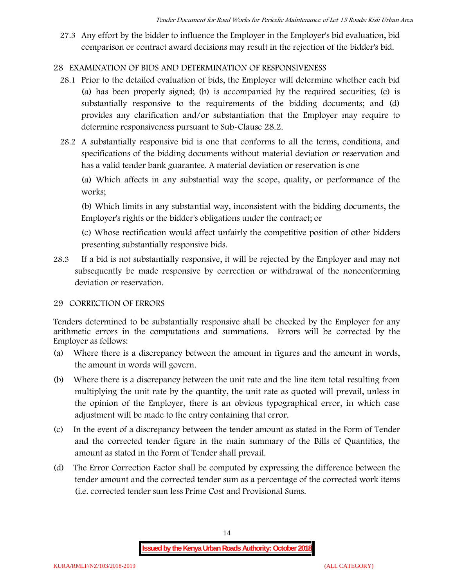27.3 Any effort by the bidder to influence the Employer in the Employer's bid evaluation, bid comparison or contract award decisions may result in the rejection of the bidder's bid.

### **28 EXAMINATION OF BIDS AND DETERMINATION OF RESPONSIVENESS**

- 28.1 Prior to the detailed evaluation of bids, the Employer will determine whether each bid (a) has been properly signed; (b) is accompanied by the required securities; (c) is substantially responsive to the requirements of the bidding documents; and (d) provides any clarification and/or substantiation that the Employer may require to determine responsiveness pursuant to Sub-Clause 28.2.
- 28.2 A substantially responsive bid is one that conforms to all the terms, conditions, and specifications of the bidding documents without material deviation or reservation and has a valid tender bank guarantee. A material deviation or reservation is one

(a) Which affects in any substantial way the scope, quality, or performance of the works;

(b) Which limits in any substantial way, inconsistent with the bidding documents, the Employer's rights or the bidder's obligations under the contract; or

(c) Whose rectification would affect unfairly the competitive position of other bidders presenting substantially responsive bids.

28.3 If a bid is not substantially responsive, it will be rejected by the Employer and may not subsequently be made responsive by correction or withdrawal of the nonconforming deviation or reservation.

### **29 CORRECTION OF ERRORS**

Tenders determined to be substantially responsive shall be checked by the Employer for any arithmetic errors in the computations and summations. Errors will be corrected by the Employer as follows:

- (a) Where there is a discrepancy between the amount in figures and the amount in words, the amount in words will govern.
- (b) Where there is a discrepancy between the unit rate and the line item total resulting from multiplying the unit rate by the quantity, the unit rate as quoted will prevail, unless in the opinion of the Employer, there is an obvious typographical error, in which case adjustment will be made to the entry containing that error.
- (c) In the event of a discrepancy between the tender amount as stated in the Form of Tender and the corrected tender figure in the main summary of the Bills of Quantities, the amount as stated in the Form of Tender shall prevail.
- (d) The Error Correction Factor shall be computed by expressing the difference between the tender amount and the corrected tender sum as a percentage of the corrected work items (i.e. corrected tender sum less Prime Cost and Provisional Sums.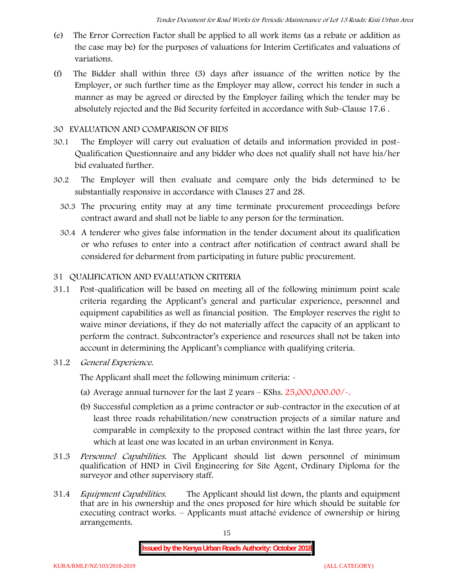- (e) The Error Correction Factor shall be applied to all work items (as a rebate or addition as the case may be) for the purposes of valuations for Interim Certificates and valuations of variations.
- (f) The Bidder shall within three (3) days after issuance of the written notice by the Employer, or such further time as the Employer may allow, correct his tender in such a manner as may be agreed or directed by the Employer failing which the tender may be absolutely rejected and the Bid Security forfeited in accordance with Sub-Clause 17.6 .

### **30 EVALUATION AND COMPARISON OF BIDS**

- 30.1 The Employer will carry out evaluation of details and information provided in post- Qualification Questionnaire and any bidder who does not qualify shall not have his/her bid evaluated further.
- 30.2 The Employer will then evaluate and compare only the bids determined to be substantially responsive in accordance with Clauses 27 and 28.
	- 30.3 The procuring entity may at any time terminate procurement proceedings before contract award and shall not be liable to any person for the termination.
	- 30.4 A tenderer who gives false information in the tender document about its qualification or who refuses to enter into a contract after notification of contract award shall be considered for debarment from participating in future public procurement.

### **31 QUALIFICATION AND EVALUATION CRITERIA**

- 31.1 Post-qualification will be based on meeting all of the following minimum point scale criteria regarding the Applicant's general and particular experience, personnel and equipment capabilities as well as financial position. The Employer reserves the right to waive minor deviations, if they do not materially affect the capacity of an applicant to perform the contract. Subcontractor's experience and resources shall not be taken into account in determining the Applicant's compliance with qualifying criteria.
- **31.2** *General Experience***.**

The Applicant shall meet the following minimum criteria: -

- (a) Average annual turnover for the last 2 years **KShs. 25,000,000.00/-.**
- (b) Successful completion as a prime contractor or sub-contractor in the execution of at least three roads rehabilitation/new construction projects of a similar nature and comparable in complexity to the proposed contract within the last three years, for which at least one was located in an urban environment in Kenya.
- 31.3 *Personnel Capabilities***.** The Applicant should list down personnel of minimum qualification of HND in Civil Engineering for Site Agent, Ordinary Diploma for the surveyor and other supervisory staff.
- 31.4 *Equipment Capabilities.* The Applicant should list down, the plants and equipment that are in his ownership and the ones proposed for hire which should be suitable for executing contract works. – Applicants must attaché evidence of ownership or hiring arrangements.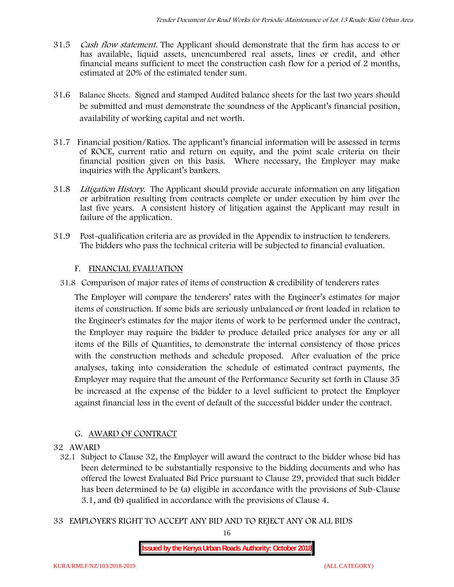- 31.5 *Cash flow statement.* The Applicant should demonstrate that the firm has access to or has available, liquid assets, unencumbered real assets, lines or credit, and other financial means sufficient to meet the construction cash flow for a period of 2 months, estimated at 20% of the estimated tender sum.
- 31.6 **Balance Sheets***.* Signed and stamped Audited balance sheets for the last two years should be submitted and must demonstrate the soundness of the Applicant's financial position, availability of working capital and net worth.
- 31.7 **Financial position/Ratios.** The applicant's financial information will be assessed in terms of ROCE, current ratio and return on equity, and the point scale criteria on their financial position given on this basis. Where necessary, the Employer may make inquiries with the Applicant's bankers.
- 31.8 *Litigation History.* The Applicant should provide accurate information on any litigation or arbitration resulting from contracts complete or under execution by him over the last five years. A consistent history of litigation against the Applicant may result in failure of the application.
- 31.9 Post-qualification criteria are as provided in the Appendix to instruction to tenderers. The bidders who pass the technical criteria will be subjected to financial evaluation.

### **F. FINANCIAL EVALUATION**

31.8 Comparison of major rates of items of construction & credibility of tenderers rates

The Employer will compare the tenderers' rates with the Engineer's estimates for major items of construction. If some bids are seriously unbalanced or front loaded in relation to the Engineer's estimates for the major items of work to be performed under the contract, the Employer may require the bidder to produce detailed price analyses for any or all items of the Bills of Quantities, to demonstrate the internal consistency of those prices with the construction methods and schedule proposed. After evaluation of the price analyses, taking into consideration the schedule of estimated contract payments, the Employer may require that the amount of the Performance Security set forth in Clause 35 be increased at the expense of the bidder to a level sufficient to protect the Employer against financial loss in the event of default of the successful bidder under the contract.

### **G. AWARD OF CONTRACT**

### **32 AWARD**

- 32.1 Subject to Clause 32, the Employer will award the contract to the bidder whose bid has been determined to be substantially responsive to the bidding documents and who has offered the lowest Evaluated Bid Price pursuant to Clause 29, provided that such bidder has been determined to be (a) eligible in accordance with the provisions of Sub-Clause 3.1, and (b) qualified in accordance with the provisions of Clause 4.
- **33 EMPLOYER'S RIGHT TO ACCEPT ANY BID AND TO REJECT ANY OR ALL BIDS**

16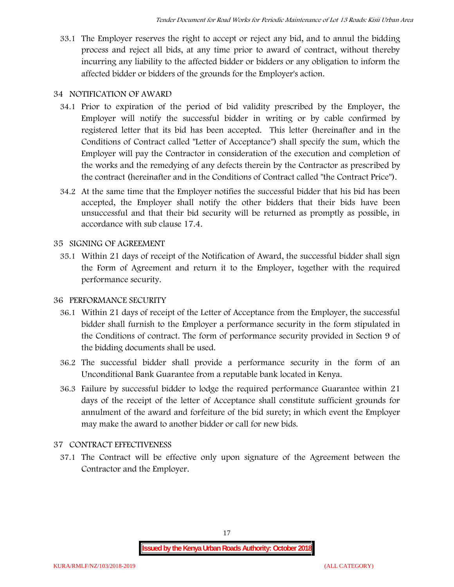33.1 The Employer reserves the right to accept or reject any bid, and to annul the bidding process and reject all bids, at any time prior to award of contract, without thereby incurring any liability to the affected bidder or bidders or any obligation to inform the affected bidder or bidders of the grounds for the Employer's action.

### **34 NOTIFICATION OF AWARD**

- 34.1 Prior to expiration of the period of bid validity prescribed by the Employer, the Employer will notify the successful bidder in writing or by cable confirmed by registered letter that its bid has been accepted. This letter (hereinafter and in the Conditions of Contract called "Letter of Acceptance") shall specify the sum, which the Employer will pay the Contractor in consideration of the execution and completion of the works and the remedying of any defects therein by the Contractor as prescribed by the contract (hereinafter and in the Conditions of Contract called "the Contract Price").
- 34.2 At the same time that the Employer notifies the successful bidder that his bid has been accepted, the Employer shall notify the other bidders that their bids have been unsuccessful and that their bid security will be returned as promptly as possible, in accordance with sub clause 17.4.

### **35 SIGNING OF AGREEMENT**

35.1 Within 21 days of receipt of the Notification of Award, the successful bidder shall sign the Form of Agreement and return it to the Employer, together with the required performance security.

## **36 PERFORMANCE SECURITY**

- 36.1 Within 21 days of receipt of the Letter of Acceptance from the Employer, the successful bidder shall furnish to the Employer a performance security in the form stipulated in the Conditions of contract. The form of performance security provided in Section 9 of the bidding documents shall be used.
- 36.2 The successful bidder shall provide a performance security in the form of an Unconditional Bank Guarantee from a reputable bank located in Kenya.
- 36.3 Failure by successful bidder to lodge the required performance Guarantee within 21 days of the receipt of the letter of Acceptance shall constitute sufficient grounds for annulment of the award and forfeiture of the bid surety; in which event the Employer may make the award to another bidder or call for new bids.

## **37 CONTRACT EFFECTIVENESS**

37.1 The Contract will be effective only upon signature of the Agreement between the Contractor and the Employer.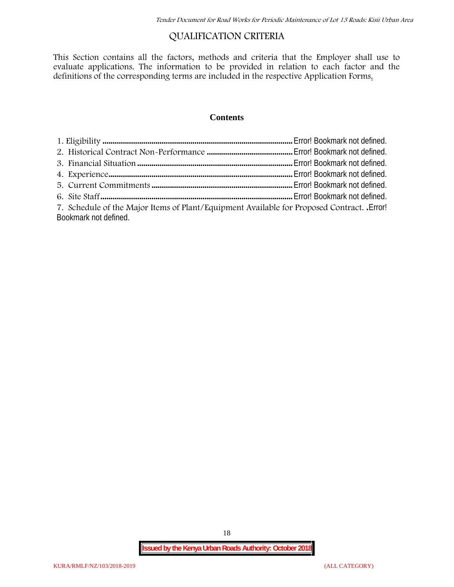## **QUALIFICATION CRITERIA**

This Section contains all the factors, methods and criteria that the Employer shall use to evaluate applications. The information to be provided in relation to each factor and the definitions of the corresponding terms are included in the respective Application Forms.

### **Contents**

| 7. Schedule of the Major Items of Plant/Equipment Available for Proposed Contract. Error! |  |
|-------------------------------------------------------------------------------------------|--|
| Bookmark not defined.                                                                     |  |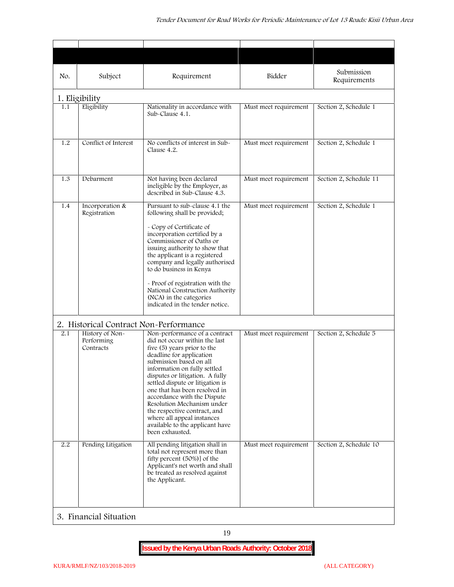| No. | Subject                                    | Requirement                                                                                                                                                                                                                                                                                                                                                                                                                                                                   | Bidder                | Submission<br>Requirements |
|-----|--------------------------------------------|-------------------------------------------------------------------------------------------------------------------------------------------------------------------------------------------------------------------------------------------------------------------------------------------------------------------------------------------------------------------------------------------------------------------------------------------------------------------------------|-----------------------|----------------------------|
|     | 1. Eligibility                             |                                                                                                                                                                                                                                                                                                                                                                                                                                                                               |                       |                            |
| 1.1 | Eligibility                                | Nationality in accordance with<br>Sub-Clause 4.1.                                                                                                                                                                                                                                                                                                                                                                                                                             | Must meet requirement | Section 2, Schedule 1      |
| 1.2 | Conflict of Interest                       | No conflicts of interest in Sub-<br>Clause 4.2.                                                                                                                                                                                                                                                                                                                                                                                                                               | Must meet requirement | Section 2, Schedule 1      |
| 1.3 | Debarment                                  | Not having been declared<br>ineligible by the Employer, as<br>described in Sub-Clause 4.3.                                                                                                                                                                                                                                                                                                                                                                                    | Must meet requirement | Section 2, Schedule 11     |
| 1.4 | Incorporation &<br>Registration            | Pursuant to sub-clause 4.1 the<br>following shall be provided;<br>- Copy of Certificate of<br>incorporation certified by a<br>Commissioner of Oaths or<br>issuing authority to show that<br>the applicant is a registered<br>company and legally authorised<br>to do business in Kenya<br>- Proof of registration with the<br>National Construction Authority<br>(NCA) in the categories<br>indicated in the tender notice.                                                   | Must meet requirement | Section 2, Schedule 1      |
|     | 2. Historical Contract Non-Performance     |                                                                                                                                                                                                                                                                                                                                                                                                                                                                               |                       |                            |
| 2.1 | History of Non-<br>Performing<br>Contracts | Non-performance of a contract<br>did not occur within the last<br>five (5) years prior to the<br>deadline for application<br>submission based on all<br>information on fully settled<br>disputes or litigation. A fully<br>settled dispute or litigation is<br>one that has been resolved in<br>accordance with the Dispute<br>Resolution Mechanism under<br>the respective contract, and<br>where all appeal instances<br>available to the applicant have<br>been exhausted. | Must meet requirement | Section 2, Schedule 5      |
| 2.2 | Pending Litigation                         | All pending litigation shall in<br>total not represent more than<br>fifty percent (50%)] of the<br>Applicant's net worth and shall<br>be treated as resolved against<br>the Applicant.                                                                                                                                                                                                                                                                                        | Must meet requirement | Section 2, Schedule 10     |
|     | 3. Financial Situation                     |                                                                                                                                                                                                                                                                                                                                                                                                                                                                               |                       |                            |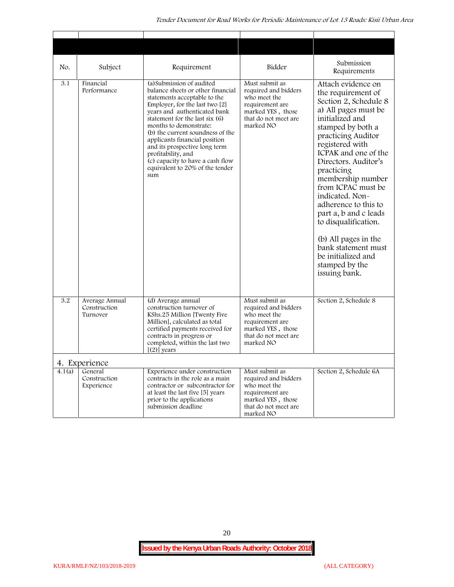| No.    | Subject                                    | Requirement                                                                                                                                                                                                                                                                                                                                                                                                                              | Bidder                                                                                                                              | Submission<br>Requirements                                                                                                                                                                                                                                                                                                                                                                                                                                                              |
|--------|--------------------------------------------|------------------------------------------------------------------------------------------------------------------------------------------------------------------------------------------------------------------------------------------------------------------------------------------------------------------------------------------------------------------------------------------------------------------------------------------|-------------------------------------------------------------------------------------------------------------------------------------|-----------------------------------------------------------------------------------------------------------------------------------------------------------------------------------------------------------------------------------------------------------------------------------------------------------------------------------------------------------------------------------------------------------------------------------------------------------------------------------------|
| 3.1    | Financial<br>Performance                   | (a) Submission of audited<br>balance sheets or other financial<br>statements acceptable to the<br>Employer, for the last two $[2]$<br>years and authenticated bank<br>statement for the last six (6)<br>months to demonstrate:<br>(b) the current soundness of the<br>applicants financial position<br>and its prospective long term<br>profitability, and<br>(c) capacity to have a cash flow<br>equivalent to 20% of the tender<br>sum | Must submit as<br>required and bidders<br>who meet the<br>requirement are<br>marked YES, those<br>that do not meet are<br>marked NO | Attach evidence on<br>the requirement of<br>Section 2, Schedule 8<br>a) All pages must be<br>initialized and<br>stamped by both a<br>practicing Auditor<br>registered with<br>ICPAK and one of the<br>Directors. Auditor's<br>practicing<br>membership number<br>from ICPAC must be<br>indicated. Non-<br>adherence to this to<br>part a, b and c leads<br>to disqualification.<br>(b) All pages in the<br>bank statement must<br>be initialized and<br>stamped by the<br>issuing bank. |
| 3.2    | Average Annual<br>Construction<br>Turnover | (d) Average annual<br>construction turnover of<br>KShs.25 Million [Twenty Five<br>Million], calculated as total<br>certified payments received for<br>contracts in progress or<br>completed, within the last two<br>$[2]$ years                                                                                                                                                                                                          | Must submit as<br>required and bidders<br>who meet the<br>requirement are<br>marked YES, those<br>that do not meet are<br>marked NO | Section 2, Schedule 8                                                                                                                                                                                                                                                                                                                                                                                                                                                                   |
|        | 4. Experience                              |                                                                                                                                                                                                                                                                                                                                                                                                                                          |                                                                                                                                     |                                                                                                                                                                                                                                                                                                                                                                                                                                                                                         |
| 4.1(a) | General<br>Construction<br>Experience      | Experience under construction<br>contracts in the role as a main<br>contractor or subcontractor for<br>at least the last five [5] years<br>prior to the applications<br>submission deadline                                                                                                                                                                                                                                              | Must submit as<br>required and bidders<br>who meet the<br>requirement are<br>marked YES, those<br>that do not meet are<br>marked NO | Section 2, Schedule 6A                                                                                                                                                                                                                                                                                                                                                                                                                                                                  |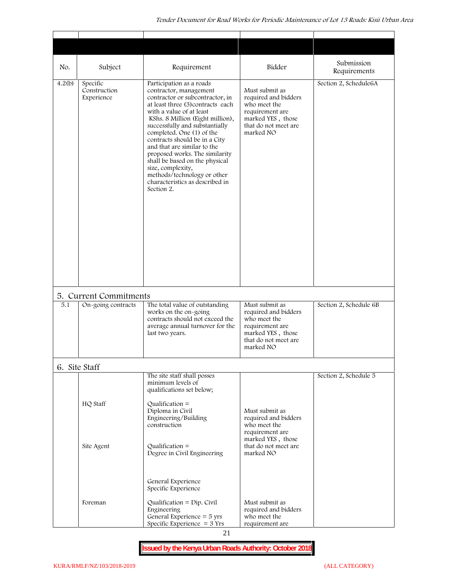| No.    | Subject                                | Requirement                                                                                                                                                                                                                                                                                                                                                                                                                                                                                        | Bidder                                                                                                                              | Submission<br>Requirements |
|--------|----------------------------------------|----------------------------------------------------------------------------------------------------------------------------------------------------------------------------------------------------------------------------------------------------------------------------------------------------------------------------------------------------------------------------------------------------------------------------------------------------------------------------------------------------|-------------------------------------------------------------------------------------------------------------------------------------|----------------------------|
| 4.2(b) | Specific<br>Construction<br>Experience | Participation as a roads<br>contractor, management<br>contractor or subcontractor, in<br>at least three (3) contracts each<br>with a value of at least<br>KShs. 8 Million (Eight million),<br>successfully and substantially<br>completed. One (1) of the<br>contracts should be in a City<br>and that are similar to the<br>proposed works. The similarity<br>shall be based on the physical<br>size, complexity,<br>methods/technology or other<br>characteristics as described in<br>Section 2. | Must submit as<br>required and bidders<br>who meet the<br>requirement are<br>marked YES, those<br>that do not meet are<br>marked NO | Section 2, Schedule6A      |
|        | 5. Current Commitments                 |                                                                                                                                                                                                                                                                                                                                                                                                                                                                                                    |                                                                                                                                     |                            |
| 5.1    | On-going contracts                     | The total value of outstanding<br>works on the on-going<br>contracts should not exceed the<br>average annual turnover for the<br>last two years.                                                                                                                                                                                                                                                                                                                                                   | Must submit as<br>required and bidders<br>who meet the<br>requirement are<br>marked YES, those<br>that do not meet are<br>marked NO | Section 2, Schedule 6B     |
|        | 6. Site Staff                          |                                                                                                                                                                                                                                                                                                                                                                                                                                                                                                    |                                                                                                                                     |                            |
|        | HQ Staff                               | The site staff shall posses<br>minimum levels of<br>qualifications set below;<br>Qualification $=$<br>Diploma in Civil<br>Engineering/Building<br>construction                                                                                                                                                                                                                                                                                                                                     | Must submit as<br>required and bidders<br>who meet the                                                                              | Section 2, Schedule 5      |
|        | Site Agent                             | $Qualification =$<br>Degree in Civil Engineering                                                                                                                                                                                                                                                                                                                                                                                                                                                   | requirement are<br>marked YES, those<br>that do not meet are<br>marked NO                                                           |                            |
|        | Foreman                                | General Experience<br>Specific Experience<br>Qualification = $Dip$ . Civil<br>Engineering<br>General Experience $=$ 5 yrs<br>Specific Experience $=$ 3 Yrs                                                                                                                                                                                                                                                                                                                                         | Must submit as<br>required and bidders<br>who meet the<br>requirement are                                                           |                            |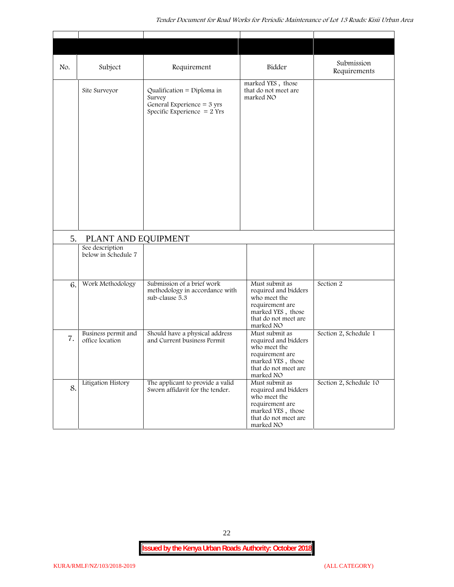| No. | Subject                                | Requirement                                                                                                   | Bidder                                                                                                                              | Submission<br>Requirements |
|-----|----------------------------------------|---------------------------------------------------------------------------------------------------------------|-------------------------------------------------------------------------------------------------------------------------------------|----------------------------|
|     | Site Surveyor                          | Qualification = Diploma in<br>Survey<br>General Experience = $3 \text{ yrs}$<br>Specific Experience $= 2$ Yrs | marked YES, those<br>that do not meet are<br>marked NO                                                                              |                            |
| 5.  | PLANT AND EQUIPMENT                    |                                                                                                               |                                                                                                                                     |                            |
|     | See description<br>below in Schedule 7 |                                                                                                               |                                                                                                                                     |                            |
| 6.  | Work Methodology                       | Submission of a brief work<br>methodology in accordance with<br>sub-clause 5.3                                | Must submit as<br>required and bidders<br>who meet the<br>requirement are<br>marked YES, those<br>that do not meet are<br>marked NO | Section 2                  |
| 7.  | Business permit and<br>office location | Should have a physical address<br>and Current business Permit                                                 | Must submit as<br>required and bidders<br>who meet the<br>requirement are<br>marked YES, those<br>that do not meet are<br>marked NO | Section 2, Schedule 1      |
| 8.  | Litigation History                     | The applicant to provide a valid<br>Sworn affidavit for the tender.                                           | Must submit as<br>required and bidders<br>who meet the<br>requirement are<br>marked YES, those<br>that do not meet are<br>marked NO | Section 2, Schedule 10     |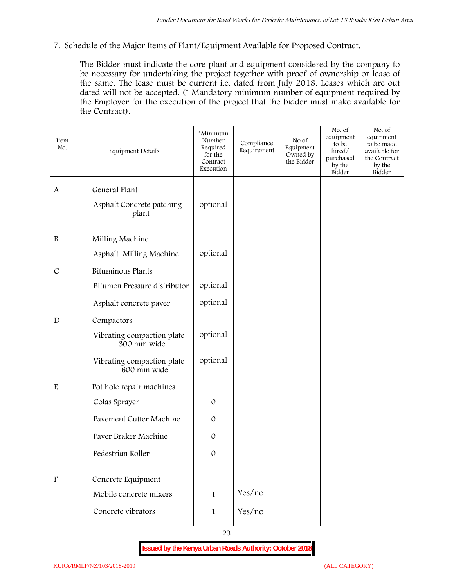**7. Schedule of the Major Items of Plant/Equipment Available for Proposed Contract.**

The Bidder must indicate the core plant and equipment considered by the company to be necessary for undertaking the project together with proof of ownership or lease of the same. The lease must be current i.e. dated from July 2018. Leases which are out dated will not be accepted. (\* Mandatory minimum number of equipment required by the Employer for the execution of the project that the bidder must make available for the Contract).

| Item<br>No.               | Equipment Details                         | *Minimum<br>Number<br>Required<br>for the<br>Contract<br>Execution | Compliance<br>Requirement | No of<br>Equipment<br>Owned by<br>the Bidder | No. of<br>equipment<br>to be<br>hired/<br>purchased<br>by the<br>Bidder | No. of<br>equipment<br>to be made<br>available for<br>the Contract<br>by the<br>Bidder |
|---------------------------|-------------------------------------------|--------------------------------------------------------------------|---------------------------|----------------------------------------------|-------------------------------------------------------------------------|----------------------------------------------------------------------------------------|
| A                         | General Plant                             |                                                                    |                           |                                              |                                                                         |                                                                                        |
|                           | Asphalt Concrete patching<br>plant        | optional                                                           |                           |                                              |                                                                         |                                                                                        |
| $\, {\bf B}$              | Milling Machine                           |                                                                    |                           |                                              |                                                                         |                                                                                        |
|                           | Asphalt Milling Machine                   | optional                                                           |                           |                                              |                                                                         |                                                                                        |
| $\mathcal{C}$             | Bituminous Plants                         |                                                                    |                           |                                              |                                                                         |                                                                                        |
|                           | Bitumen Pressure distributor              | optional                                                           |                           |                                              |                                                                         |                                                                                        |
|                           | Asphalt concrete paver                    | optional                                                           |                           |                                              |                                                                         |                                                                                        |
| $\mathbf D$               | Compactors                                |                                                                    |                           |                                              |                                                                         |                                                                                        |
|                           | Vibrating compaction plate<br>300 mm wide | optional                                                           |                           |                                              |                                                                         |                                                                                        |
|                           | Vibrating compaction plate<br>600 mm wide | optional                                                           |                           |                                              |                                                                         |                                                                                        |
| $\mathbf E$               | Pot hole repair machines                  |                                                                    |                           |                                              |                                                                         |                                                                                        |
|                           | Colas Sprayer                             | $\mathcal{O}$                                                      |                           |                                              |                                                                         |                                                                                        |
|                           | Pavement Cutter Machine                   | $\mathcal{O}$                                                      |                           |                                              |                                                                         |                                                                                        |
|                           | Paver Braker Machine                      | $\mathcal{O}$                                                      |                           |                                              |                                                                         |                                                                                        |
|                           | Pedestrian Roller                         | $\mathcal{O}$                                                      |                           |                                              |                                                                         |                                                                                        |
|                           |                                           |                                                                    |                           |                                              |                                                                         |                                                                                        |
| $\boldsymbol{\mathrm{F}}$ | Concrete Equipment                        |                                                                    |                           |                                              |                                                                         |                                                                                        |
|                           | Mobile concrete mixers                    | $\mathbf{1}$                                                       | Yes/no                    |                                              |                                                                         |                                                                                        |
|                           | Concrete vibrators                        | $\mathbf{1}$                                                       | Yes/no                    |                                              |                                                                         |                                                                                        |

23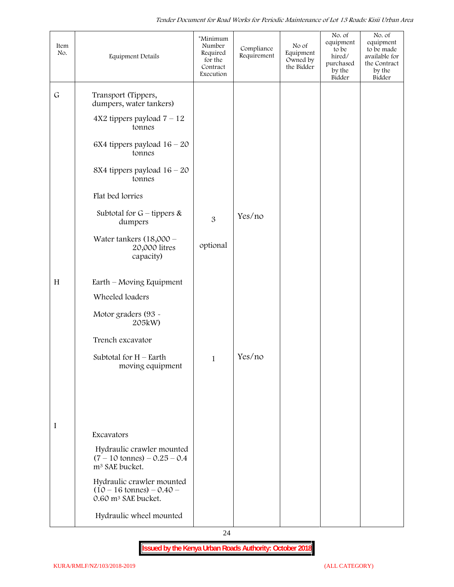| Tender Document for Road Works for Periodic Maintenance of Lot 13 Roads: Kisii Urban Area |
|-------------------------------------------------------------------------------------------|
|-------------------------------------------------------------------------------------------|

| Item<br>No.  | Equipment Details                                                                                 | *Minimum<br>Number<br>Required<br>for the<br>Contract<br>Execution | Compliance<br>Requirement | No of<br>Equipment<br>Owned by<br>the Bidder | No. of<br>equipment<br>to be<br>hired/<br>purchased<br>by the<br>Bidder | No. of<br>equipment<br>to be made<br>available for<br>the Contract<br>by the<br>Bidder |
|--------------|---------------------------------------------------------------------------------------------------|--------------------------------------------------------------------|---------------------------|----------------------------------------------|-------------------------------------------------------------------------|----------------------------------------------------------------------------------------|
| $\mathsf{G}$ | Transport (Tippers,<br>dumpers, water tankers)                                                    |                                                                    |                           |                                              |                                                                         |                                                                                        |
|              | $4X2$ tippers payload $7 - 12$<br>tonnes                                                          |                                                                    |                           |                                              |                                                                         |                                                                                        |
|              | 6X4 tippers payload $16 - 20$<br>tonnes                                                           |                                                                    |                           |                                              |                                                                         |                                                                                        |
|              | 8X4 tippers payload $16 - 20$<br>tonnes                                                           |                                                                    |                           |                                              |                                                                         |                                                                                        |
|              | Flat bed lorries                                                                                  |                                                                    |                           |                                              |                                                                         |                                                                                        |
|              | Subtotal for $G$ – tippers &<br>dumpers                                                           | $\overline{3}$                                                     | Yes/no                    |                                              |                                                                         |                                                                                        |
|              | Water tankers $(18,000 -$<br>20,000 litres<br>capacity)                                           | optional                                                           |                           |                                              |                                                                         |                                                                                        |
| H            | $Earth$ – Moving Equipment                                                                        |                                                                    |                           |                                              |                                                                         |                                                                                        |
|              | Wheeled loaders                                                                                   |                                                                    |                           |                                              |                                                                         |                                                                                        |
|              | Motor graders (93 -<br>205kW)                                                                     |                                                                    |                           |                                              |                                                                         |                                                                                        |
|              | Trench excavator                                                                                  |                                                                    |                           |                                              |                                                                         |                                                                                        |
|              | Subtotal for $H$ – Earth<br>moving equipment                                                      | $\mathbf{1}$                                                       | Yes/no                    |                                              |                                                                         |                                                                                        |
|              |                                                                                                   |                                                                    |                           |                                              |                                                                         |                                                                                        |
|              |                                                                                                   |                                                                    |                           |                                              |                                                                         |                                                                                        |
| I            | Excavators                                                                                        |                                                                    |                           |                                              |                                                                         |                                                                                        |
|              | Hydraulic crawler mounted<br>$(7 - 10 \text{ tonnes}) - 0.25 - 0.4$<br>m <sup>3</sup> SAE bucket. |                                                                    |                           |                                              |                                                                         |                                                                                        |
|              | Hydraulic crawler mounted<br>$(10 - 16 \text{ tonnes}) - 0.40$<br>0.60 m <sup>3</sup> SAE bucket. |                                                                    |                           |                                              |                                                                         |                                                                                        |
|              | Hydraulic wheel mounted                                                                           |                                                                    |                           |                                              |                                                                         |                                                                                        |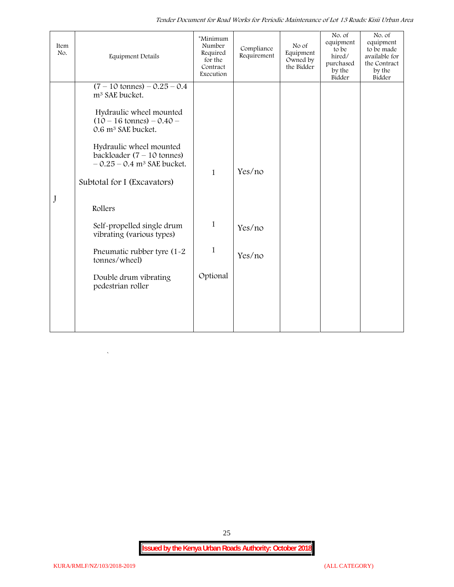*Tender Document for Road Works for Periodic Maintenance of Lot 13 Roads: Kisii Urban Area*

| Item<br>No. | <b>Equipment Details</b>                                                                                                                                                                                                                                                                                                                                                                                            | *Minimum<br>Number<br>Required<br>for the<br>Contract<br>Execution | Compliance<br>Requirement  | No of<br>Equipment<br>Owned by<br>the Bidder | No. of<br>equipment<br>to be<br>hired/<br>purchased<br>by the<br>Bidder | No. of<br>equipment<br>to be made<br>available for<br>the Contract<br>by the<br>Bidder |
|-------------|---------------------------------------------------------------------------------------------------------------------------------------------------------------------------------------------------------------------------------------------------------------------------------------------------------------------------------------------------------------------------------------------------------------------|--------------------------------------------------------------------|----------------------------|----------------------------------------------|-------------------------------------------------------------------------|----------------------------------------------------------------------------------------|
| J           | $(7 - 10 \text{ tonnes}) - 0.25 - 0.4$<br>m <sup>3</sup> SAE bucket.<br>Hydraulic wheel mounted<br>$(10 - 16 \text{ tonnes}) - 0.40 -$<br>0.6 m <sup>3</sup> SAE bucket.<br>Hydraulic wheel mounted<br>backloader $(7 - 10$ tonnes)<br>$-0.25 - 0.4$ m <sup>3</sup> SAE bucket.<br>Subtotal for I (Excavators)<br>Rollers<br>Self-propelled single drum<br>vibrating (various types)<br>Pneumatic rubber tyre (1-2) | $\mathbf{1}$<br>$\mathbf{1}$<br>1                                  | Yes/no<br>Yes/no<br>Yes/no |                                              |                                                                         |                                                                                        |
|             | tonnes/wheel)<br>Double drum vibrating<br>pedestrian roller                                                                                                                                                                                                                                                                                                                                                         | Optional                                                           |                            |                                              |                                                                         |                                                                                        |

25

 $\ddot{\phantom{0}}$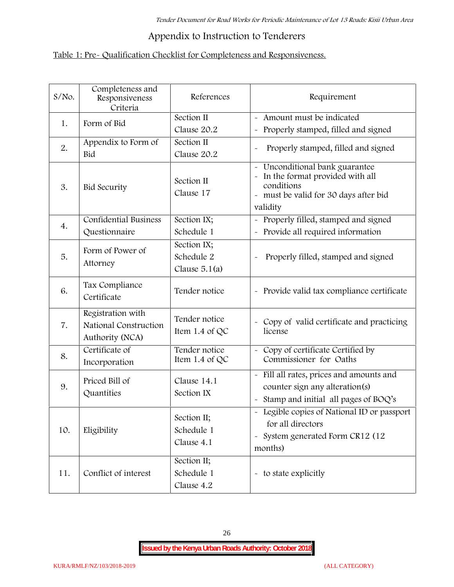# **Appendix to Instruction to Tenderers**

## **Table 1: Pre- Qualification Checklist for Completeness and Responsiveness.**

| $S/NO$ . | Completeness and<br>Responsiveness<br>Criteria                | References                                   | Requirement                                                                                                                        |
|----------|---------------------------------------------------------------|----------------------------------------------|------------------------------------------------------------------------------------------------------------------------------------|
| 1.       | Form of Bid                                                   | Section II<br>Clause 20.2                    | - Amount must be indicated<br>Properly stamped, filled and signed<br>$\tilde{\phantom{a}}$                                         |
| 2.       | Appendix to Form of<br>Bid                                    | Section II<br>Clause 20.2                    | Properly stamped, filled and signed                                                                                                |
| 3.       | <b>Bid Security</b>                                           | Section II<br>Clause 17                      | Unconditional bank guarantee<br>In the format provided with all<br>conditions<br>- must be valid for 30 days after bid<br>validity |
| 4.       | <b>Confidential Business</b><br>Questionnaire                 | Section IX;<br>Schedule 1                    | Properly filled, stamped and signed<br>Provide all required information                                                            |
| 5.       | Form of Power of<br>Attorney                                  | Section IX;<br>Schedule 2<br>Clause $5.1(a)$ | Properly filled, stamped and signed                                                                                                |
| 6.       | Tax Compliance<br>Certificate                                 | Tender notice                                | - Provide valid tax compliance certificate                                                                                         |
| 7.       | Registration with<br>National Construction<br>Authority (NCA) | Tender notice<br>Item 1.4 of QC              | - Copy of valid certificate and practicing<br>license                                                                              |
| 8.       | Certificate of<br>Incorporation                               | Tender notice<br>Item 1.4 of $QC$            | - Copy of certificate Certified by<br>Commissioner for Oaths                                                                       |
| 9.       | Priced Bill of<br>Quantities                                  | Clause 14.1<br>Section IX                    | - Fill all rates, prices and amounts and<br>counter sign any alteration(s)<br>Stamp and initial all pages of BOQ's                 |
| 10.      | Eligibility                                                   | Section II;<br>Schedule 1<br>Clause 4.1      | - Legible copies of National ID or passport<br>for all directors<br>- System generated Form CR12 (12<br>months)                    |
| 11.      | Conflict of interest                                          | Section II;<br>Schedule 1<br>Clause 4.2      | - to state explicitly                                                                                                              |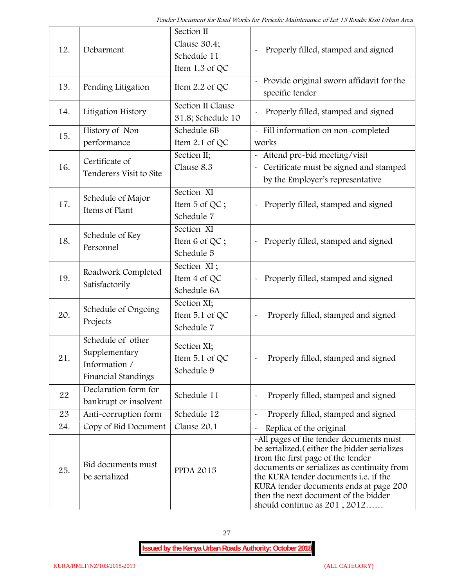| 12. | Debarment                                                                  | Section II<br>Clause 30.4;<br>Schedule 11<br>Item 1.3 of QC | Properly filled, stamped and signed                                                                                                                                                                                                                                                                                                            |
|-----|----------------------------------------------------------------------------|-------------------------------------------------------------|------------------------------------------------------------------------------------------------------------------------------------------------------------------------------------------------------------------------------------------------------------------------------------------------------------------------------------------------|
| 13. | Pending Litigation                                                         | Item $2.2$ of QC                                            | Provide original sworn affidavit for the<br>specific tender                                                                                                                                                                                                                                                                                    |
| 14. | Litigation History                                                         | Section II Clause<br>31.8; Schedule 10                      | Properly filled, stamped and signed                                                                                                                                                                                                                                                                                                            |
| 15. | History of Non<br>performance                                              | Schedule 6B<br>Item $2.1$ of QC                             | - Fill information on non-completed<br>works                                                                                                                                                                                                                                                                                                   |
| 16. | Certificate of<br>Tenderers Visit to Site                                  | Section II;<br>Clause 8.3                                   | - Attend pre-bid meeting/visit<br>- Certificate must be signed and stamped<br>by the Employer's representative                                                                                                                                                                                                                                 |
| 17. | Schedule of Major<br>Items of Plant                                        | Section XI<br>Item 5 of QC;<br>Schedule 7                   | Properly filled, stamped and signed                                                                                                                                                                                                                                                                                                            |
| 18. | Schedule of Key<br>Personnel                                               | Section XI<br>Item 6 of QC;<br>Schedule 5                   | Properly filled, stamped and signed                                                                                                                                                                                                                                                                                                            |
| 19. | Roadwork Completed<br>Satisfactorily                                       | Section XI;<br>Item 4 of QC<br>Schedule 6A                  | Properly filled, stamped and signed<br>$\tilde{\phantom{a}}$                                                                                                                                                                                                                                                                                   |
| 20. | Schedule of Ongoing<br>Projects                                            | Section XI;<br>Item 5.1 of QC<br>Schedule 7                 | Properly filled, stamped and signed                                                                                                                                                                                                                                                                                                            |
| 21  | Schedule of other<br>Supplementary<br>Information /<br>Financial Standings | Section XI;<br>Item $5.1$ of QC<br>Schedule 9               | Properly filled, stamped and signed                                                                                                                                                                                                                                                                                                            |
| 22  | Declaration form for<br>bankrupt or insolvent                              | Schedule 11                                                 | Properly filled, stamped and signed                                                                                                                                                                                                                                                                                                            |
| 23  | Anti-corruption form                                                       | Schedule 12                                                 | Properly filled, stamped and signed                                                                                                                                                                                                                                                                                                            |
| 24. | Copy of Bid Document                                                       | Clause 20.1                                                 | Replica of the original                                                                                                                                                                                                                                                                                                                        |
| 25. | Bid documents must<br>be serialized                                        | <b>PPDA 2015</b>                                            | -All pages of the tender documents must<br>be serialized. (either the bidder serializes<br>from the first page of the tender<br>documents or serializes as continuity from<br>the KURA tender documents <i>i.e.</i> if the<br>KURA tender documents ends at page 200<br>then the next document of the bidder<br>should continue as $201, 2012$ |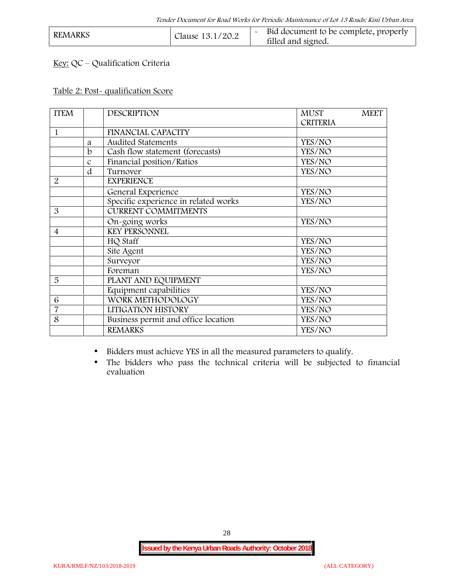| <b>REMARKS</b> | Clause 13.1/20.2 | Bid document to be complete, properly<br>filled and signed. |  |
|----------------|------------------|-------------------------------------------------------------|--|
|                |                  |                                                             |  |

### **Key:** QC – Qualification Criteria

#### **Table 2: Post- qualification Score**

| <b>ITEM</b>    |               | <b>DESCRIPTION</b>                   | <b>MEET</b><br><b>MUST</b><br><b>CRITERIA</b> |
|----------------|---------------|--------------------------------------|-----------------------------------------------|
| 1              |               | <b>FINANCIAL CAPACITY</b>            |                                               |
|                | a             | <b>Audited Statements</b>            | YES/NO                                        |
|                | b             | Cash flow statement (forecasts)      | YES/NO                                        |
|                | $\mathcal{C}$ | Financial position/Ratios            | YES/NO                                        |
|                | d             | Turnover                             | YES/NO                                        |
| $\overline{2}$ |               | <b>EXPERIENCE</b>                    |                                               |
|                |               | General Experience                   | YES/NO                                        |
|                |               | Specific experience in related works | YES/NO                                        |
| 3              |               | <b>CURRENT COMMITMENTS</b>           |                                               |
|                |               | On-going works                       | YES/NO                                        |
| $\overline{4}$ |               | <b>KEY PERSONNEL</b>                 |                                               |
|                |               | HQ Staff                             | YES/NO                                        |
|                |               | Site Agent                           | YES/NO                                        |
|                |               | Surveyor                             | YES/NO                                        |
|                |               | Foreman                              | YES/NO                                        |
| 5              |               | PLANT AND EQUIPMENT                  |                                               |
|                |               | Equipment capabilities               | YES/NO                                        |
| 6              |               | WORK METHODOLOGY                     | YES/NO                                        |
| $\overline{7}$ |               | LITIGATION HISTORY                   | YES/NO                                        |
| 8              |               | Business permit and office location  | YES/NO                                        |
|                |               | <b>REMARKS</b>                       | YES/NO                                        |

Bidders must achieve YES in all the measured parameters to qualify.

 The bidders who pass the technical criteria will be subjected to financial evaluation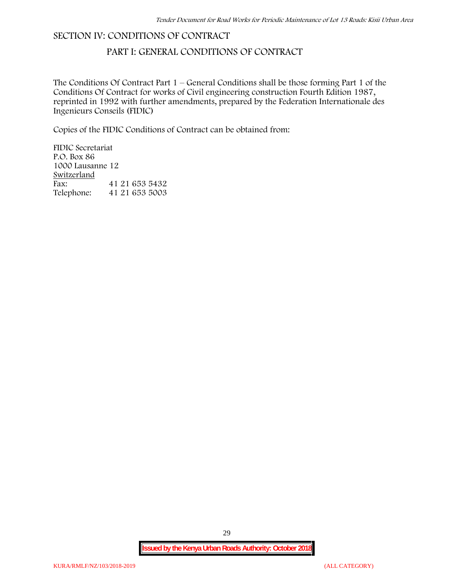### **SECTION IV: CONDITIONS OF CONTRACT**

### **PART I: GENERAL CONDITIONS OF CONTRACT**

The Conditions Of Contract Part 1 – General Conditions shall be those forming Part 1 of the Conditions Of Contract for works of Civil engineering construction Fourth Edition 1987, reprinted in 1992 with further amendments, prepared by the Federation Internationale des Ingenieurs Conseils (FIDIC)

Copies of the FIDIC Conditions of Contract can be obtained from:

FIDIC Secretariat P.O. Box 86 1000 Lausanne 12 **Switzerland** Fax: 41 21 653 5432 Telephone: 41 21 653 5003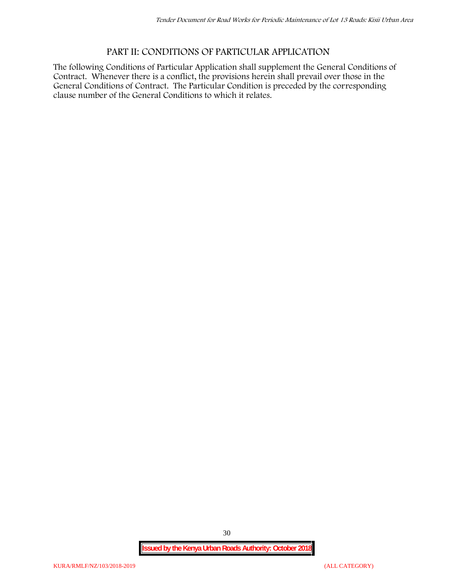### **PART II: CONDITIONS OF PARTICULAR APPLICATION**

The following Conditions of Particular Application shall supplement the General Conditions of Contract. Whenever there is a conflict, the provisions herein shall prevail over those in the General Conditions of Contract. The Particular Condition is preceded by the corresponding clause number of the General Conditions to which it relates.

**Issued by the Kenya Urban Roads Authority: October 2018**

30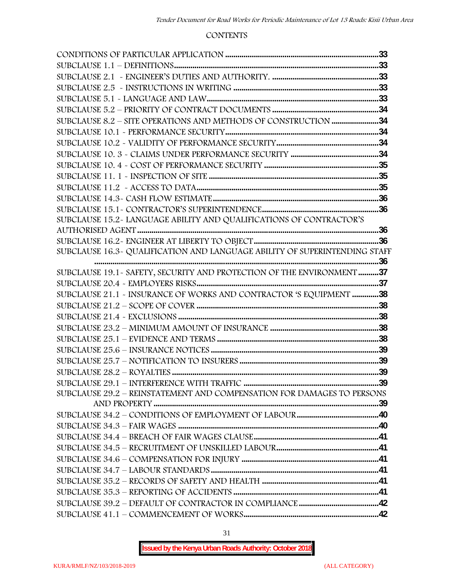#### **CONTENTS**

| SUBCLAUSE 15.2-LANGUAGE ABILITY AND QUALIFICATIONS OF CONTRACTOR'S         |  |
|----------------------------------------------------------------------------|--|
|                                                                            |  |
|                                                                            |  |
| SUBCLAUSE 16.3- QUALIFICATION AND LANGUAGE ABILITY OF SUPERINTENDING STAFF |  |
|                                                                            |  |
| SUBCLAUSE 19.1 - SAFETY, SECURITY AND PROTECTION OF THE ENVIRONMENT 37     |  |
|                                                                            |  |
| SUBCLAUSE 21.1 - INSURANCE OF WORKS AND CONTRACTOR 'S EQUIPMENT 38         |  |
|                                                                            |  |
|                                                                            |  |
|                                                                            |  |
|                                                                            |  |
|                                                                            |  |
|                                                                            |  |
|                                                                            |  |
|                                                                            |  |
| SUBCLAUSE 29.2 - REINSTATEMENT AND COMPENSATION FOR DAMAGES TO PERSONS     |  |
|                                                                            |  |
|                                                                            |  |
|                                                                            |  |
|                                                                            |  |
|                                                                            |  |
|                                                                            |  |
|                                                                            |  |
|                                                                            |  |
|                                                                            |  |
|                                                                            |  |
|                                                                            |  |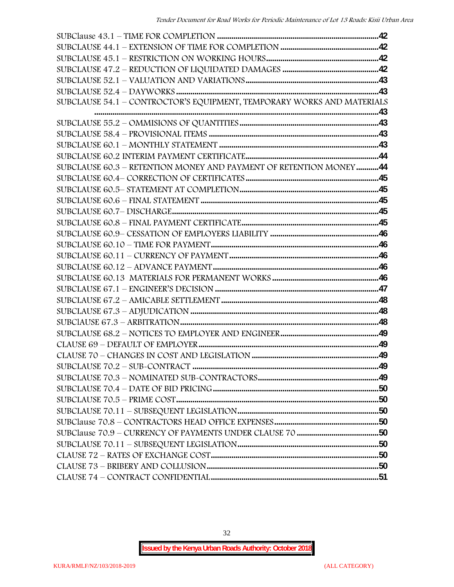| SUBCLAUSE 54.1 - CONTROCTOR'S EQUIPMENT, TEMPORARY WORKS AND MATERIALS |  |
|------------------------------------------------------------------------|--|
|                                                                        |  |
|                                                                        |  |
|                                                                        |  |
|                                                                        |  |
|                                                                        |  |
| SUBCLAUSE 60.3 - RETENTION MONEY AND PAYMENT OF RETENTION MONEY44      |  |
|                                                                        |  |
|                                                                        |  |
|                                                                        |  |
|                                                                        |  |
|                                                                        |  |
|                                                                        |  |
|                                                                        |  |
|                                                                        |  |
|                                                                        |  |
|                                                                        |  |
|                                                                        |  |
|                                                                        |  |
|                                                                        |  |
|                                                                        |  |
|                                                                        |  |
|                                                                        |  |
|                                                                        |  |
|                                                                        |  |
|                                                                        |  |
|                                                                        |  |
|                                                                        |  |
|                                                                        |  |
|                                                                        |  |
|                                                                        |  |
|                                                                        |  |
|                                                                        |  |
|                                                                        |  |
|                                                                        |  |

32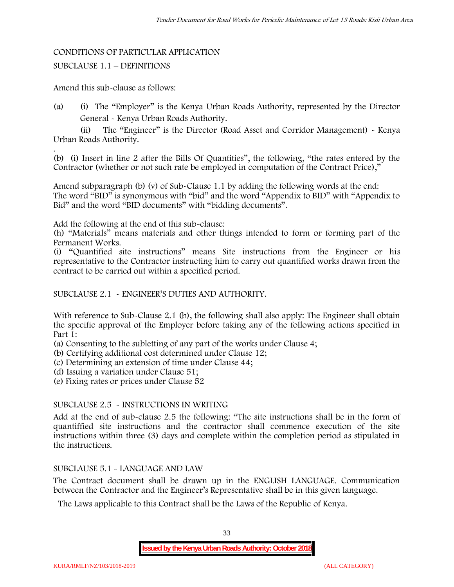#### CONDITIONS OF PARTICULAR APPLICATION

#### SUBCLAUSE 1.1 – DEFINITIONS

Amend this sub-clause as follows:

(a) (i) The "Employer" is the Kenya Urban Roads Authority, represented by the Director General - Kenya Urban Roads Authority.

(ii) The "Engineer" is the Director (Road Asset and Corridor Management) - Kenya Urban Roads Authority.

.(b) (i) Insert in line 2 after the Bills Of Quantities", the following, "the rates entered by the Contractor (whether or not such rate be employed in computation of the Contract Price),"

Amend subparagraph (b) (v) of Sub-Clause 1.1 by adding the following words at the end: The word "BID" is synonymous with "bid" and the word "Appendix to BID" with "Appendix to Bid" and the word "BID documents" with "bidding documents".

Add the following at the end of this sub-clause:

(h) "Materials" means materials and other things intended to form or forming part of the Permanent Works.

(i) "Quantified site instructions" means Site instructions from the Engineer or his representative to the Contractor instructing him to carry out quantified works drawn from the contract to be carried out within a specified period.

#### SUBCLAUSE 2.1 - ENGINEER'S DUTIES AND AUTHORITY.

With reference to Sub-Clause 2.1 (b), the following shall also apply: The Engineer shall obtain the specific approval of the Employer before taking any of the following actions specified in Part 1:

(a) Consenting to the subletting of any part of the works under Clause 4;

(b) Certifying additional cost determined under Clause 12;

(c) Determining an extension of time under Clause 44;

(d) Issuing a variation under Clause 51;

(e) Fixing rates or prices under Clause 52

#### SUBCLAUSE 2.5 - INSTRUCTIONS IN WRITING

Add at the end of sub-clause 2.5 the following: "The site instructions shall be in the form of quantiffied site instructions and the contractor shall commence execution of the site instructions within three (3) days and complete within the completion period as stipulated in the instructions.

### SUBCLAUSE 5.1 - LANGUAGE AND LAW

The Contract document shall be drawn up in the ENGLISH LANGUAGE. Communication between the Contractor and the Engineer's Representative shall be in this given language.

The Laws applicable to this Contract shall be the Laws of the Republic of Kenya.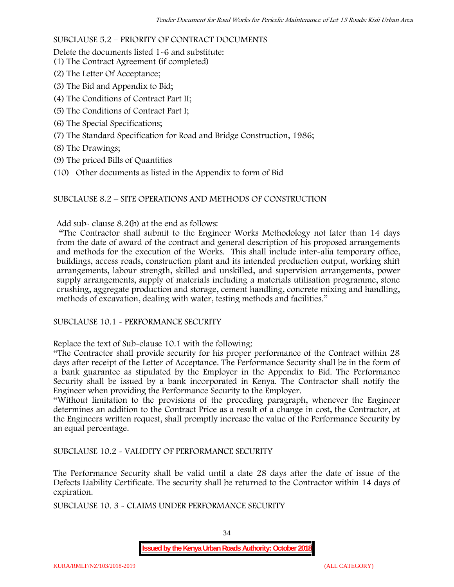### SUBCLAUSE 5.2 – PRIORITY OF CONTRACT DOCUMENTS

Delete the documents listed 1-6 and substitute:

- (1) The Contract Agreement (if completed)
- (2) The Letter Of Acceptance;
- (3) The Bid and Appendix to Bid;
- (4) The Conditions of Contract Part II;
- (5) The Conditions of Contract Part I;
- (6) The Special Specifications;
- (7) The Standard Specification for Road and Bridge Construction, 1986;
- (8) The Drawings;
- (9) The priced Bills of Quantities
- (10) Other documents as listed in the Appendix to form of Bid

### SUBCLAUSE 8.2 – SITE OPERATIONS AND METHODS OF CONSTRUCTION

Add sub- clause 8.2(b) at the end as follows:

"The Contractor shall submit to the Engineer Works Methodology not later than 14 days from the date of award of the contract and general description of his proposed arrangements and methods for the execution of the Works. This shall include inter-alia temporary office, buildings, access roads, construction plant and its intended production output, working shift arrangements, labour strength, skilled and unskilled, and supervision arrangements, power supply arrangements, supply of materials including a materials utilisation programme, stone crushing, aggregate production and storage, cement handling, concrete mixing and handling, methods of excavation, dealing with water, testing methods and facilities."

### SUBCLAUSE 10.1 - PERFORMANCE SECURITY

Replace the text of Sub-clause 10.1 with the following:

"The Contractor shall provide security for his proper performance of the Contract within 28 days after receipt of the Letter of Acceptance. The Performance Security shall be in the form of a bank guarantee as stipulated by the Employer in the Appendix to Bid. The Performance Security shall be issued by a bank incorporated in Kenya. The Contractor shall notify the Engineer when providing the Performance Security to the Employer.

"Without limitation to the provisions of the preceding paragraph, whenever the Engineer determines an addition to the Contract Price as a result of a change in cost, the Contractor, at the Engineers written request, shall promptly increase the value of the Performance Security by an equal percentage.

SUBCLAUSE 10.2 - VALIDITY OF PERFORMANCE SECURITY

The Performance Security shall be valid until a date 28 days after the date of issue of the Defects Liability Certificate. The security shall be returned to the Contractor within 14 days of expiration.

SUBCLAUSE 10. 3 - CLAIMS UNDER PERFORMANCE SECURITY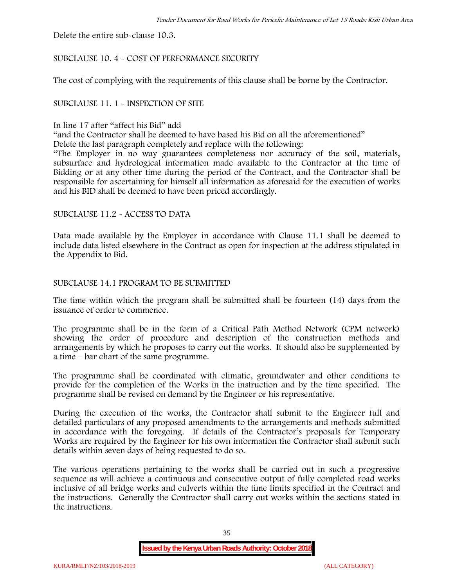Delete the entire sub-clause 10.3.

### SUBCLAUSE 10. 4 - COST OF PERFORMANCE SECURITY

The cost of complying with the requirements of this clause shall be borne by the Contractor.

#### SUBCLAUSE 11. 1 - INSPECTION OF SITE

#### In line 17 after "affect his Bid" add

"and the Contractor shall be deemed to have based his Bid on all the aforementioned"

Delete the last paragraph completely and replace with the following:

"The Employer in no way guarantees completeness nor accuracy of the soil, materials, subsurface and hydrological information made available to the Contractor at the time of Bidding or at any other time during the period of the Contract, and the Contractor shall be responsible for ascertaining for himself all information as aforesaid for the execution of works and his BID shall be deemed to have been priced accordingly.

#### SUBCLAUSE 11.2 - ACCESS TO DATA

Data made available by the Employer in accordance with Clause 11.1 shall be deemed to include data listed elsewhere in the Contract as open for inspection at the address stipulated in the Appendix to Bid.

#### SUBCLAUSE 14.1 PROGRAM TO BE SUBMITTED

The time within which the program shall be submitted shall be fourteen (14) days from the issuance of order to commence**.**

The programme shall be in the form of a Critical Path Method Network (CPM network) showing the order of procedure and description of the construction methods and arrangements by which he proposes to carry out the works. It should also be supplemented by a time – bar chart of the same programme.

The programme shall be coordinated with climatic, groundwater and other conditions to provide for the completion of the Works in the instruction and by the time specified. The programme shall be revised on demand by the Engineer or his representative.

During the execution of the works, the Contractor shall submit to the Engineer full and detailed particulars of any proposed amendments to the arrangements and methods submitted in accordance with the foregoing. If details of the Contractor's proposals for Temporary Works are required by the Engineer for his own information the Contractor shall submit such details within seven days of being requested to do so.

The various operations pertaining to the works shall be carried out in such a progressive sequence as will achieve a continuous and consecutive output of fully completed road works inclusive of all bridge works and culverts within the time limits specified in the Contract and the instructions. Generally the Contractor shall carry out works within the sections stated in the instructions.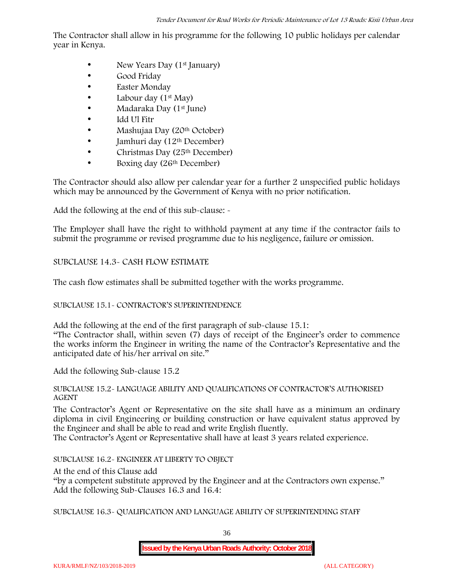The Contractor shall allow in his programme for the following 10 public holidays per calendar year in Kenya.

- New Years Day  $(1<sup>st</sup>$  January)
- Good Friday
- Easter Monday
- Labour day (1<sup>st</sup> May)
- Madaraka Day (1<sup>st</sup> June)
- Idd Ul Fitr
- Mashujaa Day (20<sup>th</sup> October)
- Jamhuri day (12<sup>th</sup> December)
- $\bullet$  Christmas Day (25<sup>th</sup> December)
- Boxing day (26<sup>th</sup> December)

The Contractor should also allow per calendar year for a further 2 unspecified public holidays which may be announced by the Government of Kenya with no prior notification.

Add the following at the end of this sub-clause: -

The Employer shall have the right to withhold payment at any time if the contractor fails to submit the programme or revised programme due to his negligence, failure or omission.

# SUBCLAUSE 14.3- CASH FLOW ESTIMATE

The cash flow estimates shall be submitted together with the works programme.

# SUBCLAUSE 15.1- CONTRACTOR'S SUPERINTENDENCE

Add the following at the end of the first paragraph of sub-clause 15.1: "The Contractor shall, within seven (7) days of receipt of the Engineer's order to commence the works inform the Engineer in writing the name of the Contractor's Representative and the anticipated date of his/her arrival on site."

Add the following Sub-clause 15.2

## SUBCLAUSE 15.2- LANGUAGE ABILITY AND QUALIFICATIONS OF CONTRACTOR'S AUTHORISED AGENT

The Contractor's Agent or Representative on the site shall have as a minimum an ordinary diploma in civil Engineering or building construction or have equivalent status approved by the Engineer and shall be able to read and write English fluently.

The Contractor's Agent or Representative shall have at least 3 years related experience.

SUBCLAUSE 16.2- ENGINEER AT LIBERTY TO OBJECT

At the end of this Clause add

"by a competent substitute approved by the Engineer and at the Contractors own expense." Add the following Sub-Clauses 16.3 and 16.4:

SUBCLAUSE 16.3- QUALIFICATION AND LANGUAGE ABILITY OF SUPERINTENDING STAFF

36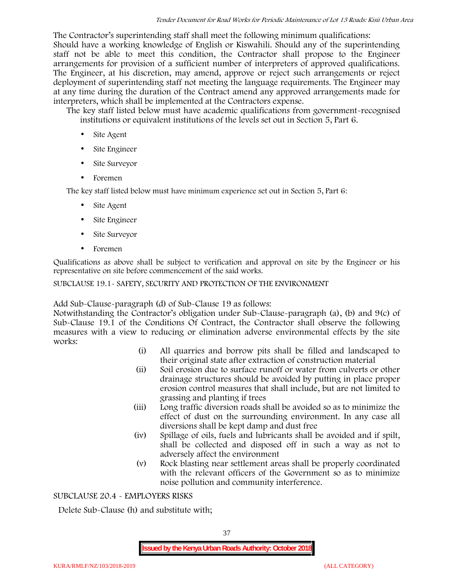The Contractor's superintending staff shall meet the following minimum qualifications: Should have a working knowledge of English or Kiswahili. Should any of the superintending staff not be able to meet this condition, the Contractor shall propose to the Engineer arrangements for provision of a sufficient number of interpreters of approved qualifications. The Engineer, at his discretion, may amend, approve or reject such arrangements or reject deployment of superintending staff not meeting the language requirements. The Engineer may at any time during the duration of the Contract amend any approved arrangements made for interpreters, which shall be implemented at the Contractors expense.

The key staff listed below must have academic qualifications from government-recognised institutions or equivalent institutions of the levels set out in Section 5, Part 6.

- Site Agent
- Site Engineer
- Site Surveyor
- Foremen

The key staff listed below must have minimum experience set out in Section 5, Part 6:

- Site Agent
- Site Engineer
- Site Surveyor
- Foremen

Qualifications as above shall be subject to verification and approval on site by the Engineer or his representative on site before commencement of the said works.

SUBCLAUSE 19.1- SAFETY, SECURITY AND PROTECTION OF THE ENVIRONMENT

Add Sub-Clause-paragraph (d) of Sub-Clause 19 as follows:

Notwithstanding the Contractor's obligation under Sub-Clause-paragraph (a), (b) and 9(c) of Sub-Clause 19.1 of the Conditions Of Contract, the Contractor shall observe the following measures with a view to reducing or elimination adverse environmental effects by the site works:

- (i) All quarries and borrow pits shall be filled and landscaped to their original state after extraction of construction material
- (ii) Soil erosion due to surface runoff or water from culverts or other drainage structures should be avoided by putting in place proper erosion control measures that shall include, but are not limited to grassing and planting if trees
- (iii) Long traffic diversion roads shall be avoided so as to minimize the effect of dust on the surrounding environment. In any case all diversions shall be kept damp and dust free
- (iv) Spillage of oils, fuels and lubricants shall be avoided and if spilt, shall be collected and disposed off in such a way as not to adversely affect the environment
- (v) Rock blasting near settlement areas shall be properly coordinated with the relevant officers of the Government so as to minimize noise pollution and community interference.

## SUBCLAUSE 20.4 - EMPLOYERS RISKS

Delete Sub-Clause (h) and substitute with;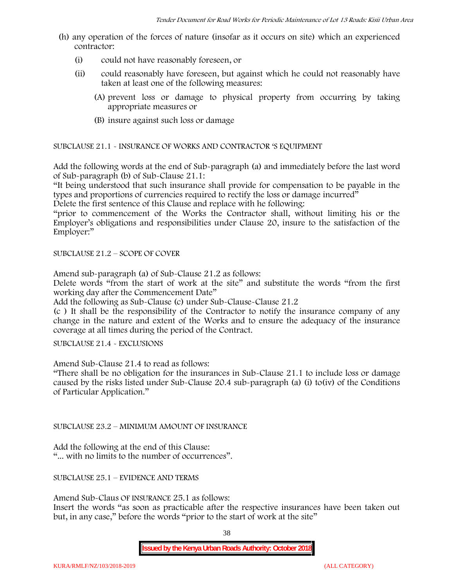- (h) any operation of the forces of nature (insofar as it occurs on site) which an experienced contractor:
	- (i) could not have reasonably foreseen, or
	- (ii) could reasonably have foreseen, but against which he could not reasonably have taken at least one of the following measures:
		- (A) prevent loss or damage to physical property from occurring by taking appropriate measures or
		- (B) insure against such loss or damage

SUBCLAUSE 21.1 - INSURANCE OF WORKS AND CONTRACTOR 'S EQUIPMENT

Add the following words at the end of Sub-paragraph (a) and immediately before the last word of Sub-paragraph (b) of Sub-Clause 21.1:

"It being understood that such insurance shall provide for compensation to be payable in the types and proportions of currencies required to rectify the loss or damage incurred"

Delete the first sentence of this Clause and replace with he following:

"prior to commencement of the Works the Contractor shall, without limiting his or the Employer's obligations and responsibilities under Clause 20, insure to the satisfaction of the Employer:"

SUBCLAUSE 21.2 – SCOPE OF COVER

Amend sub-paragraph (a) of Sub-Clause 21.2 as follows:

Delete words "from the start of work at the site" and substitute the words "from the first working day after the Commencement Date"

Add the following as Sub-Clause (c) under Sub-Clause-Clause 21.2

(c ) It shall be the responsibility of the Contractor to notify the insurance company of any change in the nature and extent of the Works and to ensure the adequacy of the insurance coverage at all times during the period of the Contract.

SUBCLAUSE 21.4 - EXCLUSIONS

Amend Sub-Clause 21.4 to read as follows:

"There shall be no obligation for the insurances in Sub-Clause 21.1 to include loss or damage caused by the risks listed under Sub-Clause 20.4 sub-paragraph (a) (i) to(iv) of the Conditions of Particular Application."

SUBCLAUSE 23.2 – MINIMUM AMOUNT OF INSURANCE

Add the following at the end of this Clause: "... with no limits to the number of occurrences".

SUBCLAUSE 25.1 – EVIDENCE AND TERMS

Amend Sub-Claus OF INSURANCE 25.1 as follows:

Insert the words "as soon as practicable after the respective insurances have been taken out but, in any case," before the words "prior to the start of work at the site"

38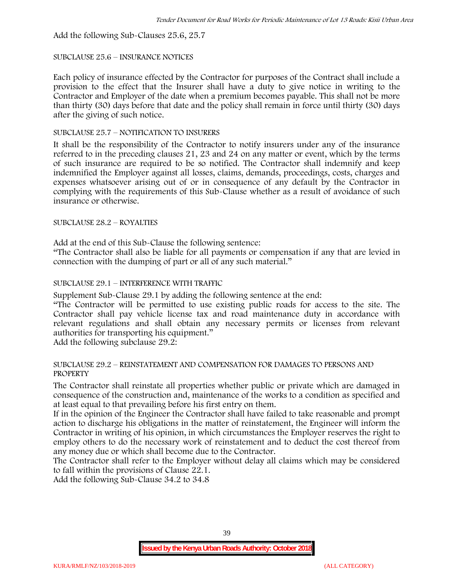Add the following Sub-Clauses 25.6, 25.7

## SUBCLAUSE 25.6 – INSURANCE NOTICES

Each policy of insurance effected by the Contractor for purposes of the Contract shall include a provision to the effect that the Insurer shall have a duty to give notice in writing to the Contractor and Employer of the date when a premium becomes payable. This shall not be more than thirty (30) days before that date and the policy shall remain in force until thirty (30) days after the giving of such notice.

## SUBCLAUSE 25.7 – NOTIFICATION TO INSURERS

It shall be the responsibility of the Contractor to notify insurers under any of the insurance referred to in the preceding clauses 21, 23 and 24 on any matter or event, which by the terms of such insurance are required to be so notified. The Contractor shall indemnify and keep indemnified the Employer against all losses, claims, demands, proceedings, costs, charges and expenses whatsoever arising out of or in consequence of any default by the Contractor in complying with the requirements of this Sub-Clause whether as a result of avoidance of such insurance or otherwise.

## SUBCLAUSE 28.2 – ROYALTIES

Add at the end of this Sub-Clause the following sentence:

"The Contractor shall also be liable for all payments or compensation if any that are levied in connection with the dumping of part or all of any such material."

## SUBCLAUSE 29.1 – INTERFERENCE WITH TRAFFIC

Supplement Sub-Clause 29.1 by adding the following sentence at the end:

"The Contractor will be permitted to use existing public roads for access to the site. The Contractor shall pay vehicle license tax and road maintenance duty in accordance with relevant regulations and shall obtain any necessary permits or licenses from relevant authorities for transporting his equipment."

Add the following subclause 29.2:

#### SUBCLAUSE 29.2 – REINSTATEMENT AND COMPENSATION FOR DAMAGES TO PERSONS AND PROPERTY

The Contractor shall reinstate all properties whether public or private which are damaged in consequence of the construction and, maintenance of the works to a condition as specified and at least equal to that prevailing before his first entry on them.

If in the opinion of the Engineer the Contractor shall have failed to take reasonable and prompt action to discharge his obligations in the matter of reinstatement, the Engineer will inform the Contractor in writing of his opinion, in which circumstances the Employer reserves the right to employ others to do the necessary work of reinstatement and to deduct the cost thereof from any money due or which shall become due to the Contractor.

The Contractor shall refer to the Employer without delay all claims which may be considered to fall within the provisions of Clause 22.1.

Add the following Sub-Clause 34.2 to 34.8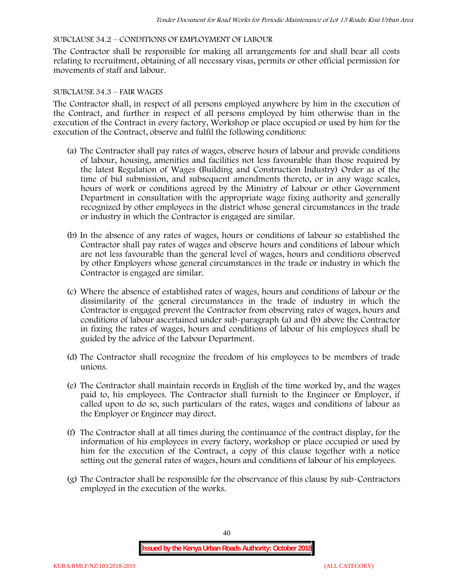## SUBCLAUSE 34.2 – CONDITIONS OF EMPLOYMENT OF LABOUR

The Contractor shall be responsible for making all arrangements for and shall bear all costs relating to recruitment, obtaining of all necessary visas, permits or other official permission for movements of staff and labour.

#### SUBCLAUSE 34.3 – FAIR WAGES

The Contractor shall, in respect of all persons employed anywhere by him in the execution of the Contract, and further in respect of all persons employed by him otherwise than in the execution of the Contract in every factory, Workshop or place occupied or used by him for the execution of the Contract, observe and fulfil the following conditions:

- (a) The Contractor shall pay rates of wages, observe hours of labour and provide conditions of labour, housing, amenities and facilities not less favourable than those required by the latest Regulation of Wages (Building and Construction Industry) Order as of the time of bid submission, and subsequent amendments thereto, or in any wage scales, hours of work or conditions agreed by the Ministry of Labour or other Government Department in consultation with the appropriate wage fixing authority and generally recognized by other employees in the district whose general circumstances in the trade or industry in which the Contractor is engaged are similar.
- (b) In the absence of any rates of wages, hours or conditions of labour so established the Contractor shall pay rates of wages and observe hours and conditions of labour which are not less favourable than the general level of wages, hours and conditions observed by other Employers whose general circumstances in the trade or industry in which the Contractor is engaged are similar.
- (c) Where the absence of established rates of wages, hours and conditions of labour or the dissimilarity of the general circumstances in the trade of industry in which the Contractor is engaged prevent the Contractor from observing rates of wages, hours and conditions of labour ascertained under sub-paragraph (a) and (b) above the Contractor in fixing the rates of wages, hours and conditions of labour of his employees shall be guided by the advice of the Labour Department.
- (d) The Contractor shall recognize the freedom of his employees to be members of trade unions.
- (e) The Contractor shall maintain records in English of the time worked by, and the wages paid to, his employees. The Contractor shall furnish to the Engineer or Employer, if called upon to do so, such particulars of the rates, wages and conditions of labour as the Employer or Engineer may direct.
- (f) The Contractor shall at all times during the continuance of the contract display, for the information of his employees in every factory, workshop or place occupied or used by him for the execution of the Contract, a copy of this clause together with a notice setting out the general rates of wages, hours and conditions of labour of his employees.
- (g) The Contractor shall be responsible for the observance of this clause by sub-Contractors employed in the execution of the works.

40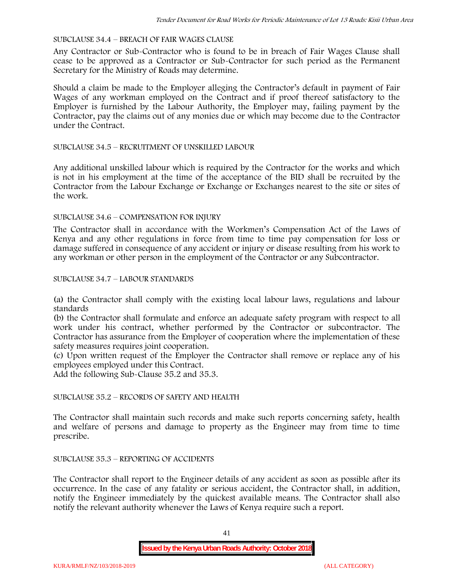#### SUBCLAUSE 34.4 – BREACH OF FAIR WAGES CLAUSE

Any Contractor or Sub-Contractor who is found to be in breach of Fair Wages Clause shall cease to be approved as a Contractor or Sub-Contractor for such period as the Permanent Secretary for the Ministry of Roads may determine.

Should a claim be made to the Employer alleging the Contractor's default in payment of Fair Wages of any workman employed on the Contract and if proof thereof satisfactory to the Employer is furnished by the Labour Authority, the Employer may, failing payment by the Contractor, pay the claims out of any monies due or which may become due to the Contractor under the Contract.

#### SUBCLAUSE 34.5 – RECRUITMENT OF UNSKILLED LABOUR

Any additional unskilled labour which is required by the Contractor for the works and which is not in his employment at the time of the acceptance of the BID shall be recruited by the Contractor from the Labour Exchange or Exchange or Exchanges nearest to the site or sites of the work.

#### SUBCLAUSE 34.6 – COMPENSATION FOR INJURY

The Contractor shall in accordance with the Workmen's Compensation Act of the Laws of Kenya and any other regulations in force from time to time pay compensation for loss or damage suffered in consequence of any accident or injury or disease resulting from his work to any workman or other person in the employment of the Contractor or any Subcontractor.

#### SUBCLAUSE 34.7 – LABOUR STANDARDS

(a) the Contractor shall comply with the existing local labour laws, regulations and labour standards

(b) the Contractor shall formulate and enforce an adequate safety program with respect to all work under his contract, whether performed by the Contractor or subcontractor. The Contractor has assurance from the Employer of cooperation where the implementation of these safety measures requires joint cooperation.

(c) Upon written request of the Employer the Contractor shall remove or replace any of his employees employed under this Contract.

Add the following Sub-Clause 35.2 and 35.3.

# SUBCLAUSE 35.2 – RECORDS OF SAFETY AND HEALTH

The Contractor shall maintain such records and make such reports concerning safety, health and welfare of persons and damage to property as the Engineer may from time to time prescribe.

#### SUBCLAUSE 35.3 – REPORTING OF ACCIDENTS

The Contractor shall report to the Engineer details of any accident as soon as possible after its occurrence. In the case of any fatality or serious accident, the Contractor shall, in addition, notify the Engineer immediately by the quickest available means. The Contractor shall also notify the relevant authority whenever the Laws of Kenya require such a report.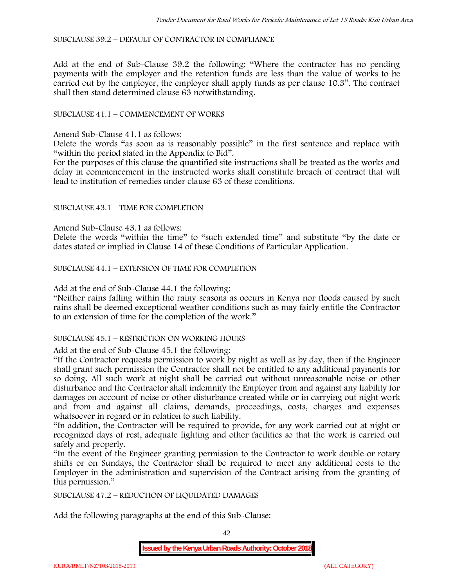SUBCLAUSE 39.2 – DEFAULT OF CONTRACTOR IN COMPLIANCE

Add at the end of Sub-Clause 39.2 the following: "Where the contractor has no pending payments with the employer and the retention funds are less than the value of works to be carried out by the employer, the employer shall apply funds as per clause 10.3". The contract shall then stand determined clause 63 notwithstanding.

## SUBCLAUSE 41.1 – COMMENCEMENT OF WORKS

Amend Sub-Clause 41.1 as follows:

Delete the words "as soon as is reasonably possible" in the first sentence and replace with "within the period stated in the Appendix to Bid".

For the purposes of this clause the quantified site instructions shall be treated as the works and delay in commencement in the instructed works shall constitute breach of contract that will lead to institution of remedies under clause 63 of these conditions.

## SUBCLAUSE 43.1 – TIME FOR COMPLETION

Amend Sub-Clause 43.1 as follows:

Delete the words "within the time" to "such extended time" and substitute "by the date or dates stated or implied in Clause 14 of these Conditions of Particular Application.

SUBCLAUSE 44.1 – EXTENSION OF TIME FOR COMPLETION

Add at the end of Sub-Clause 44.1 the following:

"Neither rains falling within the rainy seasons as occurs in Kenya nor floods caused by such rains shall be deemed exceptional weather conditions such as may fairly entitle the Contractor to an extension of time for the completion of the work."

#### SUBCLAUSE 45.1 – RESTRICTION ON WORKING HOURS

Add at the end of Sub-Clause 45.1 the following:

"If the Contractor requests permission to work by night as well as by day, then if the Engineer shall grant such permission the Contractor shall not be entitled to any additional payments for so doing. All such work at night shall be carried out without unreasonable noise or other disturbance and the Contractor shall indemnify the Employer from and against any liability for damages on account of noise or other disturbance created while or in carrying out night work and from and against all claims, demands, proceedings, costs, charges and expenses whatsoever in regard or in relation to such liability.

"In addition, the Contractor will be required to provide, for any work carried out at night or recognized days of rest, adequate lighting and other facilities so that the work is carried out safely and properly.

"In the event of the Engineer granting permission to the Contractor to work double or rotary shifts or on Sundays, the Contractor shall be required to meet any additional costs to the Employer in the administration and supervision of the Contract arising from the granting of this permission."

SUBCLAUSE 47.2 – REDUCTION OF LIQUIDATED DAMAGES

Add the following paragraphs at the end of this Sub-Clause: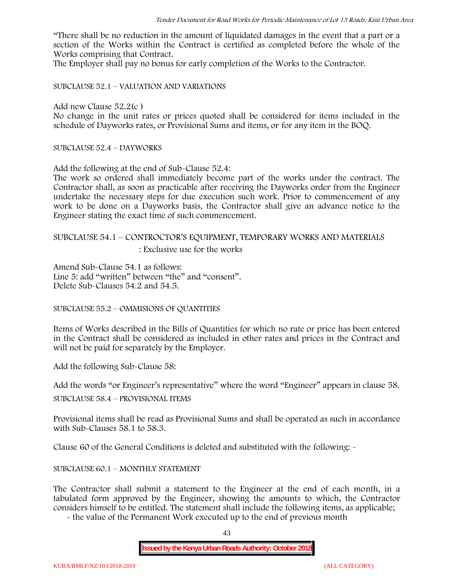"There shall be no reduction in the amount of liquidated damages in the event that a part or a section of the Works within the Contract is certified as completed before the whole of the Works comprising that Contract.

The Employer shall pay no bonus for early completion of the Works to the Contractor.

SUBCLAUSE 52.1 – VALUATION AND VARIATIONS

Add new Clause 52.2(c )

No change in the unit rates or prices quoted shall be considered for items included in the schedule of Dayworks rates, or Provisional Sums and items, or for any item in the BOQ.

SUBCLAUSE 52.4 – DAYWORKS

Add the following at the end of Sub-Clause 52.4:

The work so ordered shall immediately become part of the works under the contract. The Contractor shall, as soon as practicable after receiving the Dayworks order from the Engineer undertake the necessary steps for due execution such work. Prior to commencement of any work to be done on a Dayworks basis, the Contractor shall give an advance notice to the Engineer stating the exact time of such commencement.

# SUBCLAUSE 54.1 – CONTROCTOR'S EQUIPMENT, TEMPORARY WORKS AND MATERIALS

: Exclusive use for the works

Amend Sub-Clause 54.1 as follows: Line 5: add "written" between "the" and "consent". Delete Sub-Clauses 54.2 and 54.5.

SUBCLAUSE 55.2 – OMMISIONS OF QUANTITIES

Items of Works described in the Bills of Quantities for which no rate or price has been entered in the Contract shall be considered as included in other rates and prices in the Contract and will not be paid for separately by the Employer.

Add the following Sub-Clause 58:

Add the words "or Engineer's representative" where the word "Engineer" appears in clause 58.

SUBCLAUSE 58.4 – PROVISIONAL ITEMS

Provisional items shall be read as Provisional Sums and shall be operated as such in accordance with Sub-Clauses 58.1 to 58.3.

Clause 60 of the General Conditions is deleted and substituted with the following: -

#### SUBCLAUSE 60.1 – MONTHLY STATEMENT

The Contractor shall submit a statement to the Engineer at the end of each month, in a tabulated form approved by the Engineer, showing the amounts to which, the Contractor considers himself to be entitled. The statement shall include the following items, as applicable;

- the value of the Permanent Work executed up to the end of previous month

43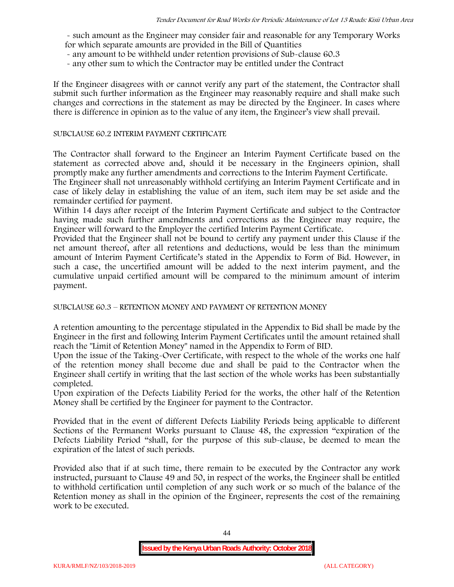- such amount as the Engineer may consider fair and reasonable for any Temporary Works for which separate amounts are provided in the Bill of Quantities

- any amount to be withheld under retention provisions of Sub-clause 60.3
- any other sum to which the Contractor may be entitled under the Contract

If the Engineer disagrees with or cannot verify any part of the statement, the Contractor shall submit such further information as the Engineer may reasonably require and shall make such changes and corrections in the statement as may be directed by the Engineer. In cases where there is difference in opinion as to the value of any item, the Engineer's view shall prevail.

#### SUBCLAUSE 60.2 INTERIM PAYMENT CERTIFICATE

The Contractor shall forward to the Engineer an Interim Payment Certificate based on the statement as corrected above and, should it be necessary in the Engineers opinion, shall promptly make any further amendments and corrections to the Interim Payment Certificate.

The Engineer shall not unreasonably withhold certifying an Interim Payment Certificate and in case of likely delay in establishing the value of an item, such item may be set aside and the remainder certified for payment.

Within 14 days after receipt of the Interim Payment Certificate and subject to the Contractor having made such further amendments and corrections as the Engineer may require, the Engineer will forward to the Employer the certified Interim Payment Certificate.

Provided that the Engineer shall not be bound to certify any payment under this Clause if the net amount thereof, after all retentions and deductions, would be less than the minimum amount of Interim Payment Certificate's stated in the Appendix to Form of Bid. However, in such a case, the uncertified amount will be added to the next interim payment, and the cumulative unpaid certified amount will be compared to the minimum amount of interim payment.

SUBCLAUSE 60.3 – RETENTION MONEY AND PAYMENT OF RETENTION MONEY

A retention amounting to the percentage stipulated in the Appendix to Bid shall be made by the Engineer in the first and following Interim Payment Certificates until the amount retained shall reach the "Limit of Retention Money" named in the Appendix to Form of BID.

Upon the issue of the Taking-Over Certificate, with respect to the whole of the works one half of the retention money shall become due and shall be paid to the Contractor when the Engineer shall certify in writing that the last section of the whole works has been substantially completed.

Upon expiration of the Defects Liability Period for the works, the other half of the Retention Money shall be certified by the Engineer for payment to the Contractor.

Provided that in the event of different Defects Liability Periods being applicable to different Sections of the Permanent Works pursuant to Clause 48, the expression "expiration of the Defects Liability Period "shall, for the purpose of this sub-clause, be deemed to mean the expiration of the latest of such periods.

Provided also that if at such time, there remain to be executed by the Contractor any work instructed, pursuant to Clause 49 and 50, in respect of the works, the Engineer shall be entitled to withhold certification until completion of any such work or so much of the balance of the Retention money as shall in the opinion of the Engineer, represents the cost of the remaining work to be executed.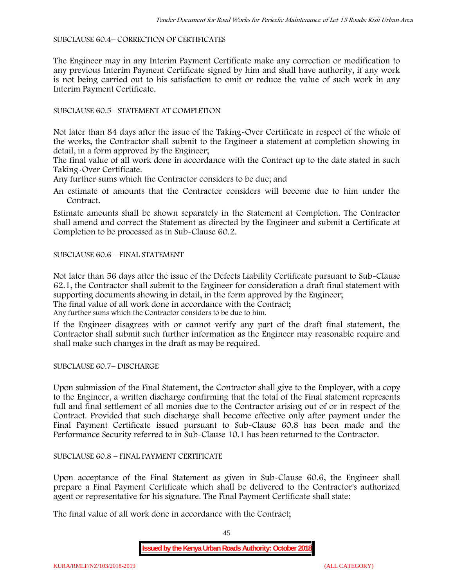#### SUBCLAUSE 60.4– CORRECTION OF CERTIFICATES

The Engineer may in any Interim Payment Certificate make any correction or modification to any previous Interim Payment Certificate signed by him and shall have authority, if any work is not being carried out to his satisfaction to omit or reduce the value of such work in any Interim Payment Certificate.

## SUBCLAUSE 60.5– STATEMENT AT COMPLETION

Not later than 84 days after the issue of the Taking-Over Certificate in respect of the whole of the works, the Contractor shall submit to the Engineer a statement at completion showing in detail, in a form approved by the Engineer;

The final value of all work done in accordance with the Contract up to the date stated in such Taking-Over Certificate.

Any further sums which the Contractor considers to be due; and

An estimate of amounts that the Contractor considers will become due to him under the Contract.

Estimate amounts shall be shown separately in the Statement at Completion. The Contractor shall amend and correct the Statement as directed by the Engineer and submit a Certificate at Completion to be processed as in Sub-Clause 60.2.

## SUBCLAUSE 60.6 – FINAL STATEMENT

Not later than 56 days after the issue of the Defects Liability Certificate pursuant to Sub-Clause 62.1, the Contractor shall submit to the Engineer for consideration a draft final statement with supporting documents showing in detail, in the form approved by the Engineer; The final value of all work done in accordance with the Contract;

Any further sums which the Contractor considers to be due to him.

If the Engineer disagrees with or cannot verify any part of the draft final statement, the Contractor shall submit such further information as the Engineer may reasonable require and shall make such changes in the draft as may be required.

SUBCLAUSE 60.7– DISCHARGE

Upon submission of the Final Statement, the Contractor shall give to the Employer, with a copy to the Engineer, a written discharge confirming that the total of the Final statement represents full and final settlement of all monies due to the Contractor arising out of or in respect of the Contract. Provided that such discharge shall become effective only after payment under the Final Payment Certificate issued pursuant to Sub-Clause 60.8 has been made and the Performance Security referred to in Sub-Clause 10.1 has been returned to the Contractor.

## SUBCLAUSE 60.8 – FINAL PAYMENT CERTIFICATE

Upon acceptance of the Final Statement as given in Sub-Clause 60.6, the Engineer shall prepare a Final Payment Certificate which shall be delivered to the Contractor's authorized agent or representative for his signature. The Final Payment Certificate shall state:

The final value of all work done in accordance with the Contract;

45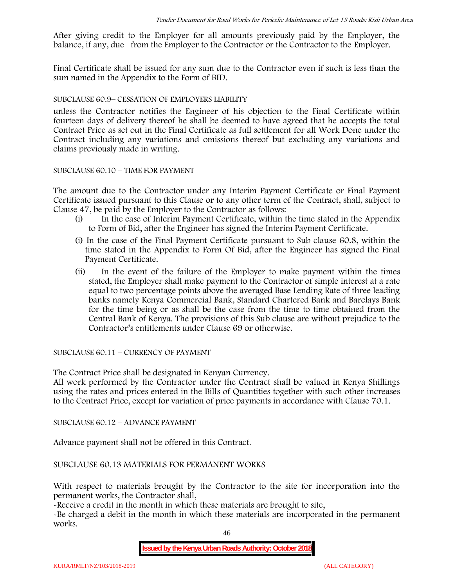After giving credit to the Employer for all amounts previously paid by the Employer, the balance, if any, due from the Employer to the Contractor or the Contractor to the Employer.

Final Certificate shall be issued for any sum due to the Contractor even if such is less than the sum named in the Appendix to the Form of BID.

#### SUBCLAUSE 60.9– CESSATION OF EMPLOYERS LIABILITY

unless the Contractor notifies the Engineer of his objection to the Final Certificate within fourteen days of delivery thereof he shall be deemed to have agreed that he accepts the total Contract Price as set out in the Final Certificate as full settlement for all Work Done under the Contract including any variations and omissions thereof but excluding any variations and claims previously made in writing.

#### SUBCLAUSE 60.10 – TIME FOR PAYMENT

The amount due to the Contractor under any Interim Payment Certificate or Final Payment Certificate issued pursuant to this Clause or to any other term of the Contract, shall, subject to Clause 47, be paid by the Employer to the Contractor as follows:

- (i) In the case of Interim Payment Certificate, within the time stated in the Appendix to Form of Bid, after the Engineer has signed the Interim Payment Certificate.
- (i) In the case of the Final Payment Certificate pursuant to Sub clause 60.8, within the time stated in the Appendix to Form Of Bid, after the Engineer has signed the Final Payment Certificate.
- (ii) In the event of the failure of the Employer to make payment within the times stated, the Employer shall make payment to the Contractor of simple interest at a rate equal to two percentage points above the averaged Base Lending Rate of three leading banks namely Kenya Commercial Bank, Standard Chartered Bank and Barclays Bank for the time being or as shall be the case from the time to time obtained from the Central Bank of Kenya. The provisions of this Sub clause are without prejudice to the Contractor's entitlements under Clause 69 or otherwise.

SUBCLAUSE 60.11 – CURRENCY OF PAYMENT

The Contract Price shall be designated in Kenyan Currency.

All work performed by the Contractor under the Contract shall be valued in Kenya Shillings using the rates and prices entered in the Bills of Quantities together with such other increases to the Contract Price, except for variation of price payments in accordance with Clause 70.1.

SUBCLAUSE 60.12 – ADVANCE PAYMENT

Advance payment shall not be offered in this Contract.

SUBCLAUSE 60.13 MATERIALS FOR PERMANENT WORKS

With respect to materials brought by the Contractor to the site for incorporation into the permanent works, the Contractor shall,

-Receive a credit in the month in which these materials are brought to site,

-Be charged a debit in the month in which these materials are incorporated in the permanent works.

46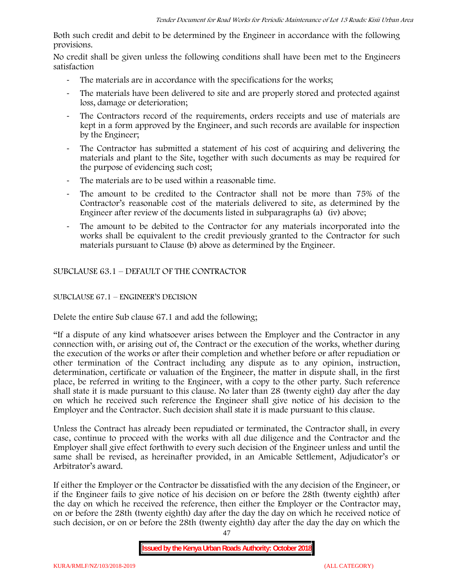Both such credit and debit to be determined by the Engineer in accordance with the following provisions.

No credit shall be given unless the following conditions shall have been met to the Engineers satisfaction

- The materials are in accordance with the specifications for the works;
- The materials have been delivered to site and are properly stored and protected against loss, damage or deterioration;
- The Contractors record of the requirements, orders receipts and use of materials are kept in a form approved by the Engineer, and such records are available for inspection by the Engineer;
- The Contractor has submitted a statement of his cost of acquiring and delivering the materials and plant to the Site, together with such documents as may be required for the purpose of evidencing such cost;
- The materials are to be used within a reasonable time.
- The amount to be credited to the Contractor shall not be more than 75% of the Contractor's reasonable cost of the materials delivered to site, as determined by the Engineer after review of the documents listed in subparagraphs (a) (iv) above;
- The amount to be debited to the Contractor for any materials incorporated into the works shall be equivalent to the credit previously granted to the Contractor for such materials pursuant to Clause (b) above as determined by the Engineer.

SUBCLAUSE 63.1 – DEFAULT OF THE CONTRACTOR

## SUBCLAUSE 67.1 – ENGINEER'S DECISION

Delete the entire Sub clause 67.1 and add the following;

"If a dispute of any kind whatsoever arises between the Employer and the Contractor in any connection with, or arising out of, the Contract or the execution of the works, whether during the execution of the works or after their completion and whether before or after repudiation or other termination of the Contract including any dispute as to any opinion, instruction, determination, certificate or valuation of the Engineer, the matter in dispute shall, in the first place, be referred in writing to the Engineer, with a copy to the other party. Such reference shall state it is made pursuant to this clause. No later than 28 (twenty eight) day after the day on which he received such reference the Engineer shall give notice of his decision to the Employer and the Contractor. Such decision shall state it is made pursuant to this clause.

Unless the Contract has already been repudiated or terminated, the Contractor shall, in every case, continue to proceed with the works with all due diligence and the Contractor and the Employer shall give effect forthwith to every such decision of the Engineer unless and until the same shall be revised, as hereinafter provided, in an Amicable Settlement, Adjudicator's or Arbitrator's award.

If either the Employer or the Contractor be dissatisfied with the any decision of the Engineer, or if the Engineer fails to give notice of his decision on or before the 28th (twenty eighth) after the day on which he received the reference, then either the Employer or the Contractor may, on or before the 28th (twenty eighth) day after the day the day on which he received notice of such decision, or on or before the 28th (twenty eighth) day after the day the day on which the

**Issued by the Kenya Urban Roads Authority: October 2018**

47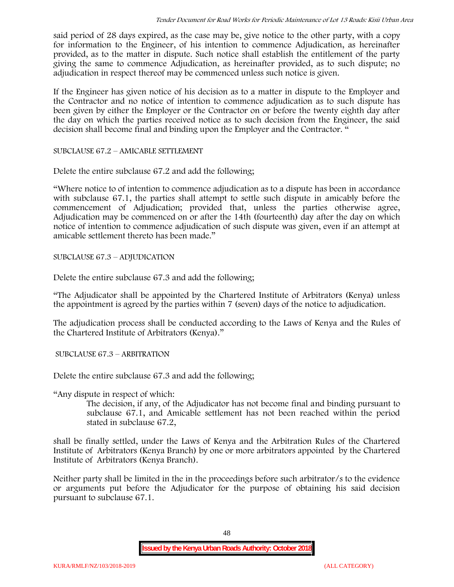said period of 28 days expired, as the case may be, give notice to the other party, with a copy for information to the Engineer, of his intention to commence Adjudication, as hereinafter provided, as to the matter in dispute. Such notice shall establish the entitlement of the party giving the same to commence Adjudication, as hereinafter provided, as to such dispute; no adjudication in respect thereof may be commenced unless such notice is given.

If the Engineer has given notice of his decision as to a matter in dispute to the Employer and the Contractor and no notice of intention to commence adjudication as to such dispute has been given by either the Employer or the Contractor on or before the twenty eighth day after the day on which the parties received notice as to such decision from the Engineer, the said decision shall become final and binding upon the Employer and the Contractor. "

SUBCLAUSE 67.2 – AMICABLE SETTLEMENT

Delete the entire subclause 67.2 and add the following;

"Where notice to of intention to commence adjudication as to a dispute has been in accordance with subclause 67.1, the parties shall attempt to settle such dispute in amicably before the commencement of Adjudication; provided that, unless the parties otherwise agree, Adjudication may be commenced on or after the 14th (fourteenth) day after the day on which notice of intention to commence adjudication of such dispute was given, even if an attempt at amicable settlement thereto has been made."

SUBCLAUSE 67.3 – ADJUDICATION

Delete the entire subclause 67.3 and add the following;

"The Adjudicator shall be appointed by the Chartered Institute of Arbitrators (Kenya) unless the appointment is agreed by the parties within 7 (seven) days of the notice to adjudication.

The adjudication process shall be conducted according to the Laws of Kenya and the Rules of the Chartered Institute of Arbitrators (Kenya)."

SUBCLAUSE 67.3 – ARBITRATION

Delete the entire subclause 67.3 and add the following;

"Any dispute in respect of which:

The decision, if any, of the Adjudicator has not become final and binding pursuant to subclause 67.1, and Amicable settlement has not been reached within the period stated in subclause 67.2,

shall be finally settled, under the Laws of Kenya and the Arbitration Rules of the Chartered Institute of Arbitrators (Kenya Branch) by one or more arbitrators appointed by the Chartered Institute of Arbitrators (Kenya Branch).

Neither party shall be limited in the in the proceedings before such arbitrator/s to the evidence or arguments put before the Adjudicator for the purpose of obtaining his said decision pursuant to subclause 67.1.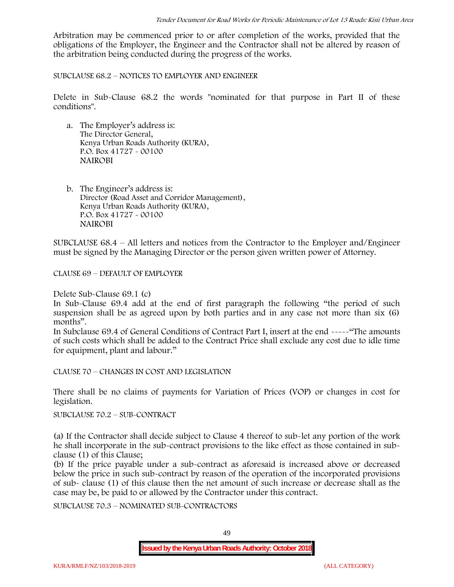Arbitration may be commenced prior to or after completion of the works, provided that the obligations of the Employer, the Engineer and the Contractor shall not be altered by reason of the arbitration being conducted during the progress of the works.

SUBCLAUSE 68.2 – NOTICES TO EMPLOYER AND ENGINEER

Delete in Sub-Clause 68.2 the words "nominated for that purpose in Part II of these conditions".

- a. The Employer's address is: The Director General, Kenya Urban Roads Authority (KURA), P.O. Box 41727 - 00100 **NAIROBI**
- b. The Engineer's address is: Director (Road Asset and Corridor Management), Kenya Urban Roads Authority (KURA), P.O. Box 41727 - 00100 **NAIROBI**

SUBCLAUSE 68.4 – All letters and notices from the Contractor to the Employer and/Engineer must be signed by the Managing Director or the person given written power of Attorney.

CLAUSE 69 – DEFAULT OF EMPLOYER

Delete Sub-Clause 69.1 (c)

In Sub-Clause 69.4 add at the end of first paragraph the following "the period of such suspension shall be as agreed upon by both parties and in any case not more than six (6) months".

In Subclause 69.4 of General Conditions of Contract Part I, insert at the end -----"The amounts of such costs which shall be added to the Contract Price shall exclude any cost due to idle time for equipment, plant and labour."

CLAUSE 70 – CHANGES IN COST AND LEGISLATION

There shall be no claims of payments for Variation of Prices (VOP) or changes in cost for legislation.

SUBCLAUSE 70.2 – SUB-CONTRACT

(a) If the Contractor shall decide subject to Clause 4 thereof to sub-let any portion of the work he shall incorporate in the sub-contract provisions to the like effect as those contained in sub clause (1) of this Clause;

(b) If the price payable under a sub-contract as aforesaid is increased above or decreased below the price in such sub-contract by reason of the operation of the incorporated provisions of sub- clause (1) of this clause then the net amount of such increase or decrease shall as the case may be, be paid to or allowed by the Contractor under this contract.

SUBCLAUSE 70.3 – NOMINATED SUB-CONTRACTORS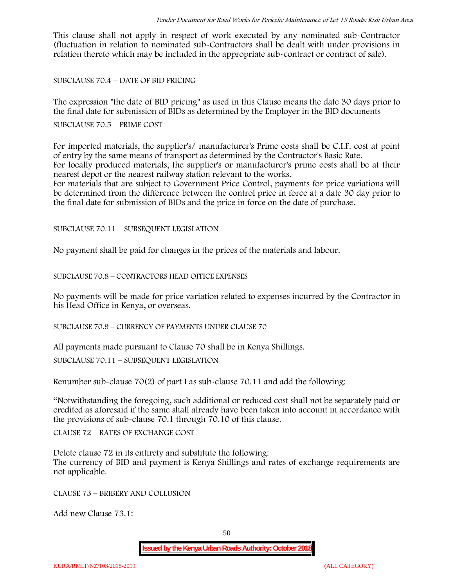This clause shall not apply in respect of work executed by any nominated sub-Contractor (fluctuation in relation to nominated sub-Contractors shall be dealt with under provisions in relation thereto which may be included in the appropriate sub-contract or contract of sale).

SUBCLAUSE 70.4 – DATE OF BID PRICING

The expression "the date of BID pricing" as used in this Clause means the date 30 days prior to the final date for submission of BIDs as determined by the Employer in the BID documents

SUBCLAUSE 70.5 – PRIME COST

For imported materials, the supplier's/ manufacturer's Prime costs shall be C.I.F. cost at point of entry by the same means of transport as determined by the Contractor's Basic Rate. For locally produced materials, the supplier's or manufacturer's prime costs shall be at their nearest depot or the nearest railway station relevant to the works.

For materials that are subject to Government Price Control, payments for price variations will be determined from the difference between the control price in force at a date 30 day prior to the final date for submission of BIDs and the price in force on the date of purchase.

SUBCLAUSE 70.11 – SUBSEQUENT LEGISLATION

No payment shall be paid for changes in the prices of the materials and labour.

SUBCLAUSE 70.8 – CONTRACTORS HEAD OFFICE EXPENSES

No payments will be made for price variation related to expenses incurred by the Contractor in his Head Office in Kenya, or overseas.

SUBCLAUSE 70.9 – CURRENCY OF PAYMENTS UNDER CLAUSE 70

All payments made pursuant to Clause 70 shall be in Kenya Shillings.

SUBCLAUSE 70.11 – SUBSEQUENT LEGISLATION

Renumber sub-clause 70(2) of part I as sub-clause 70.11 and add the following:

"Notwithstanding the foregoing, such additional or reduced cost shall not be separately paid or credited as aforesaid if the same shall already have been taken into account in accordance with the provisions of sub-clause 70.1 through 70.10 of this clause.

CLAUSE 72 – RATES OF EXCHANGE COST

Delete clause 72 in its entirety and substitute the following: The currency of BID and payment is Kenya Shillings and rates of exchange requirements are not applicable.

CLAUSE 73 – BRIBERY AND COLLUSION

Add new Clause 73.1: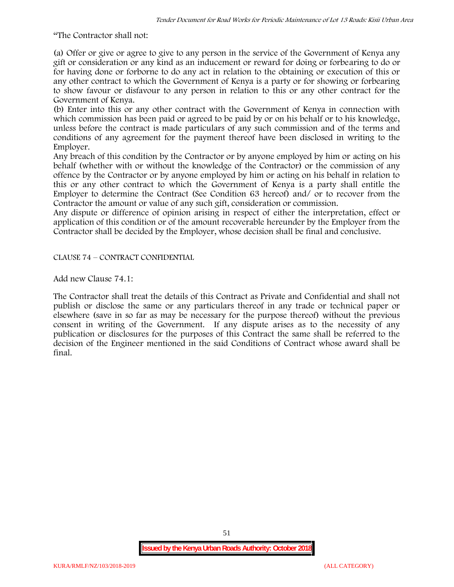"The Contractor shall not:

(a) Offer or give or agree to give to any person in the service of the Government of Kenya any gift or consideration or any kind as an inducement or reward for doing or forbearing to do or for having done or forborne to do any act in relation to the obtaining or execution of this or any other contract to which the Government of Kenya is a party or for showing or forbearing to show favour or disfavour to any person in relation to this or any other contract for the Government of Kenya.

(b) Enter into this or any other contract with the Government of Kenya in connection with which commission has been paid or agreed to be paid by or on his behalf or to his knowledge, unless before the contract is made particulars of any such commission and of the terms and conditions of any agreement for the payment thereof have been disclosed in writing to the Employer.

Any breach of this condition by the Contractor or by anyone employed by him or acting on his behalf (whether with or without the knowledge of the Contractor) or the commission of any offence by the Contractor or by anyone employed by him or acting on his behalf in relation to this or any other contract to which the Government of Kenya is a party shall entitle the Employer to determine the Contract (See Condition 63 hereof) and/ or to recover from the Contractor the amount or value of any such gift, consideration or commission.

Any dispute or difference of opinion arising in respect of either the interpretation, effect or application of this condition or of the amount recoverable hereunder by the Employer from the Contractor shall be decided by the Employer, whose decision shall be final and conclusive.

CLAUSE 74 – CONTRACT CONFIDENTIAL

Add new Clause 74.1:

The Contractor shall treat the details of this Contract as Private and Confidential and shall not publish or disclose the same or any particulars thereof in any trade or technical paper or elsewhere (save in so far as may be necessary for the purpose thereof) without the previous consent in writing of the Government. If any dispute arises as to the necessity of any publication or disclosures for the purposes of this Contract the same shall be referred to the decision of the Engineer mentioned in the said Conditions of Contract whose award shall be final.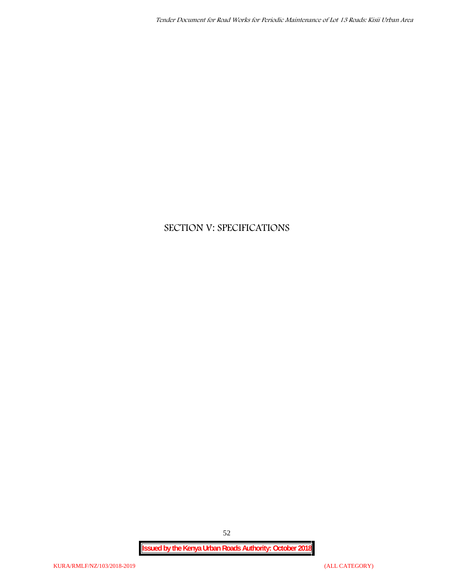# **SECTION V: SPECIFICATIONS**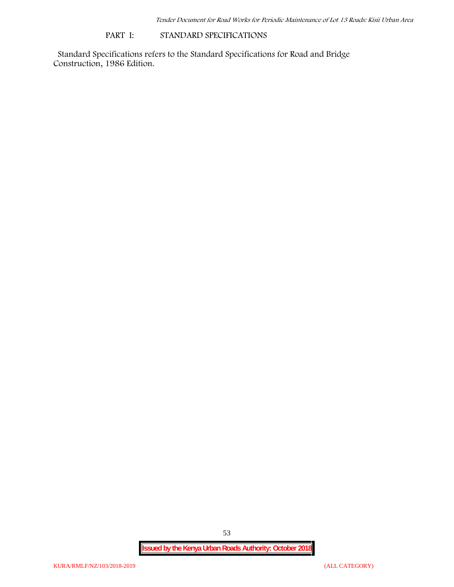#### **PART I: STANDARD SPECIFICATIONS**

Standard Specifications refers to the Standard Specifications for Road and Bridge Construction, 1986 Edition.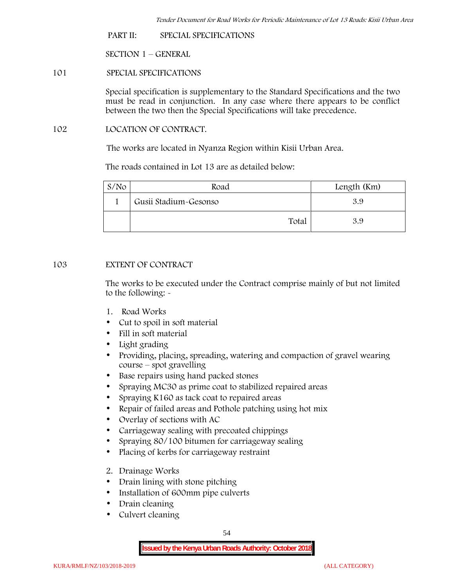**PART II: SPECIAL SPECIFICATIONS**

**SECTION 1 – GENERAL**

**101 SPECIAL SPECIFICATIONS**

Special specification is supplementary to the Standard Specifications and the two must be read in conjunction. In any case where there appears to be conflict between the two then the Special Specifications will take precedence.

**102 LOCATION OF CONTRACT.**

The works are located in Nyanza Region within Kisii Urban Area.

The roads contained in Lot 13 are as detailed below:

| S/N <sub>O</sub> | Road                  | Length (Km) |
|------------------|-----------------------|-------------|
|                  | Gusii Stadium-Gesonso | 3.9         |
|                  | Total                 | 3.9         |

## **103 EXTENT OF CONTRACT**

The works to be executed under the Contract comprise mainly of but not limited to the following: -

- **1. Road Works**
- Cut to spoil in soft material
- Fill in soft material
- Light grading
- Providing, placing, spreading, watering and compaction of gravel wearing course – spot gravelling
- Base repairs using hand packed stones
- Spraying MC30 as prime coat to stabilized repaired areas
- Spraying K160 as tack coat to repaired areas
- Repair of failed areas and Pothole patching using hot mix
- Overlay of sections with AC
- Carriageway sealing with precoated chippings
- Spraying 80/100 bitumen for carriageway sealing
- Placing of kerbs for carriageway restraint
- **2. Drainage Works**
- Drain lining with stone pitching
- Installation of 600mm pipe culverts
- Drain cleaning
- Culvert cleaning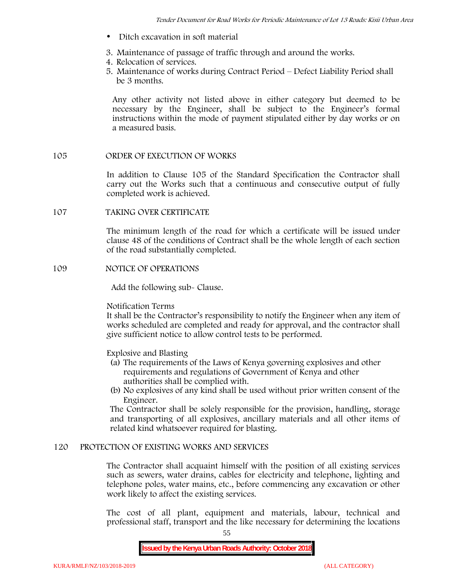- Ditch excavation in soft material
- **3. Maintenance of passage of traffic through and around the works.**
- **4. Relocation of services.**
- **5. Maintenance of works during Contract Period – Defect Liability Period shall be 3 months.**

Any other activity not listed above in either category but deemed to be necessary by the Engineer, shall be subject to the Engineer's formal instructions within the mode of payment stipulated either by day works or on a measured basis.

## **105 ORDER OF EXECUTION OF WORKS**

In addition to Clause 105 of the Standard Specification the Contractor shall carry out the Works such that a continuous and consecutive output of fully completed work is achieved.

**107 TAKING OVER CERTIFICATE**

The minimum length of the road for which a certificate will be issued under clause 48 of the conditions of Contract shall be the whole length of each section of the road substantially completed.

## **109 NOTICE OF OPERATIONS**

Add the following sub- Clause.

## Notification Terms

It shall be the Contractor's responsibility to notify the Engineer when any item of works scheduled are completed and ready for approval, and the contractor shall give sufficient notice to allow control tests to be performed.

Explosive and Blasting

- (a) The requirements of the Laws of Kenya governing explosives and other requirements and regulations of Government of Kenya and other authorities shall be complied with.
- (b) No explosives of any kind shall be used without prior written consent of the Engineer.

The Contractor shall be solely responsible for the provision, handling, storage and transporting of all explosives, ancillary materials and all other items of related kind whatsoever required for blasting.

## **120 PROTECTION OF EXISTING WORKS AND SERVICES**

The Contractor shall acquaint himself with the position of all existing services such as sewers, water drains, cables for electricity and telephone, lighting and telephone poles, water mains, etc., before commencing any excavation or other work likely to affect the existing services.

The cost of all plant, equipment and materials, labour, technical and professional staff, transport and the like necessary for determining the locations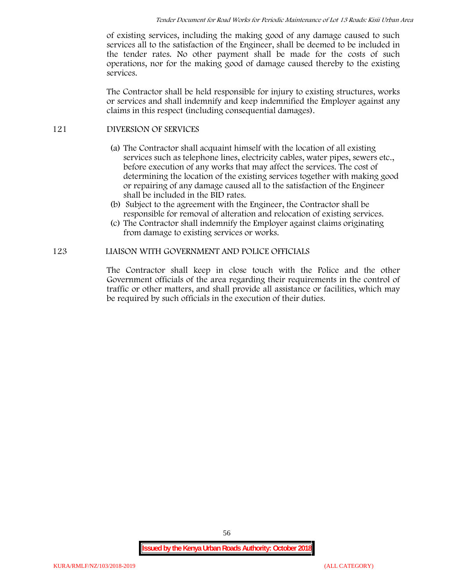of existing services, including the making good of any damage caused to such services all to the satisfaction of the Engineer, shall be deemed to be included in the tender rates. No other payment shall be made for the costs of such operations, nor for the making good of damage caused thereby to the existing services.

The Contractor shall be held responsible for injury to existing structures, works or services and shall indemnify and keep indemnified the Employer against any claims in this respect (including consequential damages).

## **121 DIVERSION OF SERVICES**

- (a) The Contractor shall acquaint himself with the location of all existing services such as telephone lines, electricity cables, water pipes, sewers etc., before execution of any works that may affect the services. The cost of determining the location of the existing services together with making good or repairing of any damage caused all to the satisfaction of the Engineer shall be included in the BID rates.
- (b) Subject to the agreement with the Engineer, the Contractor shall be responsible for removal of alteration and relocation of existing services.
- (c) The Contractor shall indemnify the Employer against claims originating from damage to existing services or works.

## **123 LIAISON WITH GOVERNMENT AND POLICE OFFICIALS**

The Contractor shall keep in close touch with the Police and the other Government officials of the area regarding their requirements in the control of traffic or other matters, and shall provide all assistance or facilities, which may be required by such officials in the execution of their duties.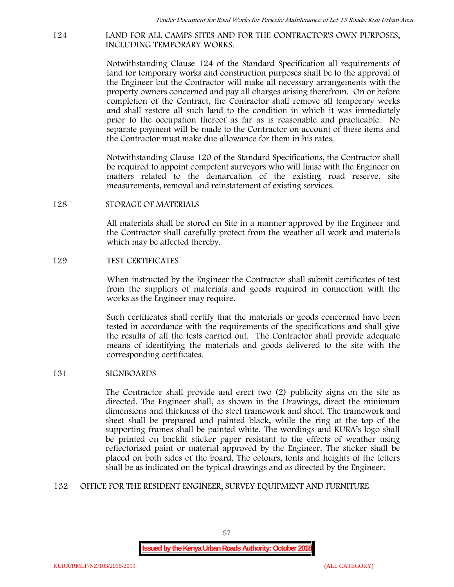#### **124 LAND FOR ALL CAMPS SITES AND FOR THE CONTRACTOR'S OWN PURPOSES, INCLUDING TEMPORARY WORKS.**

Notwithstanding Clause 124 of the Standard Specification all requirements of land for temporary works and construction purposes shall be to the approval of the Engineer but the Contractor will make all necessary arrangements with the property owners concerned and pay all charges arising therefrom. On or before completion of the Contract, the Contractor shall remove all temporary works and shall restore all such land to the condition in which it was immediately prior to the occupation thereof as far as is reasonable and practicable. No separate payment will be made to the Contractor on account of these items and the Contractor must make due allowance for them in his rates.

Notwithstanding Clause 120 of the Standard Specifications, the Contractor shall be required to appoint competent surveyors who will liaise with the Engineer on matters related to the demarcation of the existing road reserve, site measurements, removal and reinstatement of existing services.

## **128 STORAGE OF MATERIALS**

All materials shall be stored on Site in a manner approved by the Engineer and the Contractor shall carefully protect from the weather all work and materials which may be affected thereby.

#### **129 TEST CERTIFICATES**

When instructed by the Engineer the Contractor shall submit certificates of test from the suppliers of materials and goods required in connection with the works as the Engineer may require.

Such certificates shall certify that the materials or goods concerned have been tested in accordance with the requirements of the specifications and shall give the results of all the tests carried out. The Contractor shall provide adequate means of identifying the materials and goods delivered to the site with the corresponding certificates.

## **131 SIGNBOARDS**

The Contractor shall provide and erect two (2) publicity signs on the site as directed. The Engineer shall, as shown in the Drawings, direct the minimum dimensions and thickness of the steel framework and sheet. The framework and sheet shall be prepared and painted black, while the ring at the top of the supporting frames shall be painted white. The wordings and KURA's logo shall be printed on backlit sticker paper resistant to the effects of weather using reflectorised paint or material approved by the Engineer. The sticker shall be placed on both sides of the board. The colours, fonts and heights of the letters shall be as indicated on the typical drawings and as directed by the Engineer.

## **132 OFFICE FOR THE RESIDENT ENGINEER, SURVEY EQUIPMENT AND FURNITURE**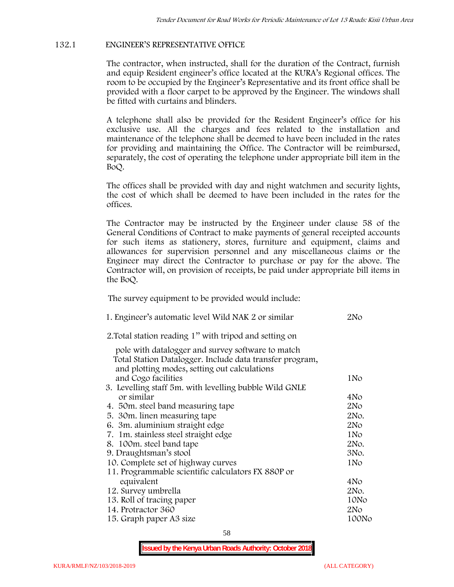## **132.1 ENGINEER'S REPRESENTATIVE OFFICE**

The contractor, when instructed, shall for the duration of the Contract, furnish and equip Resident engineer's office located at the KURA's Regional offices. The room to be occupied by the Engineer's Representative and its front office shall be provided with a floor carpet to be approved by the Engineer. The windows shall be fitted with curtains and blinders.

A telephone shall also be provided for the Resident Engineer's office for his exclusive use. All the charges and fees related to the installation and maintenance of the telephone shall be deemed to have been included in the rates for providing and maintaining the Office. The Contractor will be reimbursed, separately, the cost of operating the telephone under appropriate bill item in the BoQ.

The offices shall be provided with day and night watchmen and security lights, the cost of which shall be deemed to have been included in the rates for the offices.

The Contractor may be instructed by the Engineer under clause 58 of the General Conditions of Contract to make payments of general receipted accounts for such items as stationery, stores, furniture and equipment, claims and allowances for supervision personnel and any miscellaneous claims or the Engineer may direct the Contractor to purchase or pay for the above. The Contractor will, on provision of receipts, be paid under appropriate bill items in the BoQ.

**The survey equipment to be provided would include:**

| 1. Engineer's automatic level Wild NAK 2 or similar                 | 2N <sub>O</sub> |
|---------------------------------------------------------------------|-----------------|
| 2. Total station reading 1" with tripod and setting on              |                 |
| pole with datalogger and survey software to match                   |                 |
| Total Station Datalogger. Include data transfer program,            |                 |
| and plotting modes, setting out calculations<br>and Cogo facilities | 1No             |
| 3. Levelling staff 5m. with levelling bubble Wild GNLE              |                 |
| or similar                                                          | 4No             |
| 4. 50 m. steel band measuring tape                                  | 2N <sub>o</sub> |
| 5. 30 m. linen measuring tape                                       | 2No.            |
| 6. 3m. aluminium straight edge                                      | 2N <sub>O</sub> |
| 7. 1m. stainless steel straight edge                                | 1N <sub>o</sub> |
| 8. 100m. steel band tape                                            | 2No.            |
| 9. Draughtsman's stool                                              | 3No.            |
| 10. Complete set of highway curves                                  | 1No             |
| 11. Programmable scientific calculators FX 880P or                  |                 |
| equivalent                                                          | 4No             |
| 12. Survey umbrella                                                 | 2No.            |
| 13. Roll of tracing paper                                           | 10No            |
| 14. Protractor 360                                                  | 2N <sub>o</sub> |
| 15. Graph paper A3 size                                             | 100No           |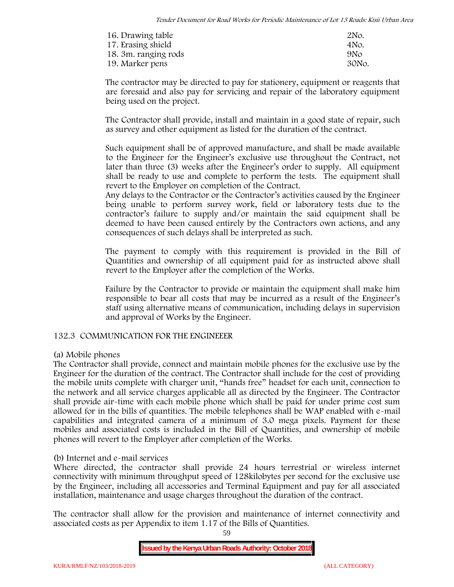| 16. Drawing table    | 2No.            |
|----------------------|-----------------|
| 17. Erasing shield   | 4No.            |
| 18. 3m. ranging rods | 9N <sub>O</sub> |
| 19. Marker pens      | 30No.           |

The contractor may be directed to pay for stationery, equipment or reagents that are foresaid and also pay for servicing and repair of the laboratory equipment being used on the project.

The Contractor shall provide, install and maintain in a good state of repair, such as survey and other equipment as listed for the duration of the contract.

Such equipment shall be of approved manufacture, and shall be made available to the Engineer for the Engineer's exclusive use throughout the Contract, not later than three (3) weeks after the Engineer's order to supply. All equipment shall be ready to use and complete to perform the tests. The equipment shall revert to the Employer on completion of the Contract.

Any delays to the Contractor or the Contractor's activities caused by the Engineer being unable to perform survey work, field or laboratory tests due to the contractor's failure to supply and/or maintain the said equipment shall be deemed to have been caused entirely by the Contractors own actions, and any consequences of such delays shall be interpreted as such.

The payment to comply with this requirement is provided in the Bill of Quantities and ownership of all equipment paid for as instructed above shall revert to the Employer after the completion of the Works.

Failure by the Contractor to provide or maintain the equipment shall make him responsible to bear all costs that may be incurred as a result of the Engineer's staff using alternative means of communication, including delays in supervision and approval of Works by the Engineer.

## **132.3 COMMUNICATION FOR THE ENGINEEER**

## **(a) Mobile phones**

The Contractor shall provide, connect and maintain mobile phones for the exclusive use by the Engineer for the duration of the contract. The Contractor shall include for the cost of providing the mobile units complete with charger unit, "hands free" headset for each unit, connection to the network and all service charges applicable all as directed by the Engineer. The Contractor shall provide air-time with each mobile phone which shall be paid for under prime cost sum allowed for in the bills of quantities. The mobile telephones shall be WAP enabled with e-mail capabilities and integrated camera of a minimum of 3.0 mega pixels. Payment for these mobiles and associated costs is included in the Bill of Quantities, and ownership of mobile phones will revert to the Employer after completion of the Works.

## **(b) Internet and e-mail services**

Where directed, the contractor shall provide 24 hours terrestrial or wireless internet connectivity with minimum throughput speed of 128kilobytes per second for the exclusive use by the Engineer, including all accessories and Terminal Equipment and pay for all associated installation, maintenance and usage charges throughout the duration of the contract.

The contractor shall allow for the provision and maintenance of internet connectivity and associated costs as per Appendix to item 1.17 of the Bills of Quantities.

59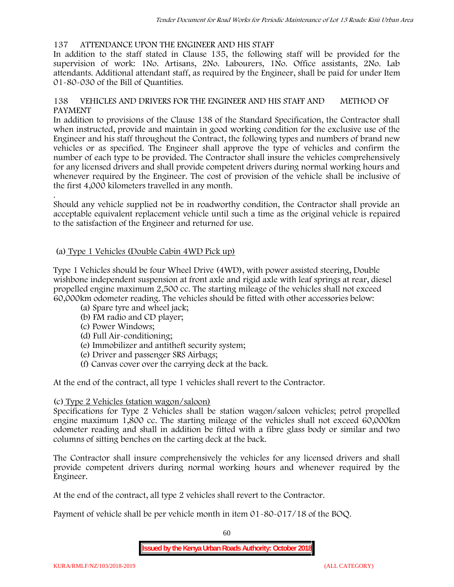## **137 ATTENDANCE UPON THE ENGINEER AND HIS STAFF**

In addition to the staff stated in Clause 135, the following staff will be provided for the supervision of work: 1No. Artisans, 2No. Labourers, 1No. Office assistants, 2No. Lab attendants. Additional attendant staff, as required by the Engineer, shall be paid for under Item 01-80-030 of the Bill of Quantities.

## **138 VEHICLES AND DRIVERS FOR THE ENGINEER AND HIS STAFF AND METHOD OF PAYMENT**

In addition to provisions of the Clause 138 of the Standard Specification, the Contractor shall when instructed, provide and maintain in good working condition for the exclusive use of the Engineer and his staff throughout the Contract, the following types and numbers of brand new vehicles or as specified. The Engineer shall approve the type of vehicles and confirm the number of each type to be provided. The Contractor shall insure the vehicles comprehensively for any licensed drivers and shall provide competent drivers during normal working hours and whenever required by the Engineer. The cost of provision of the vehicle shall be inclusive of the first 4,000 kilometers travelled in any month.

.Should any vehicle supplied not be in roadworthy condition, the Contractor shall provide an acceptable equivalent replacement vehicle until such a time as the original vehicle is repaired to the satisfaction of the Engineer and returned for use.

## **(a) Type 1 Vehicles (Double Cabin 4WD Pick up)**

Type 1 Vehicles should be four Wheel Drive (4WD), with power assisted steering, Double wishbone independent suspension at front axle and rigid axle with leaf springs at rear, diesel propelled engine maximum 2,500 cc. The starting mileage of the vehicles shall not exceed 60,000km odometer reading. The vehicles should be fitted with other accessories below:

- (a) Spare tyre and wheel jack;
- (b) FM radio and CD player;
- (c) Power Windows;
- (d) Full Air-conditioning;
- (e) Immobilizer and antitheft security system;
- (e) Driver and passenger SRS Airbags;
- (f) Canvas cover over the carrying deck at the back.

At the end of the contract, all type 1 vehicles shall revert to the Contractor.

## **(c) Type 2 Vehicles (station wagon/saloon)**

Specifications for Type 2 Vehicles shall be station wagon/saloon vehicles; petrol propelled engine maximum 1,800 cc. The starting mileage of the vehicles shall not exceed 60,000km odometer reading and shall in addition be fitted with a fibre glass body or similar and two columns of sitting benches on the carting deck at the back.

The Contractor shall insure comprehensively the vehicles for any licensed drivers and shall provide competent drivers during normal working hours and whenever required by the Engineer.

At the end of the contract, all type 2 vehicles shall revert to the Contractor.

Payment of vehicle shall be per vehicle month in item 01-80-017/18 of the BOQ.

60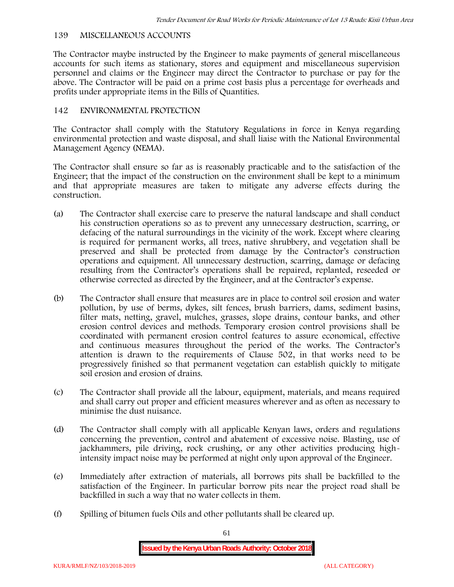## **139 MISCELLANEOUS ACCOUNTS**

The Contractor maybe instructed by the Engineer to make payments of general miscellaneous accounts for such items as stationary, stores and equipment and miscellaneous supervision personnel and claims or the Engineer may direct the Contractor to purchase or pay for the above. The Contractor will be paid on a prime cost basis plus a percentage for overheads and profits under appropriate items in the Bills of Quantities.

## **142 ENVIRONMENTAL PROTECTION**

The Contractor shall comply with the Statutory Regulations in force in Kenya regarding environmental protection and waste disposal, and shall liaise with the National Environmental Management Agency (NEMA).

The Contractor shall ensure so far as is reasonably practicable and to the satisfaction of the Engineer; that the impact of the construction on the environment shall be kept to a minimum and that appropriate measures are taken to mitigate any adverse effects during the construction.

- (a) The Contractor shall exercise care to preserve the natural landscape and shall conduct his construction operations so as to prevent any unnecessary destruction, scarring, or defacing of the natural surroundings in the vicinity of the work. Except where clearing is required for permanent works, all trees, native shrubbery, and vegetation shall be preserved and shall be protected from damage by the Contractor's construction operations and equipment. All unnecessary destruction, scarring, damage or defacing resulting from the Contractor's operations shall be repaired, replanted, reseeded or otherwise corrected as directed by the Engineer, and at the Contractor's expense.
- (b) The Contractor shall ensure that measures are in place to control soil erosion and water pollution, by use of berms, dykes, silt fences, brush barriers, dams, sediment basins, filter mats, netting, gravel, mulches, grasses, slope drains, contour banks, and other erosion control devices and methods. Temporary erosion control provisions shall be coordinated with permanent erosion control features to assure economical, effective and continuous measures throughout the period of the works. The Contractor's attention is drawn to the requirements of Clause 502, in that works need to be progressively finished so that permanent vegetation can establish quickly to mitigate soil erosion and erosion of drains.
- (c) The Contractor shall provide all the labour, equipment, materials, and means required and shall carry out proper and efficient measures wherever and as often as necessary to minimise the dust nuisance.
- (d) The Contractor shall comply with all applicable Kenyan laws, orders and regulations concerning the prevention, control and abatement of excessive noise. Blasting, use of jackhammers, pile driving, rock crushing, or any other activities producing highintensity impact noise may be performed at night only upon approval of the Engineer.
- (e) Immediately after extraction of materials, all borrows pits shall be backfilled to the satisfaction of the Engineer. In particular borrow pits near the project road shall be backfilled in such a way that no water collects in them.
- (f) Spilling of bitumen fuels Oils and other pollutants shall be cleared up.

61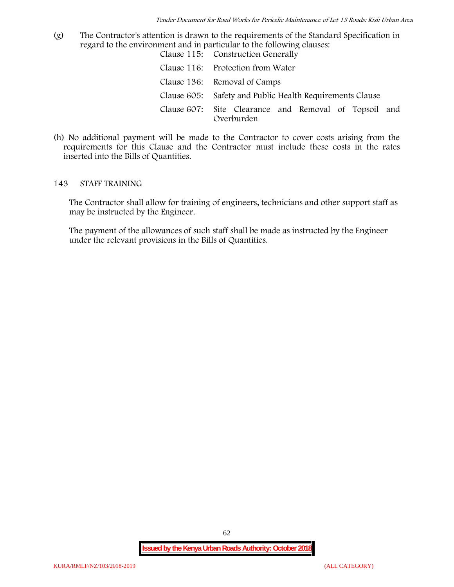(g) The Contractor's attention is drawn to the requirements of the Standard Specification in regard to the environment and in particular to the following clauses: Clause 115: Construction Generally

| Claude 110. Conditation denotanty                                   |
|---------------------------------------------------------------------|
| Clause 116: Protection from Water                                   |
| Clause 136: Removal of Camps                                        |
| Clause 605: Safety and Public Health Requirements Clause            |
| Clause 607: Site Clearance and Removal of Topsoil and<br>Overburden |

(h) No additional payment will be made to the Contractor to cover costs arising from the requirements for this Clause and the Contractor must include these costs in the rates inserted into the Bills of Quantities.

#### **143 STAFF TRAINING**

The Contractor shall allow for training of engineers, technicians and other support staff as may be instructed by the Engineer.

The payment of the allowances of such staff shall be made as instructed by the Engineer under the relevant provisions in the Bills of Quantities.

62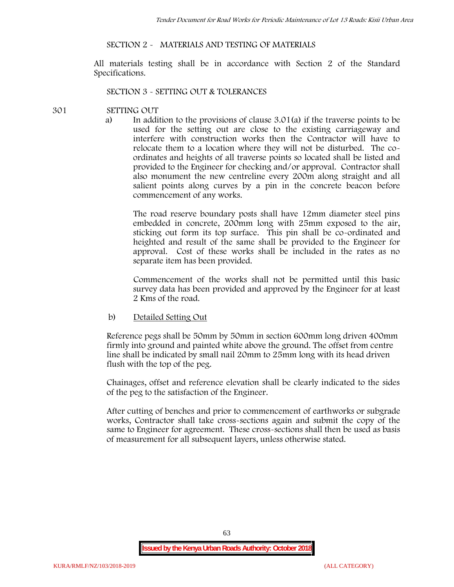## **SECTION 2 - MATERIALS AND TESTING OF MATERIALS**

All materials testing shall be in accordance with Section 2 of the Standard Specifications.

#### **SECTION 3 - SETTING OUT & TOLERANCES**

#### **301 SETTING OUT**

a) In addition to the provisions of clause 3.01(a) if the traverse points to be used for the setting out are close to the existing carriageway and interfere with construction works then the Contractor will have to relocate them to a location where they will not be disturbed. The co ordinates and heights of all traverse points so located shall be listed and provided to the Engineer for checking and/or approval. Contractor shall also monument the new centreline every 200m along straight and all salient points along curves by a pin in the concrete beacon before commencement of any works.

The road reserve boundary posts shall have 12mm diameter steel pins embedded in concrete, 200mm long with 25mm exposed to the air, sticking out form its top surface. This pin shall be co-ordinated and heighted and result of the same shall be provided to the Engineer for approval. Cost of these works shall be included in the rates as no separate item has been provided.

Commencement of the works shall not be permitted until this basic survey data has been provided and approved by the Engineer for at least 2 Kms of the road.

b) Detailed Setting Out

Reference pegs shall be 50mm by 50mm in section 600mm long driven 400mm firmly into ground and painted white above the ground. The offset from centre line shall be indicated by small nail 20mm to 25mm long with its head driven flush with the top of the peg.

Chainages, offset and reference elevation shall be clearly indicated to the sides of the peg to the satisfaction of the Engineer.

After cutting of benches and prior to commencement of earthworks or subgrade works, Contractor shall take cross-sections again and submit the copy of the same to Engineer for agreement. These cross-sections shall then be used as basis of measurement for all subsequent layers, unless otherwise stated.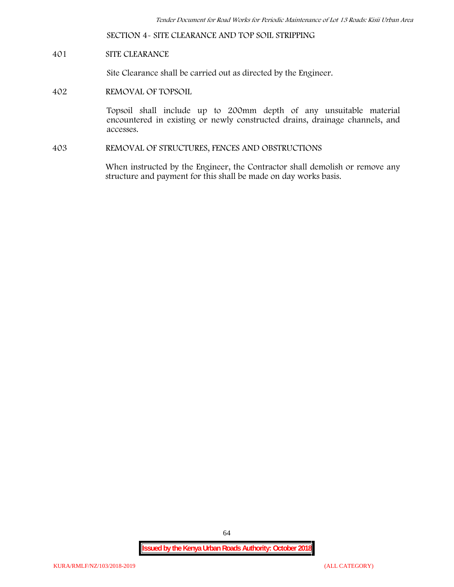**SECTION 4- SITE CLEARANCE AND TOP SOIL STRIPPING**

## **401 SITE CLEARANCE**

Site Clearance shall be carried out as directed by the Engineer.

**402 REMOVAL OF TOPSOIL**

Topsoil shall include up to 200mm depth of any unsuitable material encountered in existing or newly constructed drains, drainage channels, and accesses.

**403 REMOVAL OF STRUCTURES, FENCES AND OBSTRUCTIONS**

When instructed by the Engineer, the Contractor shall demolish or remove any structure and payment for this shall be made on day works basis.

64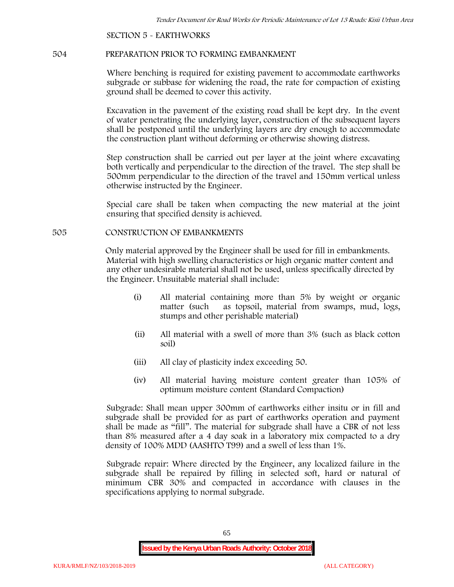**SECTION 5 - EARTHWORKS**

#### **504 PREPARATION PRIOR TO FORMING EMBANKMENT**

Where benching is required for existing pavement to accommodate earthworks subgrade or subbase for widening the road, the rate for compaction of existing ground shall be deemed to cover this activity.

Excavation in the pavement of the existing road shall be kept dry. In the event of water penetrating the underlying layer, construction of the subsequent layers shall be postponed until the underlying layers are dry enough to accommodate the construction plant without deforming or otherwise showing distress.

Step construction shall be carried out per layer at the joint where excavating both vertically and perpendicular to the direction of the travel. The step shall be 500mm perpendicular to the direction of the travel and 150mm vertical unless otherwise instructed by the Engineer.

Special care shall be taken when compacting the new material at the joint ensuring that specified density is achieved.

## **505 CONSTRUCTION OF EMBANKMENTS**

Only material approved by the Engineer shall be used for fill in embankments. Material with high swelling characteristics or high organic matter content and any other undesirable material shall not be used, unless specifically directed by the Engineer. Unsuitable material shall include:

- (i) All material containing more than 5% by weight or organic matter (such as topsoil, material from swamps, mud, logs, stumps and other perishable material)
- (ii) All material with a swell of more than 3% (such as black cotton soil)
- (iii) All clay of plasticity index exceeding 50.
- (iv) All material having moisture content greater than 105% of optimum moisture content (Standard Compaction)

Subgrade: Shall mean upper 300mm of earthworks either insitu or in fill and subgrade shall be provided for as part of earthworks operation and payment shall be made as "fill". The material for subgrade shall have a CBR of not less than 8% measured after a 4 day soak in a laboratory mix compacted to a dry density of 100% MDD (AASHTO T99) and a swell of less than 1%.

Subgrade repair: Where directed by the Engineer, any localized failure in the subgrade shall be repaired by filling in selected soft, hard or natural of minimum CBR 30% and compacted in accordance with clauses in the specifications applying to normal subgrade.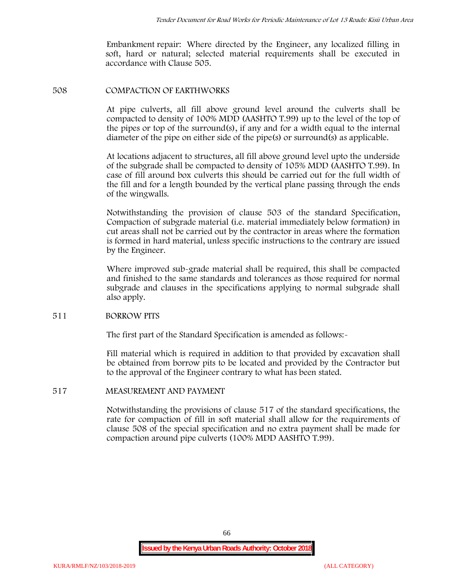Embankment repair: Where directed by the Engineer, any localized filling in soft, hard or natural; selected material requirements shall be executed in accordance with Clause 505.

#### **508 COMPACTION OF EARTHWORKS**

At pipe culverts, all fill above ground level around the culverts shall be compacted to density of 100% MDD (AASHTO T.99) up to the level of the top of the pipes or top of the surround(s), if any and for a width equal to the internal diameter of the pipe on either side of the pipe(s) or surround(s) as applicable.

At locations adjacent to structures, all fill above ground level upto the underside of the subgrade shall be compacted to density of 105% MDD (AASHTO T.99). In case of fill around box culverts this should be carried out for the full width of the fill and for a length bounded by the vertical plane passing through the ends of the wingwalls.

Notwithstanding the provision of clause 503 of the standard Specification, Compaction of subgrade material (i.e. material immediately below formation) in cut areas shall not be carried out by the contractor in areas where the formation is formed in hard material, unless specific instructions to the contrary are issued by the Engineer.

Where improved sub-grade material shall be required, this shall be compacted and finished to the same standards and tolerances as those required for normal subgrade and clauses in the specifications applying to normal subgrade shall also apply.

## **511 BORROW PITS**

The first part of the Standard Specification is amended as follows:

Fill material which is required in addition to that provided by excavation shall be obtained from borrow pits to be located and provided by the Contractor but to the approval of the Engineer contrary to what has been stated.

## **517 MEASUREMENT AND PAYMENT**

Notwithstanding the provisions of clause 517 of the standard specifications, the rate for compaction of fill in soft material shall allow for the requirements of clause 508 of the special specification and no extra payment shall be made for compaction around pipe culverts (100% MDD AASHTO T.99).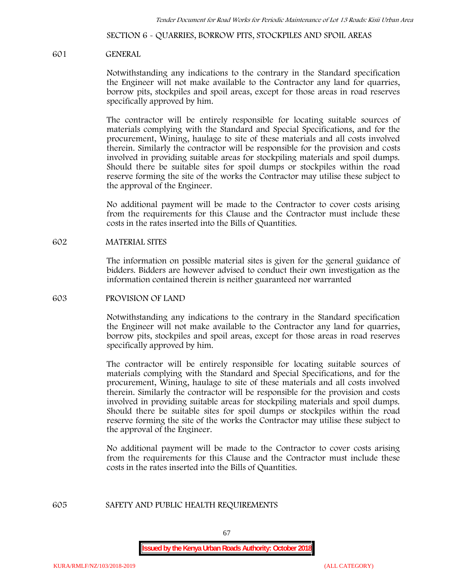**SECTION 6 - QUARRIES, BORROW PITS, STOCKPILES AND SPOIL AREAS**

#### **601 GENERAL**

Notwithstanding any indications to the contrary in the Standard specification the Engineer will not make available to the Contractor any land for quarries, borrow pits, stockpiles and spoil areas, except for those areas in road reserves specifically approved by him.

The contractor will be entirely responsible for locating suitable sources of materials complying with the Standard and Special Specifications, and for the procurement, Wining, haulage to site of these materials and all costs involved therein. Similarly the contractor will be responsible for the provision and costs involved in providing suitable areas for stockpiling materials and spoil dumps. Should there be suitable sites for spoil dumps or stockpiles within the road reserve forming the site of the works the Contractor may utilise these subject to the approval of the Engineer.

No additional payment will be made to the Contractor to cover costs arising from the requirements for this Clause and the Contractor must include these costs in the rates inserted into the Bills of Quantities.

#### **602 MATERIAL SITES**

The information on possible material sites is given for the general guidance of bidders. Bidders are however advised to conduct their own investigation as the information contained therein is neither guaranteed nor warranted

#### **603 PROVISION OF LAND**

Notwithstanding any indications to the contrary in the Standard specification the Engineer will not make available to the Contractor any land for quarries, borrow pits, stockpiles and spoil areas, except for those areas in road reserves specifically approved by him.

The contractor will be entirely responsible for locating suitable sources of materials complying with the Standard and Special Specifications, and for the procurement, Wining, haulage to site of these materials and all costs involved therein. Similarly the contractor will be responsible for the provision and costs involved in providing suitable areas for stockpiling materials and spoil dumps. Should there be suitable sites for spoil dumps or stockpiles within the road reserve forming the site of the works the Contractor may utilise these subject to the approval of the Engineer.

No additional payment will be made to the Contractor to cover costs arising from the requirements for this Clause and the Contractor must include these costs in the rates inserted into the Bills of Quantities.

#### **605 SAFETY AND PUBLIC HEALTH REQUIREMENTS**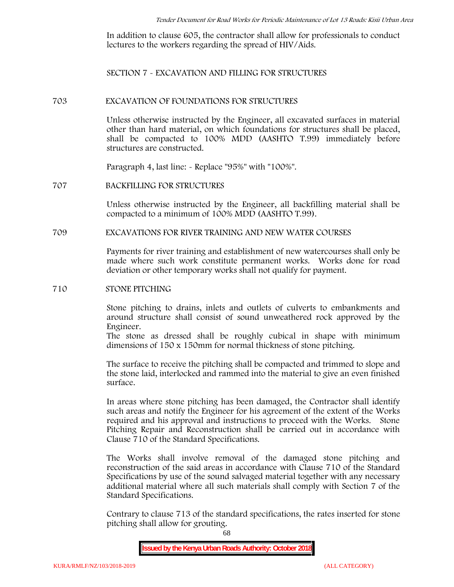In addition to clause 605, the contractor shall allow for professionals to conduct lectures to the workers regarding the spread of HIV/Aids.

**SECTION 7 - EXCAVATION AND FILLING FOR STRUCTURES**

#### **703 EXCAVATION OF FOUNDATIONS FOR STRUCTURES**

Unless otherwise instructed by the Engineer, all excavated surfaces in material other than hard material, on which foundations for structures shall be placed, shall be compacted to 100% MDD (AASHTO T.99) immediately before structures are constructed.

Paragraph 4, last line: - Replace "95%" with "100%".

#### **707 BACKFILLING FOR STRUCTURES**

Unless otherwise instructed by the Engineer, all backfilling material shall be compacted to a minimum of 100% MDD (AASHTO T.99).

## **709 EXCAVATIONS FOR RIVER TRAINING AND NEW WATER COURSES**

Payments for river training and establishment of new watercourses shall only be made where such work constitute permanent works. Works done for road deviation or other temporary works shall not qualify for payment.

#### **710 STONE PITCHING**

Stone pitching to drains, inlets and outlets of culverts to embankments and around structure shall consist of sound unweathered rock approved by the Engineer.

The stone as dressed shall be roughly cubical in shape with minimum dimensions of 150 x 150mm for normal thickness of stone pitching.

The surface to receive the pitching shall be compacted and trimmed to slope and the stone laid, interlocked and rammed into the material to give an even finished surface.

In areas where stone pitching has been damaged, the Contractor shall identify such areas and notify the Engineer for his agreement of the extent of the Works required and his approval and instructions to proceed with the Works. Stone Pitching Repair and Reconstruction shall be carried out in accordance with Clause 710 of the Standard Specifications.

The Works shall involve removal of the damaged stone pitching and reconstruction of the said areas in accordance with Clause 710 of the Standard Specifications by use of the sound salvaged material together with any necessary additional material where all such materials shall comply with Section 7 of the Standard Specifications.

Contrary to clause 713 of the standard specifications, the rates inserted for stone pitching shall allow for grouting.

68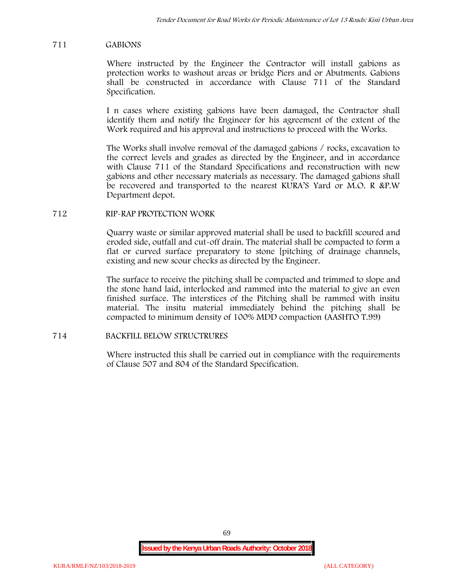## **711 GABIONS**

Where instructed by the Engineer the Contractor will install gabions as protection works to washout areas or bridge Piers and or Abutments. Gabions shall be constructed in accordance with Clause 711 of the Standard Specification.

I n cases where existing gabions have been damaged, the Contractor shall identify them and notify the Engineer for his agreement of the extent of the Work required and his approval and instructions to proceed with the Works.

The Works shall involve removal of the damaged gabions / rocks, excavation to the correct levels and grades as directed by the Engineer, and in accordance with Clause 711 of the Standard Specifications and reconstruction with new gabions and other necessary materials as necessary. The damaged gabions shall be recovered and transported to the nearest KURA'S Yard or M.O. R &P.W Department depot.

## **712 RIP-RAP PROTECTION WORK**

Quarry waste or similar approved material shall be used to backfill scoured and eroded side, outfall and cut-off drain. The material shall be compacted to form a flat or curved surface preparatory to stone [pitching of drainage channels, existing and new scour checks as directed by the Engineer.

The surface to receive the pitching shall be compacted and trimmed to slope and the stone hand laid, interlocked and rammed into the material to give an even finished surface. The interstices of the Pitching shall be rammed with insitu material. The insitu material immediately behind the pitching shall be compacted to minimum density of 100% MDD compaction (AASHTO T.99)

# **714 BACKFILL BELOW STRUCTRURES**

Where instructed this shall be carried out in compliance with the requirements of Clause 507 and 804 of the Standard Specification.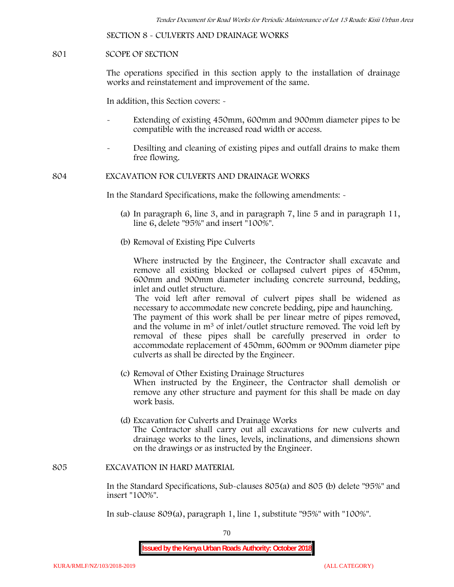**SECTION 8 - CULVERTS AND DRAINAGE WORKS**

#### **801 SCOPE OF SECTION**

The operations specified in this section apply to the installation of drainage works and reinstatement and improvement of the same.

In addition, this Section covers: -

- Extending of existing 450mm, 600mm and 900mm diameter pipes to be compatible with the increased road width or access.
- Desilting and cleaning of existing pipes and outfall drains to make them free flowing.

**804 EXCAVATION FOR CULVERTS AND DRAINAGE WORKS**

In the Standard Specifications, make the following amendments: -

- (a) In paragraph 6, line 3, and in paragraph 7, line 5 and in paragraph 11, line 6, delete "95%" and insert "100%".
- (b) Removal of Existing Pipe Culverts

Where instructed by the Engineer, the Contractor shall excavate and remove all existing blocked or collapsed culvert pipes of 450mm, 600mm and 900mm diameter including concrete surround, bedding, inlet and outlet structure.

The void left after removal of culvert pipes shall be widened as necessary to accommodate new concrete bedding, pipe and haunching. The payment of this work shall be per linear metre of pipes removed,

and the volume in m<sup>3</sup> of inlet/outlet structure removed. The void left by removal of these pipes shall be carefully preserved in order to accommodate replacement of 450mm, 600mm or 900mm diameter pipe culverts as shall be directed by the Engineer.

- (c) Removal of Other Existing Drainage Structures When instructed by the Engineer, the Contractor shall demolish or remove any other structure and payment for this shall be made on day work basis.
- (d) Excavation for Culverts and Drainage Works The Contractor shall carry out all excavations for new culverts and drainage works to the lines, levels, inclinations, and dimensions shown on the drawings or as instructed by the Engineer.

#### **805 EXCAVATION IN HARD MATERIAL**

In the Standard Specifications, Sub-clauses 805(a) and 805 (b) delete "95%" and insert "100%".

In sub-clause 809(a), paragraph 1, line 1, substitute "95%" with "100%".

70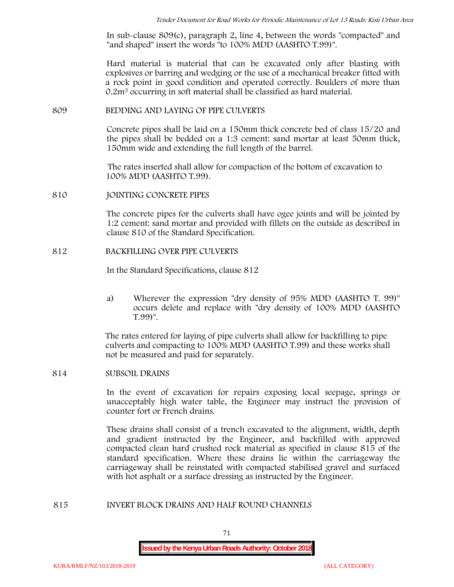In sub-clause 809(c), paragraph 2, line 4, between the words "compacted" and "and shaped" insert the words "to 100% MDD (AASHTO T.99)".

Hard material is material that can be excavated only after blasting with explosives or barring and wedging or the use of a mechanical breaker fitted with a rock point in good condition and operated correctly. Boulders of more than 0.2m<sup>3</sup> occurring in soft material shall be classified as hard material.

#### **809 BEDDING AND LAYING OF PIPE CULVERTS**

Concrete pipes shall be laid on a 150mm thick concrete bed of class 15/20 and the pipes shall be bedded on a 1:3 cement: sand mortar at least 50mm thick, 150mm wide and extending the full length of the barrel.

The rates inserted shall allow for compaction of the bottom of excavation to 100% MDD (AASHTO T.99).

#### **810 JOINTING CONCRETE PIPES**

The concrete pipes for the culverts shall have ogee joints and will be jointed by 1:2 cement: sand mortar and provided with fillets on the outside as described in clause 810 of the Standard Specification.

#### **812 BACKFILLING OVER PIPE CULVERTS**

In the Standard Specifications, clause 812

a) Wherever the expression "dry density of 95% MDD (AASHTO T. 99)" occurs delete and replace with "dry density of 100% MDD (AASHTO T.99)".

The rates entered for laying of pipe culverts shall allow for backfilling to pipe culverts and compacting to 100% MDD (AASHTO T.99) and these works shall not be measured and paid for separately.

## **814 SUBSOIL DRAINS**

In the event of excavation for repairs exposing local seepage, springs or unacceptably high water table, the Engineer may instruct the provision of counter fort or French drains.

These drains shall consist of a trench excavated to the alignment, width, depth and gradient instructed by the Engineer, and backfilled with approved compacted clean hard crushed rock material as specified in clause 815 of the standard specification. Where these drains lie within the carriageway the carriageway shall be reinstated with compacted stabilised gravel and surfaced with hot asphalt or a surface dressing as instructed by the Engineer.

#### **815 INVERT BLOCK DRAINS AND HALF ROUND CHANNELS**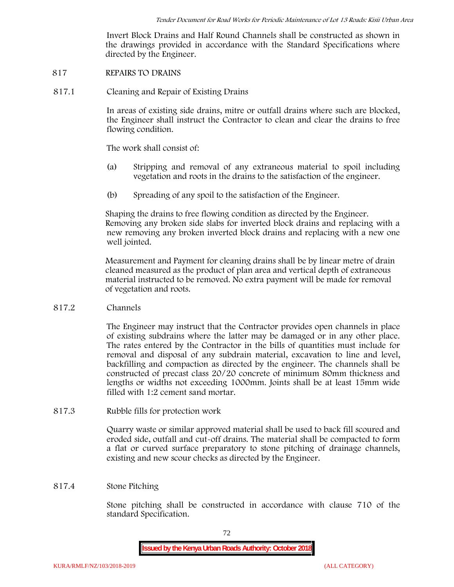Invert Block Drains and Half Round Channels shall be constructed as shown in the drawings provided in accordance with the Standard Specifications where directed by the Engineer.

- **817 REPAIRS TO DRAINS**
- **817.1 Cleaning and Repair of Existing Drains**

In areas of existing side drains, mitre or outfall drains where such are blocked, the Engineer shall instruct the Contractor to clean and clear the drains to free flowing condition.

The work shall consist of:

- (a) Stripping and removal of any extraneous material to spoil including vegetation and roots in the drains to the satisfaction of the engineer.
- (b) Spreading of any spoil to the satisfaction of the Engineer.

Shaping the drains to free flowing condition as directed by the Engineer. Removing any broken side slabs for inverted block drains and replacing with a new removing any broken inverted block drains and replacing with a new one well jointed.

Measurement and Payment for cleaning drains shall be by linear metre of drain cleaned measured as the product of plan area and vertical depth of extraneous material instructed to be removed. No extra payment will be made for removal of vegetation and roots.

**817.2 Channels**

The Engineer may instruct that the Contractor provides open channels in place of existing subdrains where the latter may be damaged or in any other place. The rates entered by the Contractor in the bills of quantities must include for removal and disposal of any subdrain material, excavation to line and level, backfilling and compaction as directed by the engineer. The channels shall be constructed of precast class 20/20 concrete of minimum 80mm thickness and lengths or widths not exceeding 1000mm. Joints shall be at least 15mm wide filled with 1:2 cement sand mortar.

**817.3 Rubble fills for protection work**

Quarry waste or similar approved material shall be used to back fill scoured and eroded side, outfall and cut-off drains. The material shall be compacted to form a flat or curved surface preparatory to stone pitching of drainage channels, existing and new scour checks as directed by the Engineer.

## **817.4 Stone Pitching**

Stone pitching shall be constructed in accordance with clause 710 of the standard Specification.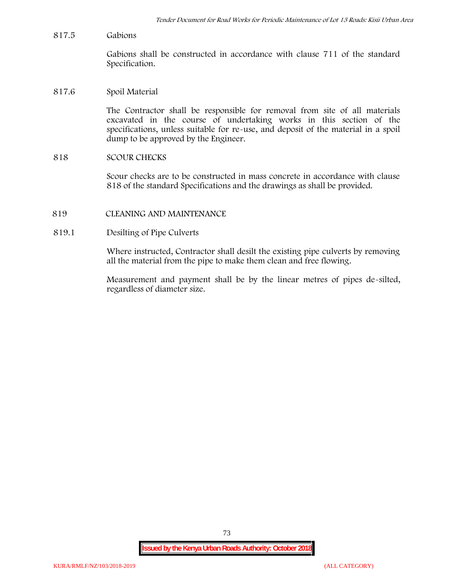**817.5 Gabions**

Gabions shall be constructed in accordance with clause 711 of the standard Specification.

**817.6 Spoil Material**

The Contractor shall be responsible for removal from site of all materials excavated in the course of undertaking works in this section of the specifications, unless suitable for re-use, and deposit of the material in a spoil dump to be approved by the Engineer.

**818 SCOUR CHECKS**

Scour checks are to be constructed in mass concrete in accordance with clause 818 of the standard Specifications and the drawings as shall be provided.

- **819 CLEANING AND MAINTENANCE**
- **819.1 Desilting of Pipe Culverts**

Where instructed, Contractor shall desilt the existing pipe culverts by removing all the material from the pipe to make them clean and free flowing.

Measurement and payment shall be by the linear metres of pipes de-silted, regardless of diameter size.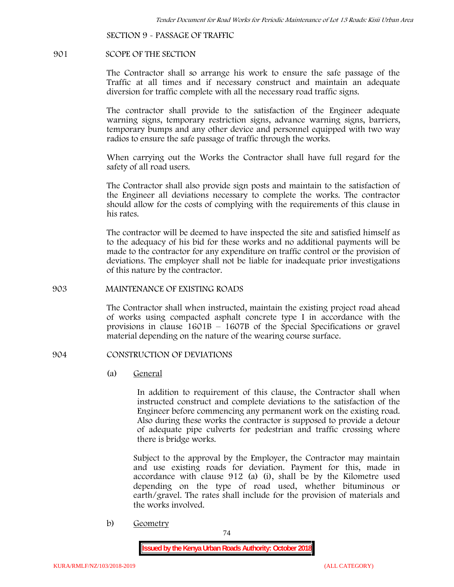**SECTION 9 - PASSAGE OF TRAFFIC**

#### **901 SCOPE OF THE SECTION**

The Contractor shall so arrange his work to ensure the safe passage of the Traffic at all times and if necessary construct and maintain an adequate diversion for traffic complete with all the necessary road traffic signs.

The contractor shall provide to the satisfaction of the Engineer adequate warning signs, temporary restriction signs, advance warning signs, barriers, temporary bumps and any other device and personnel equipped with two way radios to ensure the safe passage of traffic through the works.

When carrying out the Works the Contractor shall have full regard for the safety of all road users.

The Contractor shall also provide sign posts and maintain to the satisfaction of the Engineer all deviations necessary to complete the works. The contractor should allow for the costs of complying with the requirements of this clause in his rates.

The contractor will be deemed to have inspected the site and satisfied himself as to the adequacy of his bid for these works and no additional payments will be made to the contractor for any expenditure on traffic control or the provision of deviations. The employer shall not be liable for inadequate prior investigations of this nature by the contractor.

#### **903 MAINTENANCE OF EXISTING ROADS**

The Contractor shall when instructed, maintain the existing project road ahead of works using compacted asphalt concrete type I in accordance with the provisions in clause 1601B – 1607B of the Special Specifications or gravel material depending on the nature of the wearing course surface.

#### **904 CONSTRUCTION OF DEVIATIONS**

(a) **General**

In addition to requirement of this clause, the Contractor shall when instructed construct and complete deviations to the satisfaction of the Engineer before commencing any permanent work on the existing road. Also during these works the contractor is supposed to provide a detour of adequate pipe culverts for pedestrian and traffic crossing where there is bridge works.

Subject to the approval by the Employer, the Contractor may maintain and use existing roads for deviation. Payment for this, made in accordance with clause 912 (a) (i), shall be by the Kilometre used depending on the type of road used, whether bituminous or earth/gravel. The rates shall include for the provision of materials and the works involved.

b) **Geometry**

74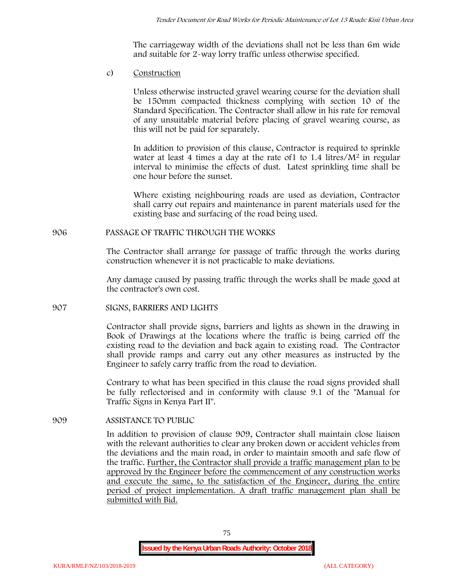The carriageway width of the deviations shall not be less than 6m wide and suitable for 2-way lorry traffic unless otherwise specified.

c) **Construction**

Unless otherwise instructed gravel wearing course for the deviation shall be 150mm compacted thickness complying with section 10 of the Standard Specification. The Contractor shall allow in his rate for removal of any unsuitable material before placing of gravel wearing course, as this will not be paid for separately.

In addition to provision of this clause, Contractor is required to sprinkle water at least 4 times a day at the rate of  $1$  to  $1.4$  litres/ $M<sup>2</sup>$  in regular interval to minimise the effects of dust. Latest sprinkling time shall be one hour before the sunset.

Where existing neighbouring roads are used as deviation, Contractor shall carry out repairs and maintenance in parent materials used for the existing base and surfacing of the road being used.

## **906 PASSAGE OF TRAFFIC THROUGH THE WORKS**

The Contractor shall arrange for passage of traffic through the works during construction whenever it is not practicable to make deviations.

Any damage caused by passing traffic through the works shall be made good at the contractor's own cost.

## **907 SIGNS, BARRIERS AND LIGHTS**

Contractor shall provide signs, barriers and lights as shown in the drawing in Book of Drawings at the locations where the traffic is being carried off the existing road to the deviation and back again to existing road. The Contractor shall provide ramps and carry out any other measures as instructed by the Engineer to safely carry traffic from the road to deviation.

Contrary to what has been specified in this clause the road signs provided shall be fully reflectorised and in conformity with clause 9.1 of the "Manual for Traffic Signs in Kenya Part II".

# **909 ASSISTANCE TO PUBLIC**

In addition to provision of clause 909, Contractor shall maintain close liaison with the relevant authorities to clear any broken down or accident vehicles from the deviations and the main road, in order to maintain smooth and safe flow of the traffic. Further, the Contractor shall provide a traffic management plan to be approved by the Engineer before the commencement of any construction works and execute the same, to the satisfaction of the Engineer, during the entire period of project implementation. A draft traffic management plan shall be submitted with Bid.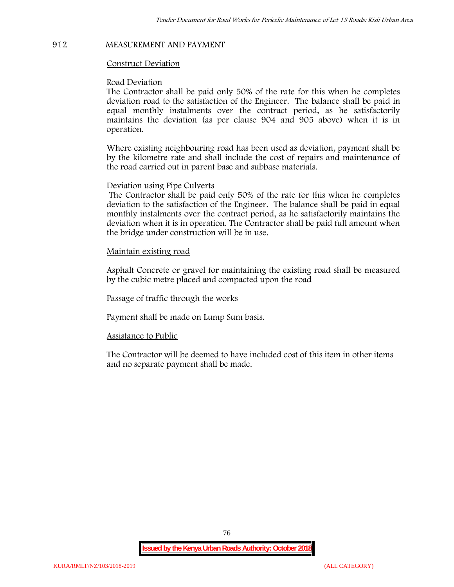# **912 MEASUREMENT AND PAYMENT**

#### **Construct Deviation**

#### **Road Deviation**

The Contractor shall be paid only 50% of the rate for this when he completes deviation road to the satisfaction of the Engineer. The balance shall be paid in equal monthly instalments over the contract period, as he satisfactorily maintains the deviation (as per clause 904 and 905 above) when it is in operation.

Where existing neighbouring road has been used as deviation, payment shall be by the kilometre rate and shall include the cost of repairs and maintenance of the road carried out in parent base and subbase materials.

#### **Deviation using Pipe Culverts**

The Contractor shall be paid only 50% of the rate for this when he completes deviation to the satisfaction of the Engineer. The balance shall be paid in equal monthly instalments over the contract period, as he satisfactorily maintains the deviation when it is in operation. The Contractor shall be paid full amount when the bridge under construction will be in use.

#### **Maintain existing road**

Asphalt Concrete or gravel for maintaining the existing road shall be measured by the cubic metre placed and compacted upon the road

#### **Passage of traffic through the works**

Payment shall be made on Lump Sum basis.

#### **Assistance to Public**

The Contractor will be deemed to have included cost of this item in other items and no separate payment shall be made.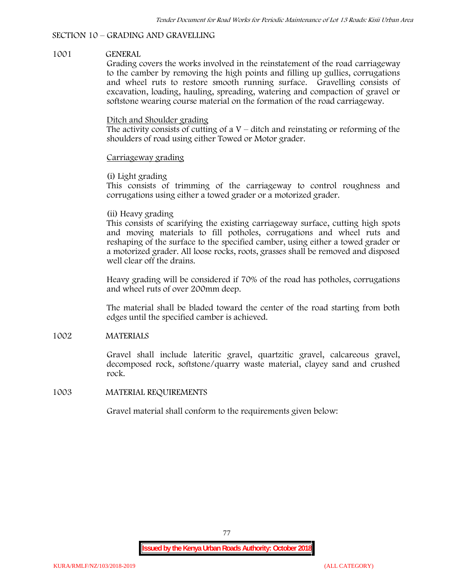## **SECTION 10 – GRADING AND GRAVELLING**

# **1001 GENERAL**

Grading covers the works involved in the reinstatement of the road carriageway to the camber by removing the high points and filling up gullies, corrugations and wheel ruts to restore smooth running surface. Gravelling consists of excavation, loading, hauling, spreading, watering and compaction of gravel or softstone wearing course material on the formation of the road carriageway.

## Ditch and Shoulder grading

The activity consists of cutting of a  $V$  – ditch and reinstating or reforming of the shoulders of road using either Towed or Motor grader.

# Carriageway grading

# **(i) Light grading**

This consists of trimming of the carriageway to control roughness and corrugations using either a towed grader or a motorized grader.

# **(ii) Heavy grading**

This consists of scarifying the existing carriageway surface, cutting high spots and moving materials to fill potholes, corrugations and wheel ruts and reshaping of the surface to the specified camber, using either a towed grader or a motorized grader. All loose rocks, roots, grasses shall be removed and disposed well clear off the drains.

Heavy grading will be considered if 70% of the road has potholes, corrugations and wheel ruts of over 200mm deep.

The material shall be bladed toward the center of the road starting from both edges until the specified camber is achieved.

# **1002 MATERIALS**

Gravel shall include lateritic gravel, quartzitic gravel, calcareous gravel, decomposed rock, softstone/quarry waste material, clayey sand and crushed rock.

## **1003 MATERIAL REQUIREMENTS**

Gravel material shall conform to the requirements given below: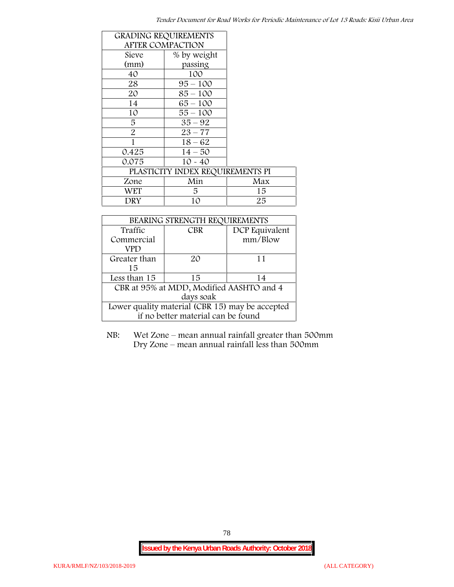| <b>GRADING REQUIREMENTS</b> |                                  |     |
|-----------------------------|----------------------------------|-----|
| <b>AFTER COMPACTION</b>     |                                  |     |
| Sieve                       | % by weight                      |     |
| (mm)                        | passing                          |     |
| 40                          | 100                              |     |
| 28                          | $95 - 100$                       |     |
| 20                          | $85 - 100$                       |     |
| 14                          | $65 - 100$                       |     |
| 10                          | $55 - 100$                       |     |
| 5                           | $35 - 92$                        |     |
| $\overline{2}$              | $23 - 77$                        |     |
|                             | $18 - 62$                        |     |
| 0.425                       | $14 - 50$                        |     |
| 0.075                       | $10 - 40$                        |     |
|                             | PLASTICITY INDEX REQUIREMENTS PI |     |
| Zone                        | Min                              | Max |
| <b>WET</b>                  | 5.                               | 15  |
| DRY                         | 10                               | 25  |

| BEARING STRENGTH REQUIREMENTS                   |            |                |  |  |
|-------------------------------------------------|------------|----------------|--|--|
| Traffic                                         | <b>CBR</b> | DCP Equivalent |  |  |
| Commercial                                      |            | mm/Blow        |  |  |
| VPD                                             |            |                |  |  |
| Greater than                                    | 20         | 11             |  |  |
| 15                                              |            |                |  |  |
| Less than 15                                    | 15         | 14             |  |  |
| CBR at 95% at MDD, Modified AASHTO and 4        |            |                |  |  |
| days soak                                       |            |                |  |  |
| Lower quality material (CBR 15) may be accepted |            |                |  |  |
| if no better material can be found              |            |                |  |  |

NB: Wet Zone – mean annual rainfall greater than 500mm Dry Zone – mean annual rainfall less than 500mm

78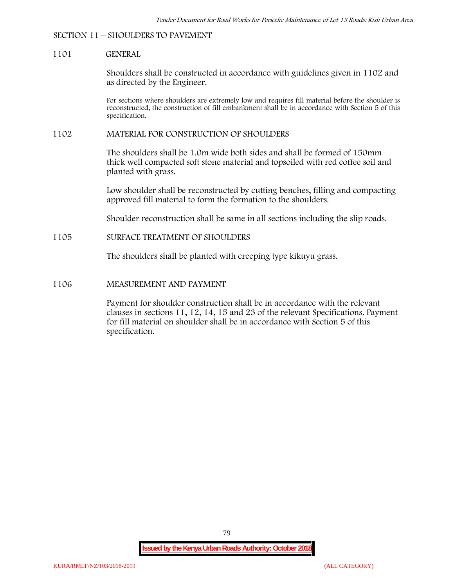### **SECTION 11 – SHOULDERS TO PAVEMENT**

#### **1101 GENERAL**

Shoulders shall be constructed in accordance with guidelines given in 1102 and as directed by the Engineer.

For sections where shoulders are extremely low and requires fill material before the shoulder is reconstructed, the construction of fill embankment shall be in accordance with Section 5 of this specification.

#### **1102 MATERIAL FOR CONSTRUCTION OF SHOULDERS**

The shoulders shall be 1.0m wide both sides and shall be formed of 150mm thick well compacted soft stone material and topsoiled with red coffee soil and planted with grass.

Low shoulder shall be reconstructed by cutting benches, filling and compacting approved fill material to form the formation to the shoulders.

Shoulder reconstruction shall be same in all sections including the slip roads.

#### **1105 SURFACE TREATMENT OF SHOULDERS**

The shoulders shall be planted with creeping type kikuyu grass.

#### **1106 MEASUREMENT AND PAYMENT**

Payment for shoulder construction shall be in accordance with the relevant clauses in sections 11, 12, 14, 15 and 23 of the relevant Specifications. Payment for fill material on shoulder shall be in accordance with Section 5 of this specification.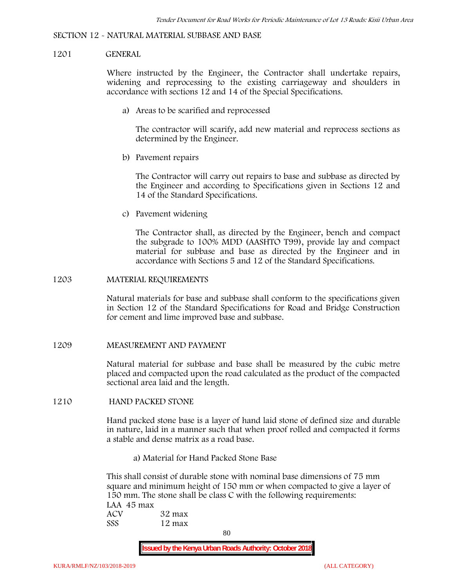#### **SECTION 12 - NATURAL MATERIAL SUBBASE AND BASE**

#### **1201 GENERAL**

Where instructed by the Engineer, the Contractor shall undertake repairs, widening and reprocessing to the existing carriageway and shoulders in accordance with sections 12 and 14 of the Special Specifications.

**a) Areas to be scarified and reprocessed**

The contractor will scarify, add new material and reprocess sections as determined by the Engineer.

**b) Pavement repairs**

The Contractor will carry out repairs to base and subbase as directed by the Engineer and according to Specifications given in Sections 12 and 14 of the Standard Specifications.

**c) Pavement widening**

The Contractor shall, as directed by the Engineer, bench and compact the subgrade to 100% MDD (AASHTO T99), provide lay and compact material for subbase and base as directed by the Engineer and in accordance with Sections 5 and 12 of the Standard Specifications.

#### **1203 MATERIAL REQUIREMENTS**

Natural materials for base and subbase shall conform to the specifications given in Section 12 of the Standard Specifications for Road and Bridge Construction for cement and lime improved base and subbase.

**1209 MEASUREMENT AND PAYMENT**

Natural material for subbase and base shall be measured by the cubic metre placed and compacted upon the road calculated as the product of the compacted sectional area laid and the length.

**1210 HAND PACKED STONE**

Hand packed stone base is a layer of hand laid stone of defined size and durable in nature, laid in a manner such that when proof rolled and compacted it forms a stable and dense matrix as a road base.

**a) Material for Hand Packed Stone Base**

This shall consist of durable stone with nominal base dimensions of 75 mm square and minimum height of 150 mm or when compacted to give a layer of 150 mm. The stone shall be class C with the following requirements: **LAA 45 max ACV 32 max SSS 12 max**

80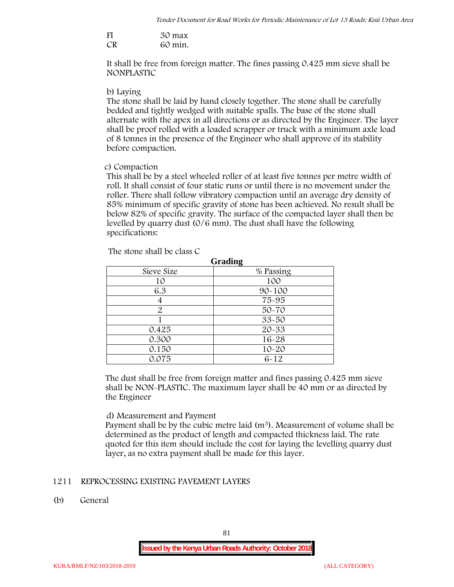| FI | 30 max  |
|----|---------|
| CR | 60 min. |

It shall be free from foreign matter. The fines passing 0.425 mm sieve shall be **NONPLASTIC**

#### **b) Laying**

The stone shall be laid by hand closely together. The stone shall be carefully bedded and tightly wedged with suitable spalls. The base of the stone shall alternate with the apex in all directions or as directed by the Engineer. The layer shall be proof rolled with a loaded scrapper or truck with a minimum axle load of 8 tonnes in the presence of the Engineer who shall approve of its stability before compaction.

## **c) Compaction**

This shall be by a steel wheeled roller of at least five tonnes per metre width of roll. It shall consist of four static runs or until there is no movement under the roller. There shall follow vibratory compaction until an average dry density of 85% minimum of specific gravity of stone has been achieved. No result shall be below 82% of specific gravity. The surface of the compacted layer shall then be levelled by quarry dust (0/6 mm). The dust shall have the following specifications:

| Grading    |            |  |  |  |
|------------|------------|--|--|--|
| Sieve Size | % Passing  |  |  |  |
| 10         | 100        |  |  |  |
| 6.3        | $90 - 100$ |  |  |  |
|            | 75-95      |  |  |  |
| 2          | $50 - 70$  |  |  |  |
|            | $33 - 50$  |  |  |  |
| 0.425      | 20-33      |  |  |  |
| 0.300      | 16-28      |  |  |  |
| 0.150      | $10 - 20$  |  |  |  |
| 0.075      | $6 - 12$   |  |  |  |

The stone shall be class C

The dust shall be free from foreign matter and fines passing 0.425 mm sieve shall be **NON-PLASTIC**. The maximum layer shall be 40 mm or as directed by the Engineer

## **d) Measurement and Payment**

Payment shall be by the cubic metre laid  $(m<sup>3</sup>)$ . Measurement of volume shall be determined as the product of length and compacted thickness laid. The rate quoted for this item should include the cost for laying the levelling quarry dust layer, as no extra payment shall be made for this layer.

# **1211 REPROCESSING EXISTING PAVEMENT LAYERS**

**(b) General**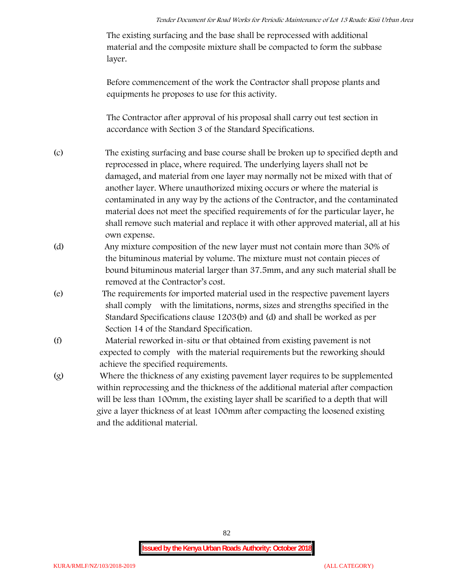The existing surfacing and the base shall be reprocessed with additional material and the composite mixture shall be compacted to form the subbase layer.

Before commencement of the work the Contractor shall propose plants and equipments he proposes to use for this activity.

The Contractor after approval of his proposal shall carry out test section in accordance with Section 3 of the Standard Specifications.

- (c) The existing surfacing and base course shall be broken up to specified depth and reprocessed in place, where required. The underlying layers shall not be damaged, and material from one layer may normally not be mixed with that of another layer. Where unauthorized mixing occurs or where the material is contaminated in any way by the actions of the Contractor, and the contaminated material does not meet the specified requirements of for the particular layer, he shall remove such material and replace it with other approved material, all at his own expense.
- (d) Any mixture composition of the new layer must not contain more than 30% of the bituminous material by volume. The mixture must not contain pieces of bound bituminous material larger than 37.5mm, and any such material shall be removed at the Contractor's cost.
- (e) The requirements for imported material used in the respective pavement layers shall comply with the limitations, norms, sizes and strengths specified in the Standard Specifications clause 1203(b) and (d) and shall be worked as per Section 14 of the Standard Specification.
- (f) Material reworked in-situ or that obtained from existing pavement is not expected to comply with the material requirements but the reworking should achieve the specified requirements.
- (g) Where the thickness of any existing pavement layer requires to be supplemented within reprocessing and the thickness of the additional material after compaction will be less than 100mm, the existing layer shall be scarified to a depth that will give a layer thickness of at least 100mm after compacting the loosened existing and the additional material.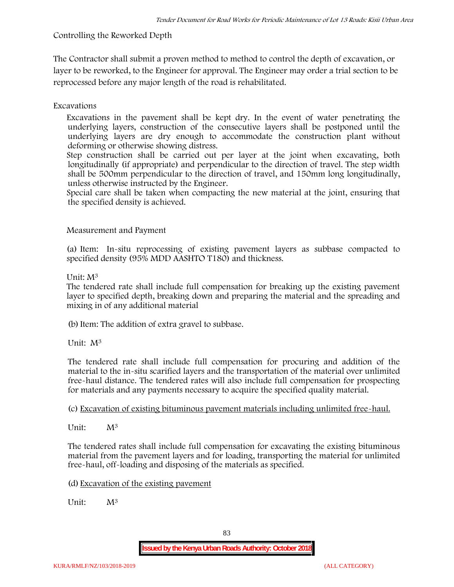# **Controlling the Reworked Depth**

The Contractor shall submit a proven method to method to control the depth of excavation, or layer to be reworked, to the Engineer for approval. The Engineer may order a trial section to be reprocessed before any major length of the road is rehabilitated.

# **Excavations**

Excavations in the pavement shall be kept dry. In the event of water penetrating the underlying layers, construction of the consecutive layers shall be postponed until the underlying layers are dry enough to accommodate the construction plant without deforming or otherwise showing distress.

Step construction shall be carried out per layer at the joint when excavating, both longitudinally (if appropriate) and perpendicular to the direction of travel. The step width shall be 500mm perpendicular to the direction of travel, and 150mm long longitudinally, unless otherwise instructed by the Engineer.

Special care shall be taken when compacting the new material at the joint, ensuring that the specified density is achieved.

# **Measurement and Payment**

(a) Item: In-situ reprocessing of existing pavement layers as subbase compacted to specified density (95% MDD AASHTO T180) and thickness.

## Unit: M<sup>3</sup>

The tendered rate shall include full compensation for breaking up the existing pavement layer to specified depth, breaking down and preparing the material and the spreading and mixing in of any additional material

(b)Item: The addition of extra gravel to subbase.

Unit: M<sup>3</sup>

The tendered rate shall include full compensation for procuring and addition of the material to the in-situ scarified layers and the transportation of the material over unlimited free-haul distance. The tendered rates will also include full compensation for prospecting for materials and any payments necessary to acquire the specified quality material.

(c) Excavation of existing bituminous pavement materials including unlimited free-haul.

Unit: M<sup>3</sup>

The tendered rates shall include full compensation for excavating the existing bituminous material from the pavement layers and for loading, transporting the material for unlimited free-haul, off-loading and disposing of the materials as specified.

(d) Excavation of the existing pavement

Unit:  $M^3$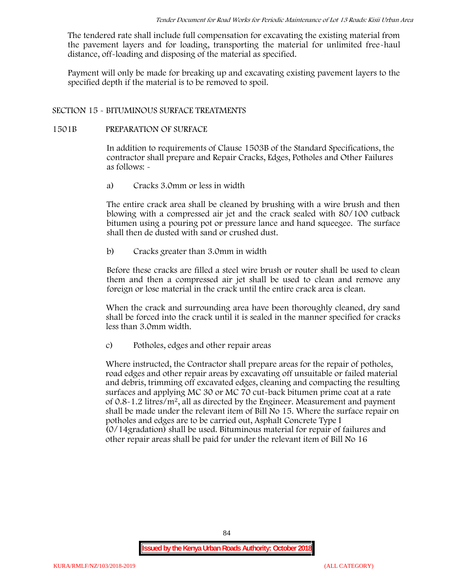The tendered rate shall include full compensation for excavating the existing material from the pavement layers and for loading, transporting the material for unlimited free-haul distance, off-loading and disposing of the material as specified.

Payment will only be made for breaking up and excavating existing pavement layers to the specified depth if the material is to be removed to spoil.

## **SECTION 15 - BITUMINOUS SURFACE TREATMENTS**

### **1501B PREPARATION OF SURFACE**

In addition to requirements of Clause 1503B of the Standard Specifications, the contractor shall prepare and Repair Cracks, Edges, Potholes and Other Failures as follows: **-**

a) **Cracks 3.0mm or less in width**

The entire crack area shall be cleaned by brushing with a wire brush and then blowing with a compressed air jet and the crack sealed with 80/100 cutback bitumen using a pouring pot or pressure lance and hand squeegee. The surface shall then de dusted with sand or crushed dust.

b) **Cracks greater than 3.0mm in width**

Before these cracks are filled a steel wire brush or router shall be used to clean them and then a compressed air jet shall be used to clean and remove any foreign or lose material in the crack until the entire crack area is clean.

When the crack and surrounding area have been thoroughly cleaned, dry sand shall be forced into the crack until it is sealed in the manner specified for cracks less than 3.0mm width.

c) **Potholes, edges and other repair areas**

Where instructed, the Contractor shall prepare areas for the repair of potholes, road edges and other repair areas by excavating off unsuitable or failed material and debris, trimming off excavated edges, cleaning and compacting the resulting surfaces and applying MC 30 or MC 70 cut-back bitumen prime coat at a rate of  $0.8-1.2$  litres/m<sup>2</sup>, all as directed by the Engineer. Measurement and payment shall be made under the relevant item of Bill No 15. Where the surface repair on potholes and edges are to be carried out, Asphalt Concrete Type I (0/14gradation) shall be used. Bituminous material for repair of failures and other repair areas shall be paid for under the relevant item of Bill No 16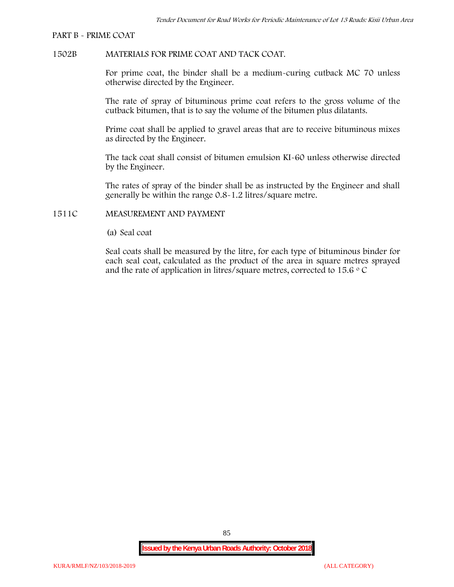#### **PART B - PRIME COAT**

### **1502B MATERIALS FOR PRIME COAT AND TACK COAT.**

For prime coat, the binder shall be a medium-curing cutback MC 70 unless otherwise directed by the Engineer.

The rate of spray of bituminous prime coat refers to the gross volume of the cutback bitumen, that is to say the volume of the bitumen plus dilatants.

Prime coat shall be applied to gravel areas that are to receive bituminous mixes as directed by the Engineer.

The tack coat shall consist of bitumen emulsion KI-60 unless otherwise directed by the Engineer.

The rates of spray of the binder shall be as instructed by the Engineer and shall generally be within the range 0.8-1.2 litres/square metre.

### **1511C MEASUREMENT AND PAYMENT**

(a) Seal coat

Seal coats shall be measured by the litre, for each type of bituminous binder for each seal coat, calculated as the product of the area in square metres sprayed and the rate of application in litres/square metres, corrected to 15.6  $\circ$  C

85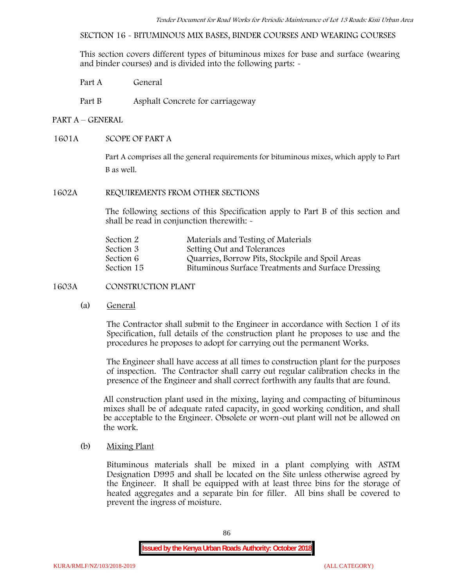**SECTION 16 - BITUMINOUS MIX BASES, BINDER COURSES AND WEARING COURSES**

This section covers different types of bituminous mixes for base and surface (wearing and binder courses) and is divided into the following parts: -

Part A General

Part B Asphalt Concrete for carriageway

## **PART A –GENERAL**

## **1601A SCOPE OF PART A**

Part A comprises all the general requirements for bituminous mixes, which apply to Part B as well.

#### **1602A REQUIREMENTS FROM OTHER SECTIONS**

The following sections of this Specification apply to Part B of this section and shall be read in conjunction therewith: -

| Section 2  | Materials and Testing of Materials                 |
|------------|----------------------------------------------------|
| Section 3  | Setting Out and Tolerances                         |
| Section 6  | Quarries, Borrow Pits, Stockpile and Spoil Areas   |
| Section 15 | Bituminous Surface Treatments and Surface Dressing |

## **1603A CONSTRUCTION PLANT**

(a) **General**

The Contractor shall submit to the Engineer in accordance with Section 1 of its Specification, full details of the construction plant he proposes to use and the procedures he proposes to adopt for carrying out the permanent Works.

The Engineer shall have access at all times to construction plant for the purposes of inspection. The Contractor shall carry out regular calibration checks in the presence of the Engineer and shall correct forthwith any faults that are found.

All construction plant used in the mixing, laying and compacting of bituminous mixes shall be of adequate rated capacity, in good working condition, and shall be acceptable to the Engineer. Obsolete or worn-out plant will not be allowed on the work.

(b) **Mixing Plant**

Bituminous materials shall be mixed in a plant complying with ASTM Designation D995 and shall be located on the Site unless otherwise agreed by the Engineer. It shall be equipped with at least three bins for the storage of heated aggregates and a separate bin for filler. All bins shall be covered to prevent the ingress of moisture.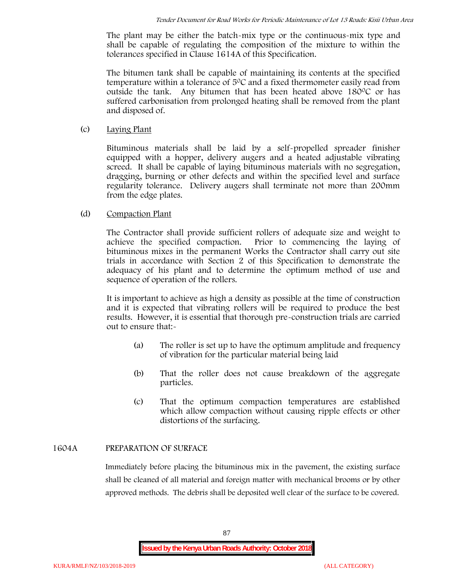The plant may be either the batch-mix type or the continuous-mix type and shall be capable of regulating the composition of the mixture to within the tolerances specified in Clause 1614A of this Specification.

The bitumen tank shall be capable of maintaining its contents at the specified temperature within a tolerance of 50C and a fixed thermometer easily read from outside the tank. Any bitumen that has been heated above  $180^{\circ}$ C or has suffered carbonisation from prolonged heating shall be removed from the plant and disposed of.

(c) **Laying Plant**

Bituminous materials shall be laid by a self-propelled spreader finisher equipped with a hopper, delivery augers and a heated adjustable vibrating screed. It shall be capable of laying bituminous materials with no segregation, dragging, burning or other defects and within the specified level and surface regularity tolerance. Delivery augers shall terminate not more than 200mm from the edge plates.

# (d) **Compaction Plant**

The Contractor shall provide sufficient rollers of adequate size and weight to achieve the specified compaction. Prior to commencing the laying of bituminous mixes in the permanent Works the Contractor shall carry out site trials in accordance with Section 2 of this Specification to demonstrate the adequacy of his plant and to determine the optimum method of use and sequence of operation of the rollers.

It is important to achieve as high a density as possible at the time of construction and it is expected that vibrating rollers will be required to produce the best results. However, it is essential that thorough pre-construction trials are carried out to ensure that:-

- (a) The roller is set up to have the optimum amplitude and frequency of vibration for the particular material being laid
- (b) That the roller does not cause breakdown of the aggregate particles.
- (c) That the optimum compaction temperatures are established which allow compaction without causing ripple effects or other distortions of the surfacing.

# **1604A PREPARATION OF SURFACE**

Immediately before placing the bituminous mix in the pavement, the existing surface shall be cleaned of all material and foreign matter with mechanical brooms or by other approved methods. The debris shall be deposited well clear of the surface to be covered.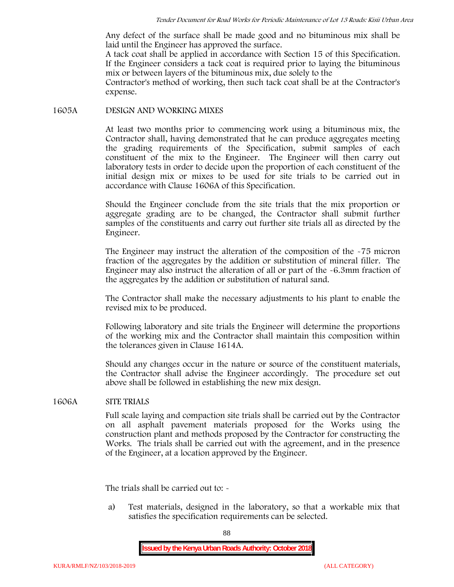Any defect of the surface shall be made good and no bituminous mix shall be laid until the Engineer has approved the surface.

A tack coat shall be applied in accordance with Section 15 of this Specification. If the Engineer considers a tack coat is required prior to laying the bituminous mix or between layers of the bituminous mix, due solely to the

Contractor's method of working, then such tack coat shall be at the Contractor's expense.

### **1605A DESIGN AND WORKING MIXES**

At least two months prior to commencing work using a bituminous mix, the Contractor shall, having demonstrated that he can produce aggregates meeting the grading requirements of the Specification, submit samples of each constituent of the mix to the Engineer. The Engineer will then carry out laboratory tests in order to decide upon the proportion of each constituent of the initial design mix or mixes to be used for site trials to be carried out in accordance with Clause 1606A of this Specification.

Should the Engineer conclude from the site trials that the mix proportion or aggregate grading are to be changed, the Contractor shall submit further samples of the constituents and carry out further site trials all as directed by the Engineer.

The Engineer may instruct the alteration of the composition of the -75 micron fraction of the aggregates by the addition or substitution of mineral filler. The Engineer may also instruct the alteration of all or part of the -6.3mm fraction of the aggregates by the addition or substitution of natural sand.

The Contractor shall make the necessary adjustments to his plant to enable the revised mix to be produced.

Following laboratory and site trials the Engineer will determine the proportions of the working mix and the Contractor shall maintain this composition within the tolerances given in Clause 1614A.

Should any changes occur in the nature or source of the constituent materials, the Contractor shall advise the Engineer accordingly. The procedure set out above shall be followed in establishing the new mix design.

## **1606A SITE TRIALS**

Full scale laying and compaction site trials shall be carried out by the Contractor on all asphalt pavement materials proposed for the Works using the construction plant and methods proposed by the Contractor for constructing the Works. The trials shall be carried out with the agreement, and in the presence of the Engineer, at a location approved by the Engineer.

The trials shall be carried out to: -

a) Test materials, designed in the laboratory, so that a workable mix that satisfies the specification requirements can be selected.

88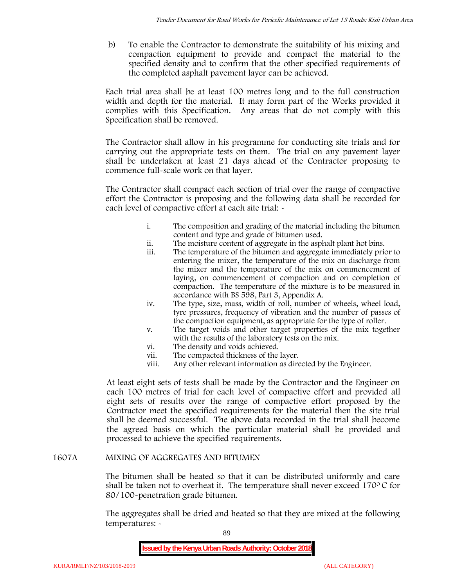b) To enable the Contractor to demonstrate the suitability of his mixing and compaction equipment to provide and compact the material to the specified density and to confirm that the other specified requirements of the completed asphalt pavement layer can be achieved.

Each trial area shall be at least 100 metres long and to the full construction width and depth for the material. It may form part of the Works provided it complies with this Specification. Any areas that do not comply with this Specification shall be removed.

The Contractor shall allow in his programme for conducting site trials and for carrying out the appropriate tests on them. The trial on any pavement layer shall be undertaken at least 21 days ahead of the Contractor proposing to commence full-scale work on that layer.

The Contractor shall compact each section of trial over the range of compactive effort the Contractor is proposing and the following data shall be recorded for each level of compactive effort at each site trial:  $\sim$ 

- i. The composition and grading of the material including the bitumen content and type and grade of bitumen used.
- ii. The moisture content of aggregate in the asphalt plant hot bins.
- iii. The temperature of the bitumen and aggregate immediately prior to entering the mixer, the temperature of the mix on discharge from the mixer and the temperature of the mix on commencement of laying, on commencement of compaction and on completion of compaction. The temperature of the mixture is to be measured in accordance with BS 598, Part 3, Appendix A.
- iv. The type, size, mass, width of roll, number of wheels, wheel load, tyre pressures, frequency of vibration and the number of passes of the compaction equipment, as appropriate for the type of roller.
- v. The target voids and other target properties of the mix together with the results of the laboratory tests on the mix.
- vi. The density and voids achieved.
- vii. The compacted thickness of the layer.
- viii. Any other relevant information as directed by the Engineer.

At least eight sets of tests shall be made by the Contractor and the Engineer on each 100 metres of trial for each level of compactive effort and provided all eight sets of results over the range of compactive effort proposed by the Contractor meet the specified requirements for the material then the site trial shall be deemed successful. The above data recorded in the trial shall become the agreed basis on which the particular material shall be provided and processed to achieve the specified requirements.

## **1607A MIXING OF AGGREGATES AND BITUMEN**

The bitumen shall be heated so that it can be distributed uniformly and care shall be taken not to overheat it. The temperature shall never exceed  $170^{\circ}$ C for 80/100-penetration grade bitumen.

The aggregates shall be dried and heated so that they are mixed at the following temperatures: -

89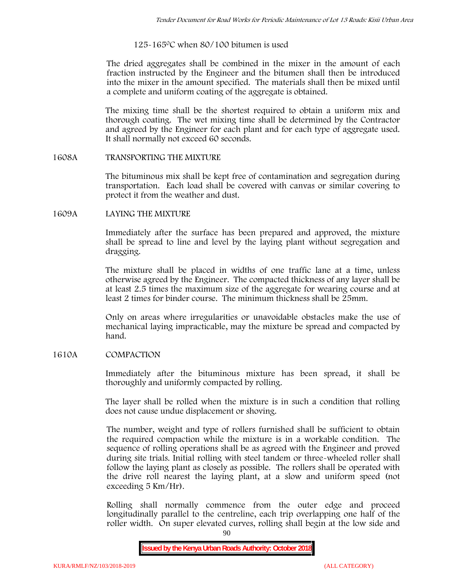## 125-1650C when 80/100 bitumen is used

The dried aggregates shall be combined in the mixer in the amount of each fraction instructed by the Engineer and the bitumen shall then be introduced into the mixer in the amount specified. The materials shall then be mixed until a complete and uniform coating of the aggregate is obtained.

The mixing time shall be the shortest required to obtain a uniform mix and thorough coating. The wet mixing time shall be determined by the Contractor and agreed by the Engineer for each plant and for each type of aggregate used. It shall normally not exceed 60 seconds.

#### **1608A TRANSPORTING THE MIXTURE**

The bituminous mix shall be kept free of contamination and segregation during transportation. Each load shall be covered with canvas or similar covering to protect it from the weather and dust.

#### **1609A LAYING THE MIXTURE**

Immediately after the surface has been prepared and approved, the mixture shall be spread to line and level by the laying plant without segregation and dragging.

The mixture shall be placed in widths of one traffic lane at a time, unless otherwise agreed by the Engineer. The compacted thickness of any layer shall be at least 2.5 times the maximum size of the aggregate for wearing course and at least 2 times for binder course. The minimum thickness shall be 25mm.

Only on areas where irregularities or unavoidable obstacles make the use of mechanical laying impracticable, may the mixture be spread and compacted by hand.

#### **1610A COMPACTION**

Immediately after the bituminous mixture has been spread, it shall be thoroughly and uniformly compacted by rolling.

The layer shall be rolled when the mixture is in such a condition that rolling does not cause undue displacement or shoving.

The number, weight and type of rollers furnished shall be sufficient to obtain the required compaction while the mixture is in a workable condition. The sequence of rolling operations shall be as agreed with the Engineer and proved during site trials. Initial rolling with steel tandem or three-wheeled roller shall follow the laying plant as closely as possible. The rollers shall be operated with the drive roll nearest the laying plant, at a slow and uniform speed (not exceeding 5 Km/Hr).

Rolling shall normally commence from the outer edge and proceed longitudinally parallel to the centreline, each trip overlapping one half of the roller width. On super elevated curves, rolling shall begin at the low side and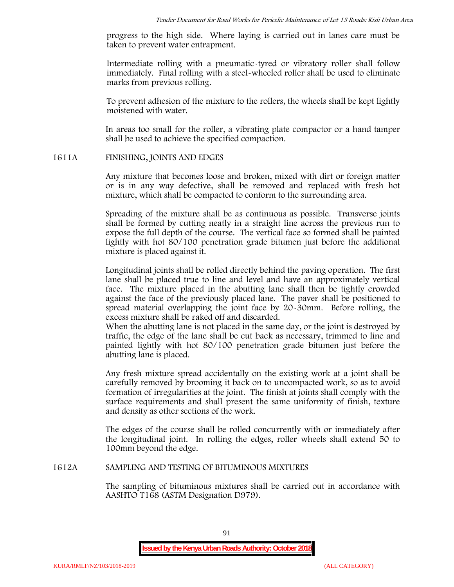progress to the high side. Where laying is carried out in lanes care must be taken to prevent water entrapment.

Intermediate rolling with a pneumatic-tyred or vibratory roller shall follow immediately. Final rolling with a steel-wheeled roller shall be used to eliminate marks from previous rolling.

To prevent adhesion of the mixture to the rollers, the wheels shall be kept lightly moistened with water.

In areas too small for the roller, a vibrating plate compactor or a hand tamper shall be used to achieve the specified compaction.

# **1611A FINISHING, JOINTS AND EDGES**

Any mixture that becomes loose and broken, mixed with dirt or foreign matter or is in any way defective, shall be removed and replaced with fresh hot mixture, which shall be compacted to conform to the surrounding area.

Spreading of the mixture shall be as continuous as possible. Transverse joints shall be formed by cutting neatly in a straight line across the previous run to expose the full depth of the course. The vertical face so formed shall be painted lightly with hot 80/100 penetration grade bitumen just before the additional mixture is placed against it.

Longitudinal joints shall be rolled directly behind the paving operation. The first lane shall be placed true to line and level and have an approximately vertical face. The mixture placed in the abutting lane shall then be tightly crowded against the face of the previously placed lane. The paver shall be positioned to spread material overlapping the joint face by 20-30mm. Before rolling, the excess mixture shall be raked off and discarded.

When the abutting lane is not placed in the same day, or the joint is destroyed by traffic, the edge of the lane shall be cut back as necessary, trimmed to line and painted lightly with hot 80/100 penetration grade bitumen just before the abutting lane is placed.

Any fresh mixture spread accidentally on the existing work at a joint shall be carefully removed by brooming it back on to uncompacted work, so as to avoid formation of irregularities at the joint. The finish at joints shall comply with the surface requirements and shall present the same uniformity of finish, texture and density as other sections of the work.

The edges of the course shall be rolled concurrently with or immediately after the longitudinal joint. In rolling the edges, roller wheels shall extend 50 to 100mm beyond the edge.

## **1612A SAMPLING AND TESTING OF BITUMINOUS MIXTURES**

The sampling of bituminous mixtures shall be carried out in accordance with AASHTO T168 (ASTM Designation D979).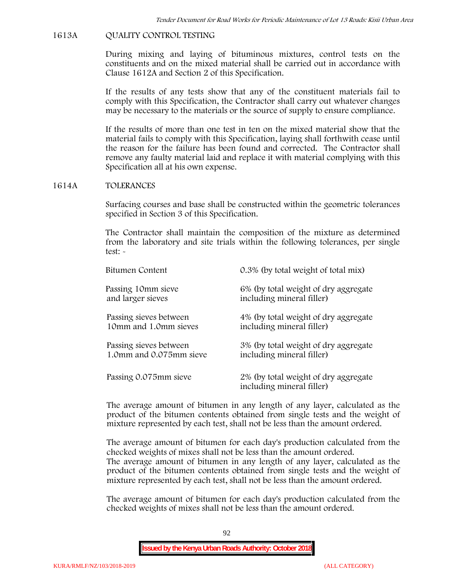#### **1613A QUALITY CONTROL TESTING**

During mixing and laying of bituminous mixtures, control tests on the constituents and on the mixed material shall be carried out in accordance with Clause 1612A and Section 2 of this Specification.

If the results of any tests show that any of the constituent materials fail to comply with this Specification, the Contractor shall carry out whatever changes may be necessary to the materials or the source of supply to ensure compliance.

If the results of more than one test in ten on the mixed material show that the material fails to comply with this Specification, laying shall forthwith cease until the reason for the failure has been found and corrected. The Contractor shall remove any faulty material laid and replace it with material complying with this Specification all at his own expense.

#### **1614A TOLERANCES**

Surfacing courses and base shall be constructed within the geometric tolerances specified in Section 3 of this Specification.

The Contractor shall maintain the composition of the mixture as determined from the laboratory and site trials within the following tolerances, per single test: -

| Bitumen Content         | 0.3% (by total weight of total mix)                               |
|-------------------------|-------------------------------------------------------------------|
| Passing 10mm sieve      | 6% (by total weight of dry aggregate                              |
| and larger sieves       | including mineral filler)                                         |
| Passing sieves between  | 4% (by total weight of dry aggregate                              |
| 10mm and 1.0mm sieves   | including mineral filler)                                         |
| Passing sieves between  | 3% (by total weight of dry aggregate                              |
| 1.0mm and 0.075mm sieve | including mineral filler)                                         |
| Passing 0.075mm sieve   | 2% (by total weight of dry aggregate<br>including mineral filler) |

The average amount of bitumen in any length of any layer, calculated as the product of the bitumen contents obtained from single tests and the weight of mixture represented by each test, shall not be less than the amount ordered.

The average amount of bitumen for each day's production calculated from the checked weights of mixes shall not be less than the amount ordered. The average amount of bitumen in any length of any layer, calculated as the product of the bitumen contents obtained from single tests and the weight of mixture represented by each test, shall not be less than the amount ordered.

The average amount of bitumen for each day's production calculated from the checked weights of mixes shall not be less than the amount ordered.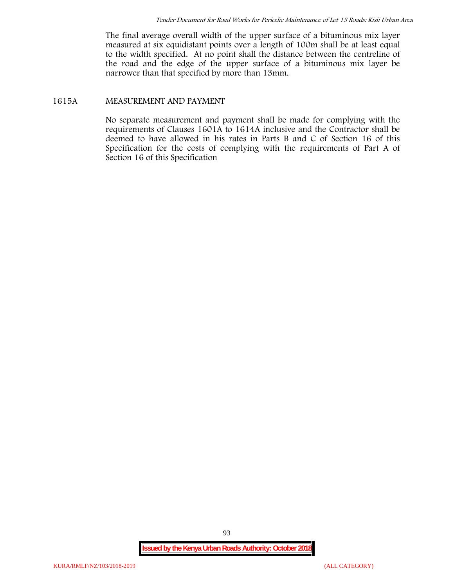The final average overall width of the upper surface of a bituminous mix layer measured at six equidistant points over a length of 100m shall be at least equal to the width specified. At no point shall the distance between the centreline of the road and the edge of the upper surface of a bituminous mix layer be narrower than that specified by more than 13mm.

#### **1615A MEASUREMENT AND PAYMENT**

No separate measurement and payment shall be made for complying with the requirements of Clauses 1601A to 1614A inclusive and the Contractor shall be deemed to have allowed in his rates in Parts B and C of Section 16 of this Specification for the costs of complying with the requirements of Part A of Section 16 of this Specification

**Issued by the Kenya Urban Roads Authority: October 2018**

93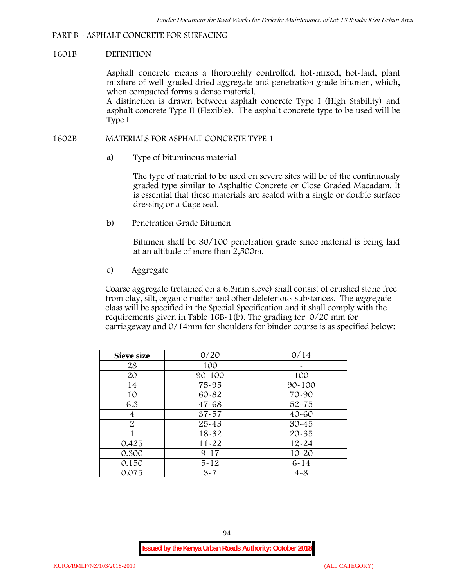## **PART B - ASPHALT CONCRETE FOR SURFACING**

### **1601B DEFINITION**

Asphalt concrete means a thoroughly controlled, hot-mixed, hot-laid, plant mixture of well-graded dried aggregate and penetration grade bitumen, which, when compacted forms a dense material.

A distinction is drawn between asphalt concrete Type I (High Stability) and asphalt concrete Type II (Flexible). The asphalt concrete type to be used will be Type I.

## **1602B MATERIALS FOR ASPHALT CONCRETE TYPE 1**

a) **Type of bituminous material**

The type of material to be used on severe sites will be of the continuously graded type similar to Asphaltic Concrete or Close Graded Macadam. It is essential that these materials are sealed with a single or double surface dressing or a Cape seal.

b) **Penetration Grade Bitumen**

Bitumen shall be 80/100 penetration grade since material is being laid at an altitude of more than 2,500m.

c) **Aggregate**

Coarse aggregate (retained on a 6.3mm sieve) shall consist of crushed stone free from clay, silt, organic matter and other deleterious substances. The aggregate class will be specified in the Special Specification and it shall comply with the requirements given in Table 16B-1(b). The grading for 0/20 mm for carriageway and 0/14mm for shoulders for binder course is as specified below:

| <b>Sieve size</b> | 0/20       | 0/14       |  |  |  |
|-------------------|------------|------------|--|--|--|
| 28                | 100        |            |  |  |  |
| 20                | $90 - 100$ | 100        |  |  |  |
| 14                | 75-95      | $90 - 100$ |  |  |  |
| 10                | 60-82      | 70-90      |  |  |  |
| 6.3               | $47 - 68$  | $52 - 75$  |  |  |  |
| 4                 | $37 - 57$  | $40 - 60$  |  |  |  |
| $\overline{2}$    | 25-43      | $30 - 45$  |  |  |  |
|                   | 18-32      | $20 - 35$  |  |  |  |
| 0.425             | $11 - 22$  | $12 - 24$  |  |  |  |
| 0.300             | $9 - 17$   | $10 - 20$  |  |  |  |
| 0.150             | $5 - 12$   | $6 - 14$   |  |  |  |
| 0.075             | $3 - 7$    | $4 - 8$    |  |  |  |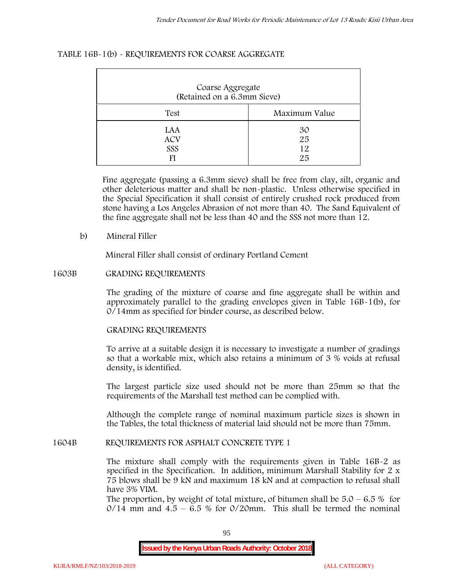| Coarse Aggregate<br>(Retained on a 6.3mm Sieve) |                      |
|-------------------------------------------------|----------------------|
| Test                                            | Maximum Value        |
| LAA<br><b>ACV</b><br>SSS<br>FI                  | 30<br>25<br>12<br>25 |

## **TABLE 16B-1(b) - REQUIREMENTS FOR COARSE AGGREGATE**

Fine aggregate (passing a 6.3mm sieve) shall be free from clay, silt, organic and other deleterious matter and shall be non-plastic. Unless otherwise specified in the Special Specification it shall consist of entirely crushed rock produced from stone having a Los Angeles Abrasion of not more than 40. The Sand Equivalent of the fine aggregate shall not be less than 40 and the SSS not more than 12.

#### **b) Mineral Filler**

Mineral Filler shall consist of ordinary Portland Cement

### **1603B GRADING REQUIREMENTS**

The grading of the mixture of coarse and fine aggregate shall be within and approximately parallel to the grading envelopes given in Table 16B-1(b), for 0/14mm as specified for binder course, as described below.

## **GRADING REQUIREMENTS**

To arrive at a suitable design it is necessary to investigate a number of gradings so that a workable mix, which also retains a minimum of 3 % voids at refusal density, is identified.

The largest particle size used should not be more than 25mm so that the requirements of the Marshall test method can be complied with.

Although the complete range of nominal maximum particle sizes is shown in the Tables, the total thickness of material laid should not be more than 75mm.

#### **1604B REQUIREMENTS FOR ASPHALT CONCRETE TYPE 1**

The mixture shall comply with the requirements given in Table 16B-2 as specified in the Specification. In addition, minimum Marshall Stability for 2 x 75 blows shall be 9 kN and maximum 18 kN and at compaction to refusal shall have 3% VIM.

The proportion, by weight of total mixture, of bitumen shall be  $5.0 - 6.5 %$  for  $0/14$  mm and  $4.5 - 6.5$  % for  $0/20$ mm. This shall be termed the nominal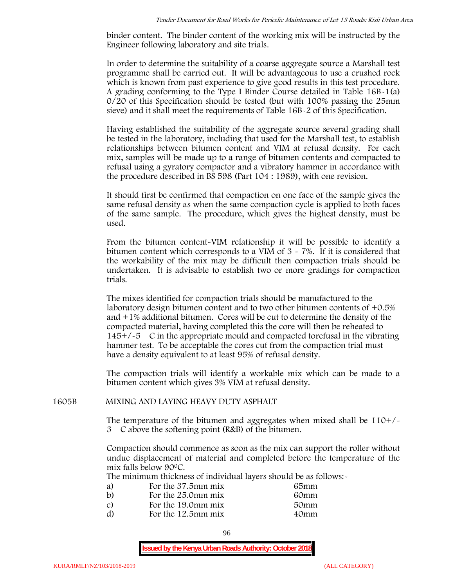binder content. The binder content of the working mix will be instructed by the Engineer following laboratory and site trials.

In order to determine the suitability of a coarse aggregate source a Marshall test programme shall be carried out. It will be advantageous to use a crushed rock which is known from past experience to give good results in this test procedure. A grading conforming to the Type I Binder Course detailed in Table 16B-1(a) 0/20 of this Specification should be tested (but with 100% passing the 25mm sieve) and it shall meet the requirements of Table 16B-2 of this Specification.

Having established the suitability of the aggregate source several grading shall be tested in the laboratory, including that used for the Marshall test, to establish relationships between bitumen content and VIM at refusal density. For each mix, samples will be made up to a range of bitumen contents and compacted to refusal using a gyratory compactor and a vibratory hammer in accordance with the procedure described in BS 598 (Part 104 : 1989), with one revision.

It should first be confirmed that compaction on one face of the sample gives the same refusal density as when the same compaction cycle is applied to both faces of the same sample. The procedure, which gives the highest density, must be used.

From the bitumen content-VIM relationship it will be possible to identify a bitumen content which corresponds to a VIM of 3 - 7%. If it is considered that the workability of the mix may be difficult then compaction trials should be undertaken. It is advisable to establish two or more gradings for compaction trials.

The mixes identified for compaction trials should be manufactured to the laboratory design bitumen content and to two other bitumen contents of +0.5% and +1% additional bitumen. Cores will be cut to determine the density of the compacted material, having completed this the core will then be reheated to  $145+/5$  C in the appropriate mould and compacted torefusal in the vibrating hammer test. To be acceptable the cores cut from the compaction trial must have a density equivalent to at least 95% of refusal density.

The compaction trials will identify a workable mix which can be made to a bitumen content which gives 3% VIM at refusal density.

## **1605B MIXING AND LAYING HEAVY DUTY ASPHALT**

The temperature of the bitumen and aggregates when mixed shall be 110+/- 3C above the softening point (R&B) of the bitumen.

Compaction should commence as soon as the mix can support the roller without undue displacement of material and completed before the temperature of the mix falls below 900C.

The minimum thickness of individual layers should be as follows:-

| a) | For the 37.5mm mix | 65mm |  |
|----|--------------------|------|--|
| b) | For the 25.0mm mix | 60mm |  |
| C) | For the 19.0mm mix | 50mm |  |
| d) | For the 12.5mm mix | 40mm |  |
|    |                    |      |  |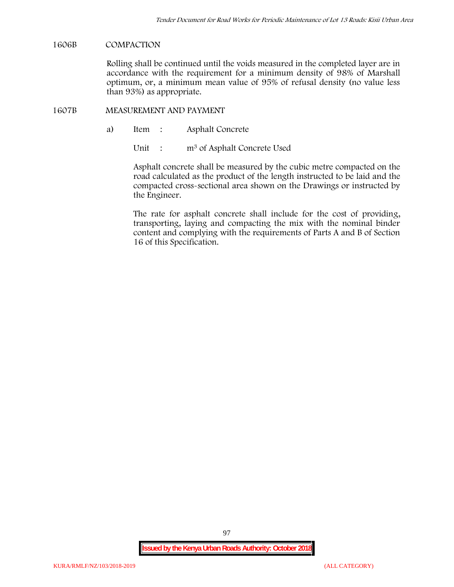#### **1606B COMPACTION**

Rolling shall be continued until the voids measured in the completed layer are in accordance with the requirement for a minimum density of 98% of Marshall optimum, or, a minimum mean value of 95% of refusal density (no value less than 93%) as appropriate.

## **1607B MEASUREMENT AND PAYMENT**

a) Item : Asphalt Concrete

Unit : m<sup>3</sup> of Asphalt Concrete Used

Asphalt concrete shall be measured by the cubic metre compacted on the road calculated as the product of the length instructed to be laid and the compacted cross-sectional area shown on the Drawings or instructed by the Engineer.

The rate for asphalt concrete shall include for the cost of providing, transporting, laying and compacting the mix with the nominal binder content and complying with the requirements of Parts A and B of Section 16 of this Specification.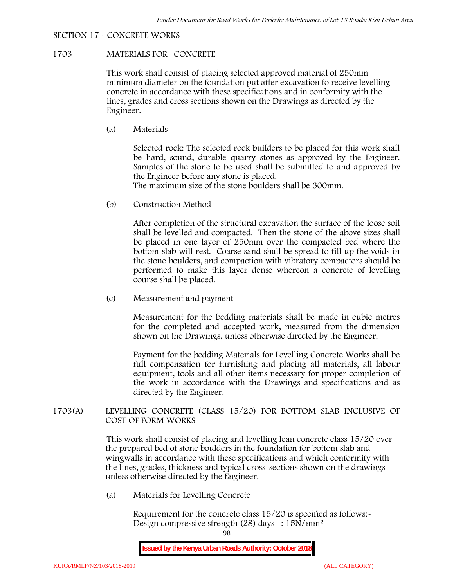#### **SECTION 17 - CONCRETE WORKS**

## **1703 MATERIALS FOR CONCRETE**

This work shall consist of placing selected approved material of 250mm minimum diameter on the foundation put after excavation to receive levelling concrete in accordance with these specifications and in conformity with the lines, grades and cross sections shown on the Drawings as directed by the Engineer.

(a) **Materials**

Selected rock: The selected rock builders to be placed for this work shall be hard, sound, durable quarry stones as approved by the Engineer. Samples of the stone to be used shall be submitted to and approved by the Engineer before any stone is placed.

The maximum size of the stone boulders shall be 300mm.

(b) **Construction Method**

After completion of the structural excavation the surface of the loose soil shall be levelled and compacted. Then the stone of the above sizes shall be placed in one layer of 250mm over the compacted bed where the bottom slab will rest. Coarse sand shall be spread to fill up the voids in the stone boulders, and compaction with vibratory compactors should be performed to make this layer dense whereon a concrete of levelling course shall be placed.

(c) **Measurement and payment**

Measurement for the bedding materials shall be made in cubic metres for the completed and accepted work, measured from the dimension shown on the Drawings, unless otherwise directed by the Engineer.

Payment for the bedding Materials for Levelling Concrete Works shall be full compensation for furnishing and placing all materials, all labour equipment, tools and all other items necessary for proper completion of the work in accordance with the Drawings and specifications and as directed by the Engineer.

## **1703(A) LEVELLING CONCRETE (CLASS 15/20) FOR BOTTOM SLAB INCLUSIVE OF COST OF FORM WORKS**

This work shall consist of placing and levelling lean concrete class 15/20 over the prepared bed of stone boulders in the foundation for bottom slab and wingwalls in accordance with these specifications and which conformity with the lines, grades, thickness and typical cross-sections shown on the drawings unless otherwise directed by the Engineer.

(a) **Materials for Levelling Concrete**

Requirement for the concrete class  $15/20$  is specified as follows:-Design compressive strength (28) days : 15N/mm2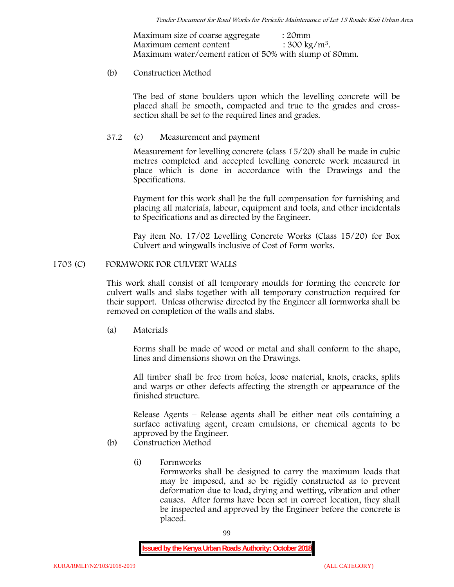Maximum size of coarse aggregate : 20mm Maximum cement content  $: 300 \text{ kg/m}^3$ . Maximum water/cement ration of 50% with slump of 80mm.

### (b) **Construction Method**

The bed of stone boulders upon which the levelling concrete will be placed shall be smooth, compacted and true to the grades and crosssection shall be set to the required lines and grades.

## **37.2** (c) **Measurement and payment**

Measurement for levelling concrete (class 15/20) shall be made in cubic metres completed and accepted levelling concrete work measured in place which is done in accordance with the Drawings and the Specifications.

Payment for this work shall be the full compensation for furnishing and placing all materials, labour, equipment and tools, and other incidentals to Specifications and as directed by the Engineer.

Pay item No. 17/02 Levelling Concrete Works (Class 15/20) for Box Culvert and wingwalls inclusive of Cost of Form works.

#### **1703 (C) FORMWORK FOR CULVERT WALLS**

This work shall consist of all temporary moulds for forming the concrete for culvert walls and slabs together with all temporary construction required for their support. Unless otherwise directed by the Engineer all formworks shall be removed on completion of the walls and slabs.

(a) **Materials**

Forms shall be made of wood or metal and shall conform to the shape, lines and dimensions shown on the Drawings.

All timber shall be free from holes, loose material, knots, cracks, splits and warps or other defects affecting the strength or appearance of the finished structure.

Release Agents – Release agents shall be either neat oils containing a surface activating agent, cream emulsions, or chemical agents to be approved by the Engineer.

# (b) **Construction Method**

(i) **Formworks**

Formworks shall be designed to carry the maximum loads that may be imposed, and so be rigidly constructed as to prevent deformation due to load, drying and wetting, vibration and other causes. After forms have been set in correct location, they shall be inspected and approved by the Engineer before the concrete is placed.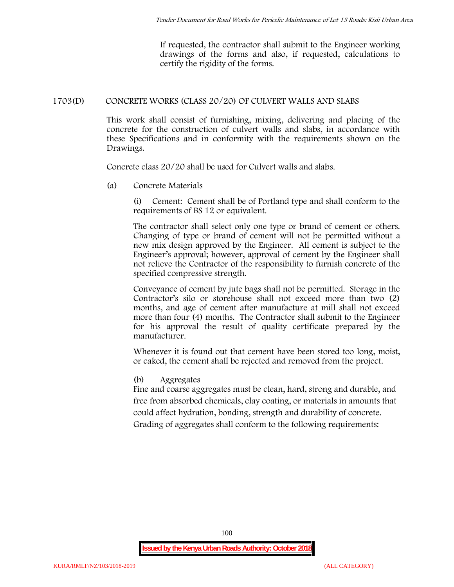If requested, the contractor shall submit to the Engineer working drawings of the forms and also, if requested, calculations to certify the rigidity of the forms.

## **1703(D) CONCRETE WORKS (CLASS 20/20) OF CULVERT WALLS AND SLABS**

This work shall consist of furnishing, mixing, delivering and placing of the concrete for the construction of culvert walls and slabs, in accordance with these Specifications and in conformity with the requirements shown on the Drawings.

Concrete class 20/20 shall be used for Culvert walls and slabs.

**(a) Concrete Materials**

(i) Cement: Cement shall be of Portland type and shall conform to the requirements of BS 12 or equivalent.

The contractor shall select only one type or brand of cement or others. Changing of type or brand of cement will not be permitted without a new mix design approved by the Engineer. All cement is subject to the Engineer's approval; however, approval of cement by the Engineer shall not relieve the Contractor of the responsibility to furnish concrete of the specified compressive strength.

Conveyance of cement by jute bags shall not be permitted. Storage in the Contractor's silo or storehouse shall not exceed more than two (2) months, and age of cement after manufacture at mill shall not exceed more than four (4) months. The Contractor shall submit to the Engineer for his approval the result of quality certificate prepared by the manufacturer.

Whenever it is found out that cement have been stored too long, moist, or caked, the cement shall be rejected and removed from the project.

#### **(b) Aggregates**

Fine and coarse aggregates must be clean, hard, strong and durable, and free from absorbed chemicals, clay coating, or materials in amounts that could affect hydration, bonding, strength and durability of concrete. Grading of aggregates shall conform to the following requirements: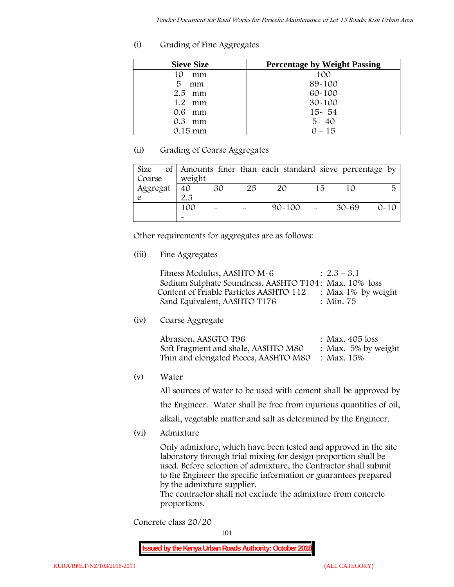**(i) Grading of Fine Aggregates**

| <b>Sieve Size</b> | <b>Percentage by Weight Passing</b> |
|-------------------|-------------------------------------|
| mm<br>10          | 100                                 |
| 5<br>mm           | 89-100                              |
| $2.5$ mm          | 60-100                              |
| $1.2$ mm          | $30 - 100$                          |
| $0.6$ mm          | $15 - 54$                           |
| $0.3$ mm          | $5 - 40$                            |
| 0.15 mm           | $0 - 15$                            |

# **(ii) Grading of Coarse Aggregates**

| Size     |                       |                           |    | of Amounts finer than each standard sieve percentage by |        |       |          |
|----------|-----------------------|---------------------------|----|---------------------------------------------------------|--------|-------|----------|
| Coarse   | weight                |                           |    |                                                         |        |       |          |
| Aggregat | 40                    | 30                        | 25 | 20                                                      | 15     |       | 5        |
|          | 2.5                   |                           |    |                                                         |        |       |          |
|          | 100                   | $\widetilde{\phantom{m}}$ |    | $90 - 100$                                              | $\sim$ | 30-69 | $0 - 10$ |
|          | $\tilde{\phantom{a}}$ |                           |    |                                                         |        |       |          |

Other requirements for aggregates are as follows:

**(iii) Fine Aggregates**

| Fitness Modulus, AASHTO M-6                           | $: 2.3 - 3.1$         |
|-------------------------------------------------------|-----------------------|
| Sodium Sulphate Soundness, AASHTO T104: Max. 10% loss |                       |
| Content of Friable Particles AASHTO 112               | : Max $1\%$ by weight |
| Sand Equivalent, AASHTO T176                          | : Min. 75             |

**(iv) Coarse Aggregate**

| Abrasion, AASGTO T96                             | : Max. $405$ loss      |
|--------------------------------------------------|------------------------|
| Soft Fragment and shale, AASHTO M80              | : Max. $5\%$ by weight |
| Thin and elongated Pieces, AASHTO M80 : Max. 15% |                        |

**(v) Water**

All sources of water to be used with cement shall be approved by the Engineer. Water shall be free from injurious quantities of oil, alkali, vegetable matter and salt as determined by the Engineer.

- 
- **(vi) Admixture**

Only admixture, which have been tested and approved in the site laboratory through trial mixing for design proportion shall be used. Before selection of admixture, the Contractor shall submit to the Engineer the specific information or guarantees prepared by the admixture supplier.

The contractor shall not exclude the admixture from concrete proportions.

**Concrete class 20/20**

101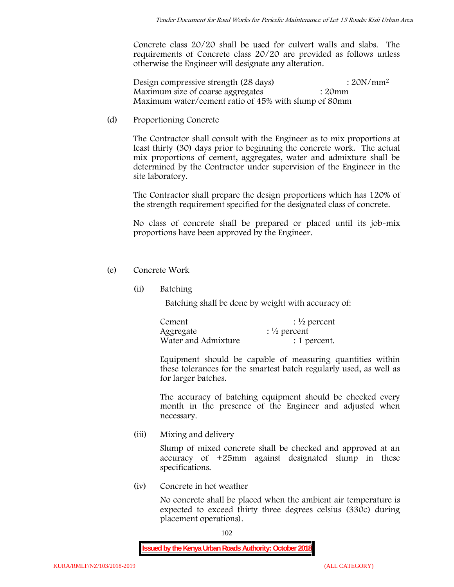Concrete class 20/20 shall be used for culvert walls and slabs. The requirements of Concrete class 20/20 are provided as follows unless otherwise the Engineer will designate any alteration.

Design compressive strength (28 days) : 20N/mm<sup>2</sup> Maximum size of coarse aggregates : 20mm Maximum water/cement ratio of 45% with slump of 80mm

(d) **Proportioning Concrete**

The Contractor shall consult with the Engineer as to mix proportions at least thirty (30) days prior to beginning the concrete work. The actual mix proportions of cement, aggregates, water and admixture shall be determined by the Contractor under supervision of the Engineer in the site laboratory.

The Contractor shall prepare the design proportions which has 120% of the strength requirement specified for the designated class of concrete.

No class of concrete shall be prepared or placed until its job-mix proportions have been approved by the Engineer.

- (e) **Concrete Work**
	- **(ii) Batching**

Batching shall be done by weight with accuracy of:

| Cement              | $\frac{1}{2}$ percent |
|---------------------|-----------------------|
| Aggregate           | $\frac{1}{2}$ percent |
| Water and Admixture | : 1 percent.          |

Equipment should be capable of measuring quantities within these tolerances for the smartest batch regularly used, as well as for larger batches.

The accuracy of batching equipment should be checked every month in the presence of the Engineer and adjusted when necessary.

**(iii) Mixing and delivery**

Slump of mixed concrete shall be checked and approved at an accuracy of +25mm against designated slump in these specifications.

**(iv) Concrete in hot weather**

No concrete shall be placed when the ambient air temperature is expected to exceed thirty three degrees celsius (330c) during placement operations).

102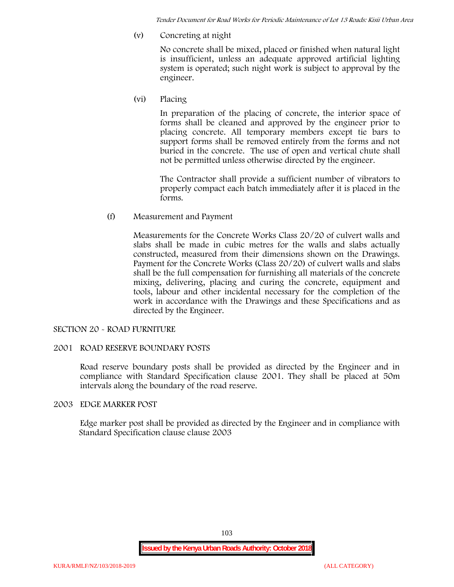*Tender Document for Road Works for Periodic Maintenance of Lot 13 Roads: Kisii Urban Area*

**(v) Concreting at night**

No concrete shall be mixed, placed or finished when natural light is insufficient, unless an adequate approved artificial lighting system is operated; such night work is subject to approval by the engineer.

**(vi) Placing**

In preparation of the placing of concrete, the interior space of forms shall be cleaned and approved by the engineer prior to placing concrete. All temporary members except tie bars to support forms shall be removed entirely from the forms and not buried in the concrete. The use of open and vertical chute shall not be permitted unless otherwise directed by the engineer.

The Contractor shall provide a sufficient number of vibrators to properly compact each batch immediately after it is placed in the forms.

(f) **Measurement and Payment**

Measurements for the Concrete Works Class 20/20 of culvert walls and slabs shall be made in cubic metres for the walls and slabs actually constructed, measured from their dimensions shown on the Drawings. Payment for the Concrete Works (Class 20/20) of culvert walls and slabs shall be the full compensation for furnishing all materials of the concrete mixing, delivering, placing and curing the concrete, equipment and tools, labour and other incidental necessary for the completion of the work in accordance with the Drawings and these Specifications and as directed by the Engineer.

## **SECTION 20 - ROAD FURNITURE**

## **2001 ROAD RESERVE BOUNDARY POSTS**

Road reserve boundary posts shall be provided as directed by the Engineer and in compliance with Standard Specification clause 2001. They shall be placed at 50m intervals along the boundary of the road reserve.

#### **2003 EDGE MARKER POST**

Edge marker post shall be provided as directed by the Engineer and in compliance with Standard Specification clause clause 2003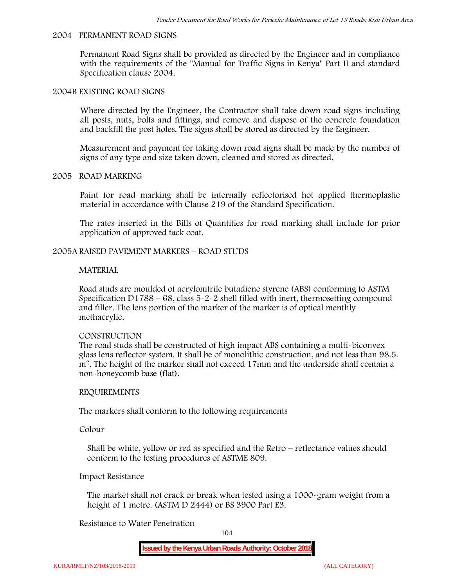#### **2004 PERMANENT ROAD SIGNS**

Permanent Road Signs shall be provided as directed by the Engineer and in compliance with the requirements of the "Manual for Traffic Signs in Kenya" Part II and standard Specification clause 2004.

#### **2004B EXISTING ROAD SIGNS**

Where directed by the Engineer, the Contractor shall take down road signs including all posts, nuts, bolts and fittings, and remove and dispose of the concrete foundation and backfill the post holes. The signs shall be stored as directed by the Engineer.

Measurement and payment for taking down road signs shall be made by the number of signs of any type and size taken down, cleaned and stored as directed.

#### **2005 ROAD MARKING**

Paint for road marking shall be internally reflectorised hot applied thermoplastic material in accordance with Clause 219 of the Standard Specification.

The rates inserted in the Bills of Quantities for road marking shall include for prior application of approved tack coat.

#### **2005A RAISED PAVEMENT MARKERS – ROAD STUDS**

#### **MATERIAL**

Road studs are moulded of acrylonitrile butadiene styrene (ABS) conforming to ASTM Specification D1788 – 68, class  $5 - 2 - 2$  shell filled with inert, thermosetting compound and filler. The lens portion of the marker of the marker is of optical menthly methacrylic.

#### **CONSTRUCTION**

The road studs shall be constructed of high impact ABS containing a multi-biconvex glass lens reflector system. It shall be of monolithic construction, and not less than 98.5. m2. The height of the marker shall not exceed 17mm and the underside shall contain a non-honeycomb base (flat).

#### **REQUIREMENTS**

The markers shall conform to the following requirements

**Colour**

Shall be white, yellow or red as specified and the Retro – reflectance values should conform to the testing procedures of ASTME 809.

### **Impact Resistance**

The market shall not crack or break when tested using a 1000**-**gram weight from a height of 1 metre. (ASTM D 2444) or BS 3900 Part E3.

### **Resistance to Water Penetration**

104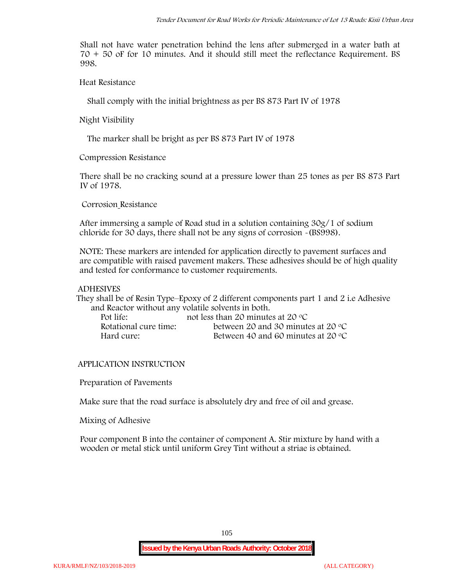Shall not have water penetration behind the lens after submerged in a water bath at 70 + 50 oF for 10 minutes. And it should still meet the reflectance Requirement. BS 998.

**Heat Resistance**

Shall comply with the initial brightness as per BS 873 Part IV of 1978

**Night Visibility**

The marker shall be bright as per BS 873 Part IV of 1978

**Compression Resistance**

There shall be no cracking sound at a pressure lower than 25 tones as per BS 873 Part IV of 1978.

**Corrosion Resistance**

After immersing a sample of Road stud in a solution containing 30g/1 of sodium chloride for 30 days, there shall not be any signs of corrosion **-**(BS998).

**NOTE**: These markers are intended for application directly to pavement surfaces and are compatible with raised pavement makers. These adhesives should be of high quality and tested for conformance to customer requirements.

#### **ADHESIVES**

They shall be of Resin Type–Epoxy of 2 different components part 1 and 2 i.e Adhesive and Reactor without any volatile solvents in both.

| Pot life:             | not less than 20 minutes at 20 $\degree$ C  |
|-----------------------|---------------------------------------------|
| Rotational cure time: | between 20 and 30 minutes at 20 $\degree$ C |
| Hard cure:            | Between 40 and 60 minutes at 20 $\degree$ C |

## **APPLICATION INSTRUCTION**

**Preparation of Pavements**

Make sure that the road surface is absolutely dry and free of oil and grease**.**

**Mixing of Adhesive**

Pour component B into the container of component A. Stir mixture by hand with a wooden or metal stick until uniform Grey Tint without a striae is obtained.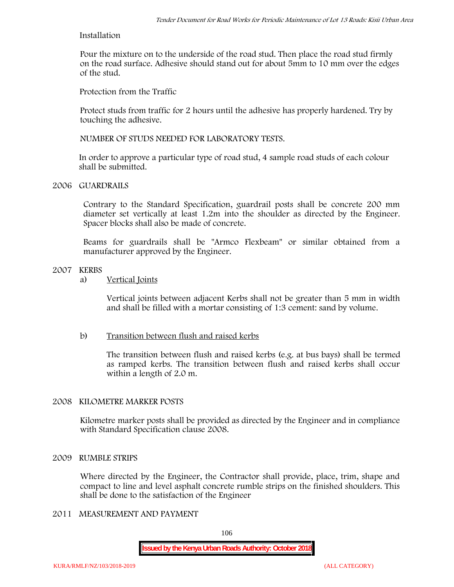## **Installation**

Pour the mixture on to the underside of the road stud. Then place the road stud firmly on the road surface. Adhesive should stand out for about 5mm to 10 mm over the edges of the stud.

**Protection from the Traffic**

Protect studs from traffic for 2 hours until the adhesive has properly hardened. Try by touching the adhesive.

**NUMBER OF STUDS NEEDED FOR LABORATORY TESTS.**

In order to approve a particular type of road stud, 4 sample road studs of each colour shall be submitted.

## **2006 GUARDRAILS**

Contrary to the Standard Specification, guardrail posts shall be concrete 200 mm diameter set vertically at least 1.2m into the shoulder as directed by the Engineer. Spacer blocks shall also be made of concrete.

Beams for guardrails shall be "Armco Flexbeam" or similar obtained from a manufacturer approved by the Engineer.

#### **2007 KERBS**

a) **Vertical Joints**

Vertical joints between adjacent Kerbs shall not be greater than 5 mm in width and shall be filled with a mortar consisting of 1:3 cement: sand by volume.

# b) **Transition between flush and raised kerbs**

The transition between flush and raised kerbs (e.g. at bus bays) shall be termed as ramped kerbs. The transition between flush and raised kerbs shall occur within a length of 2.0 m.

## **2008 KILOMETRE MARKER POSTS**

Kilometre marker posts shall be provided as directed by the Engineer and in compliance with Standard Specification clause 2008.

## **2009 RUMBLE STRIPS**

Where directed by the Engineer, the Contractor shall provide, place, trim, shape and compact to line and level asphalt concrete rumble strips on the finished shoulders. This shall be done to the satisfaction of the Engineer

# **2011 MEASUREMENT AND PAYMENT**

106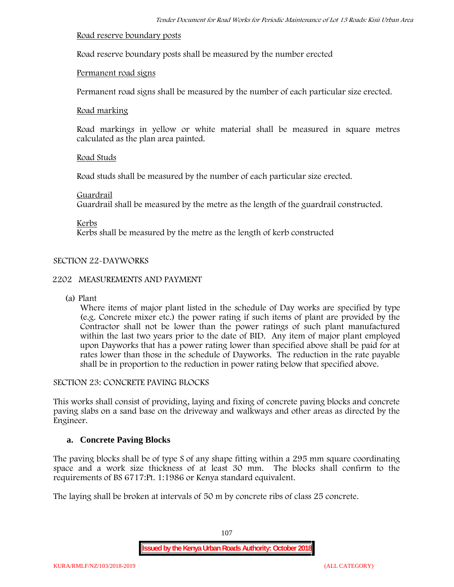### **Road reserve boundary posts**

Road reserve boundary posts shall be measured by the number erected

## **Permanent road signs**

Permanent road signs shall be measured by the number of each particular size erected.

### **Road marking**

Road markings in yellow or white material shall be measured in square metres calculated as the plan area painted.

## **Road Studs**

Road studs shall be measured by the number of each particular size erected.

#### **Guardrail**

Guardrail shall be measured by the metre as the length of the guardrail constructed.

**Kerbs**

Kerbs shall be measured by the metre as the length of kerb constructed

# **SECTION 22-DAYWORKS**

## **2202 MEASUREMENTS AND PAYMENT**

(a) Plant

Where items of major plant listed in the schedule of Day works are specified by type (e.g. Concrete mixer etc.) the power rating if such items of plant are provided by the Contractor shall not be lower than the power ratings of such plant manufactured within the last two years prior to the date of BID. Any item of major plant employed upon Dayworks that has a power rating lower than specified above shall be paid for at rates lower than those in the schedule of Dayworks. The reduction in the rate payable shall be in proportion to the reduction in power rating below that specified above.

## **SECTION 23: CONCRETE PAVING BLOCKS**

This works shall consist of providing, laying and fixing of concrete paving blocks and concrete paving slabs on a sand base on the driveway and walkways and other areas as directed by the Engineer.

## **a. Concrete Paving Blocks**

The paving blocks shall be of type S of any shape fitting within a 295 mm square coordinating space and a work size thickness of at least 30 mm. The blocks shall confirm to the requirements of BS 6717:Pt. 1:1986 or Kenya standard equivalent.

The laying shall be broken at intervals of 50 m by concrete ribs of class 25 concrete.

107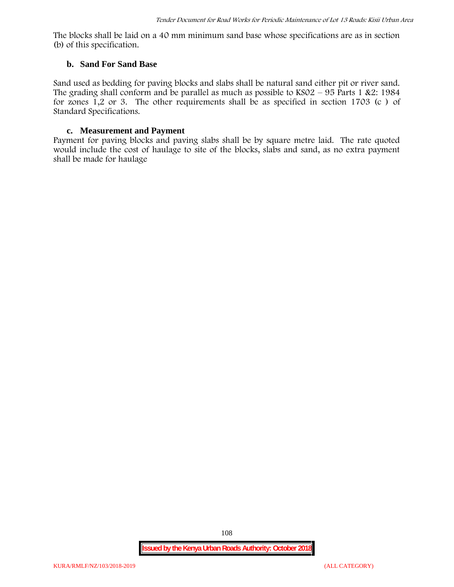The blocks shall be laid on a 40 mm minimum sand base whose specifications are as in section (b) of this specification.

#### **b. Sand For Sand Base**

Sand used as bedding for paving blocks and slabs shall be natural sand either pit or river sand. The grading shall conform and be parallel as much as possible to  $KSO2 - 95$  Parts 1 &2: 1984 for zones  $\tilde{1}, 2$  or 3. The other requirements shall be as specified in section 1703 (c) of Standard Specifications.

#### **c. Measurement and Payment**

Payment for paving blocks and paving slabs shall be by square metre laid. The rate quoted would include the cost of haulage to site of the blocks, slabs and sand, as no extra payment shall be made for haulage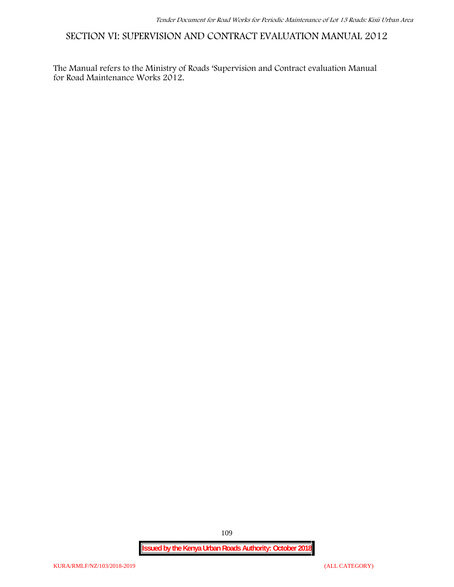**SECTION VI: SUPERVISION AND CONTRACT EVALUATION MANUAL 2012**

The Manual refers to the Ministry of Roads 'Supervision and Contract evaluation Manual for Road Maintenance Works 2012.

**Issued by the Kenya Urban Roads Authority: October 2018**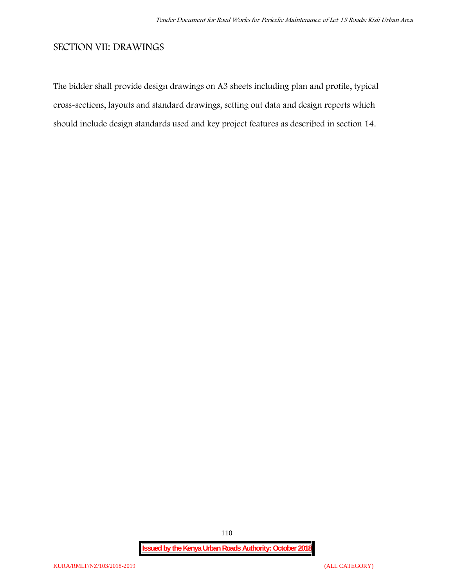# **SECTION VII: DRAWINGS**

The bidder shall provide design drawings on A3 sheets including plan and profile, typical cross-sections, layouts and standard drawings, setting out data and design reports which should include design standards used and key project features as described in section 14.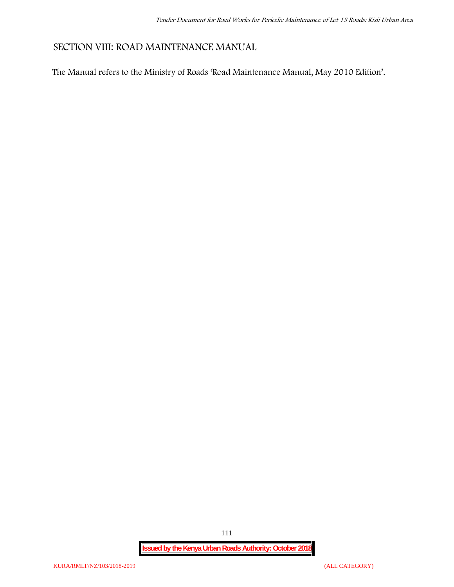# **SECTION VIII: ROAD MAINTENANCE MANUAL**

The Manual refers to the Ministry of Roads 'Road Maintenance Manual, May 2010 Edition'.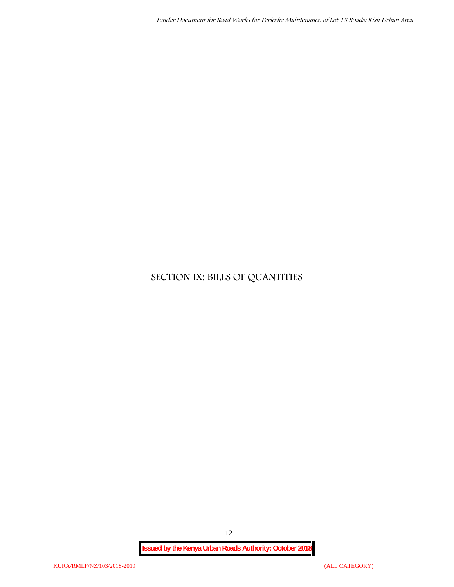# **SECTION IX: BILLS OF QUANTITIES**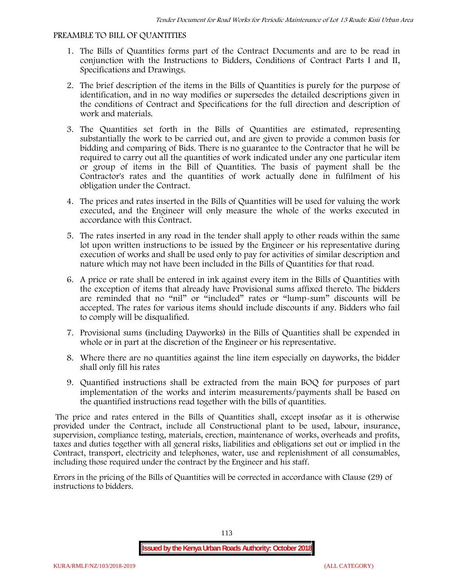#### **PREAMBLE TO BILL OF QUANTITIES**

- 1. The Bills of Quantities forms part of the Contract Documents and are to be read in conjunction with the Instructions to Bidders, Conditions of Contract Parts I and II, Specifications and Drawings.
- 2. The brief description of the items in the Bills of Quantities is purely for the purpose of identification, and in no way modifies or supersedes the detailed descriptions given in the conditions of Contract and Specifications for the full direction and description of work and materials.
- 3. The Quantities set forth in the Bills of Quantities are estimated, representing substantially the work to be carried out, and are given to provide a common basis for bidding and comparing of Bids. There is no guarantee to the Contractor that he will be required to carry out all the quantities of work indicated under any one particular item or group of items in the Bill of Quantities. The basis of payment shall be the Contractor's rates and the quantities of work actually done in fulfilment of his obligation under the Contract.
- 4. The prices and rates inserted in the Bills of Quantities will be used for valuing the work executed, and the Engineer will only measure the whole of the works executed in accordance with this Contract.
- 5. The rates inserted in any road in the tender shall apply to other roads within the same lot upon written instructions to be issued by the Engineer or his representative during execution of works and shall be used only to pay for activities of similar description and nature which may not have been included in the Bills of Quantities for that road.
- 6. A price or rate shall be entered in ink against every item in the Bills of Quantities with the exception of items that already have Provisional sums affixed thereto. The bidders are reminded that no "nil" or "included" rates or "lump-sum" discounts will be accepted. The rates for various items should include discounts if any. Bidders who fail to comply will be disqualified.
- 7. Provisional sums (including Dayworks) in the Bills of Quantities shall be expended in whole or in part at the discretion of the Engineer or his representative.
- 8. Where there are no quantities against the line item especially on dayworks, the bidder shall only fill his rates
- 9. Quantified instructions shall be extracted from the main BOQ for purposes of part implementation of the works and interim measurements/payments shall be based on the quantified instructions read together with the bills of quantities.

The price and rates entered in the Bills of Quantities shall, except insofar as it is otherwise provided under the Contract, include all Constructional plant to be used, labour, insurance, supervision, compliance testing, materials, erection, maintenance of works, overheads and profits, taxes and duties together with all general risks, liabilities and obligations set out or implied in the Contract, transport, electricity and telephones, water, use and replenishment of all consumables, including those required under the contract by the Engineer and his staff.

Errors in the pricing of the Bills of Quantities will be corrected in accordance with Clause (29) of instructions to bidders.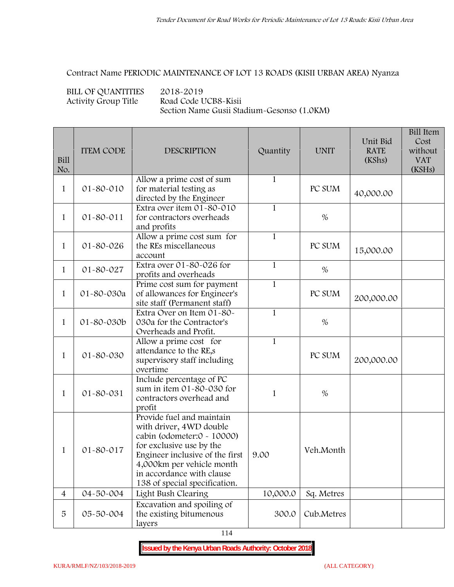#### **Contract Name PERIODIC MAINTENANCE OF LOT 13 ROADS (KISII URBAN AREA) Nyanza**

**BILL OF QUANTITIES 2018-2019**

**Activity Group Title Road Code UCB8-Kisii Section Name Gusii Stadium-Gesonso (1.0KM)**

| Bill<br>No.    | <b>ITEM CODE</b> | <b>DESCRIPTION</b>                                                                                                                                                                                                                           | Quantity     | <b>UNIT</b> | Unit Bid<br><b>RATE</b><br>(KShs) | <b>Bill Item</b><br>Cost<br>without<br><b>VAT</b><br>(KSHs) |
|----------------|------------------|----------------------------------------------------------------------------------------------------------------------------------------------------------------------------------------------------------------------------------------------|--------------|-------------|-----------------------------------|-------------------------------------------------------------|
| $\mathbf{1}$   | 01-80-010        | Allow a prime cost of sum<br>for material testing as<br>directed by the Engineer                                                                                                                                                             | $\mathbf{1}$ | PC SUM      | 40,000.00                         |                                                             |
| $\mathbf{1}$   | $01 - 80 - 011$  | Extra over item 01-80-010<br>for contractors overheads<br>and profits                                                                                                                                                                        | $\mathbf{1}$ | $\%$        |                                   |                                                             |
| $\mathbf{1}$   | 01-80-026        | Allow a prime cost sum for<br>the REs miscellaneous<br>account                                                                                                                                                                               | $\mathbf{1}$ | PC SUM      | 15,000.00                         |                                                             |
| $\mathbf{1}$   | 01-80-027        | Extra over 01-80-026 for<br>profits and overheads                                                                                                                                                                                            | $\mathbf{1}$ | $\%$        |                                   |                                                             |
| 1              | 01-80-030a       | Prime cost sum for payment<br>of allowances for Engineer's<br>site staff (Permanent staff)                                                                                                                                                   | $\mathbf{1}$ | PC SUM      | 200,000.00                        |                                                             |
| $\mathbf{1}$   | 01-80-030b       | Extra Over on Item 01-80-<br>030a for the Contractor's<br>Overheads and Profit.                                                                                                                                                              | $\mathbf{1}$ | $\%$        |                                   |                                                             |
| $\mathbf{1}$   | 01-80-030        | Allow a prime cost for<br>attendance to the RE,s<br>supervisory staff including<br>overtime                                                                                                                                                  | $\mathbf{1}$ | PC SUM      | 200,000.00                        |                                                             |
| $\mathbf{1}$   | $01 - 80 - 031$  | Include percentage of PC<br>sum in item 01-80-030 for<br>contractors overhead and<br>profit                                                                                                                                                  | $\mathbf{1}$ | $\%$        |                                   |                                                             |
| 1              | 01-80-017        | Provide fuel and maintain<br>with driver, 4WD double<br>cabin (odometer:0 - 10000)<br>for exclusive use by the<br>Engineer inclusive of the first<br>4,000km per vehicle month<br>in accordance with clause<br>138 of special specification. | 9.00         | Veh.Month   |                                   |                                                             |
| $\overline{4}$ | 04-50-004        | Light Bush Clearing                                                                                                                                                                                                                          | 10,000.0     | Sq. Metres  |                                   |                                                             |
| 5              | 05-50-004        | Excavation and spoiling of<br>the existing bitumenous<br>layers                                                                                                                                                                              | 300.0        | Cub.Metres  |                                   |                                                             |

114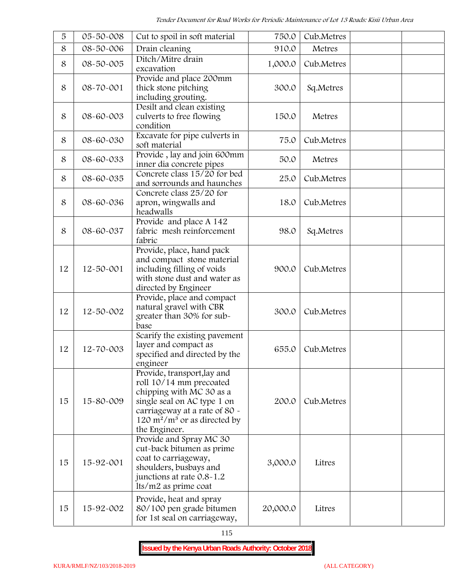| 5  | 05-50-008 | Cut to spoil in soft material                                                                                                                                                                                               | 750.0    | Cub.Metres |  |
|----|-----------|-----------------------------------------------------------------------------------------------------------------------------------------------------------------------------------------------------------------------------|----------|------------|--|
| 8  | 08-50-006 | Drain cleaning                                                                                                                                                                                                              | 910.0    | Metres     |  |
| 8  | 08-50-005 | Ditch/Mitre drain<br>excavation                                                                                                                                                                                             | 1,000.0  | Cub.Metres |  |
| 8  | 08-70-001 | Provide and place 200mm<br>thick stone pitching<br>including grouting.                                                                                                                                                      | 300.0    | Sq.Metres  |  |
| 8  | 08-60-003 | Desilt and clean existing<br>culverts to free flowing<br>condition                                                                                                                                                          | 150.0    | Metres     |  |
| 8  | 08-60-030 | Excavate for pipe culverts in<br>soft material                                                                                                                                                                              | 75.0     | Cub.Metres |  |
| 8  | 08-60-033 | Provide, lay and join 600mm<br>inner dia concrete pipes                                                                                                                                                                     | 50.0     | Metres     |  |
| 8  | 08-60-035 | Concrete class 15/20 for bed<br>and sorrounds and haunches                                                                                                                                                                  | 25.0     | Cub.Metres |  |
| 8  | 08-60-036 | Concrete class 25/20 for<br>apron, wingwalls and<br>headwalls                                                                                                                                                               | 18.0     | Cub.Metres |  |
| 8  | 08-60-037 | Provide and place A 142<br>fabric mesh reinforcement<br>fabric                                                                                                                                                              | 98.0     | Sq.Metres  |  |
| 12 | 12-50-001 | Provide, place, hand pack<br>and compact stone material<br>including filling of voids<br>with stone dust and water as<br>directed by Engineer                                                                               | 900.0    | Cub.Metres |  |
| 12 | 12-50-002 | Provide, place and compact<br>natural gravel with CBR<br>greater than 30% for sub-<br>base                                                                                                                                  | 300.0    | Cub.Metres |  |
| 12 | 12-70-003 | Scarify the existing pavement<br>layer and compact as<br>specified and directed by the<br>engineer                                                                                                                          | 655.0    | Cub.Metres |  |
| 15 | 15-80-009 | Provide, transport, lay and<br>roll 10/14 mm precoated<br>chipping with MC 30 as a<br>single seal on AC type 1 on<br>carriageway at a rate of 80 -<br>120 m <sup>2</sup> /m <sup>3</sup> or as directed by<br>the Engineer. | 200.0    | Cub.Metres |  |
| 15 | 15-92-001 | Provide and Spray MC 30<br>cut-back bitumen as prime<br>coat to carriageway,<br>shoulders, busbays and<br>junctions at rate 0.8-1.2<br>lts/m2 as prime coat                                                                 | 3,000.0  | Litres     |  |
| 15 | 15-92-002 | Provide, heat and spray<br>80/100 pen grade bitumen<br>for 1st seal on carriageway,                                                                                                                                         | 20,000.0 | Litres     |  |

115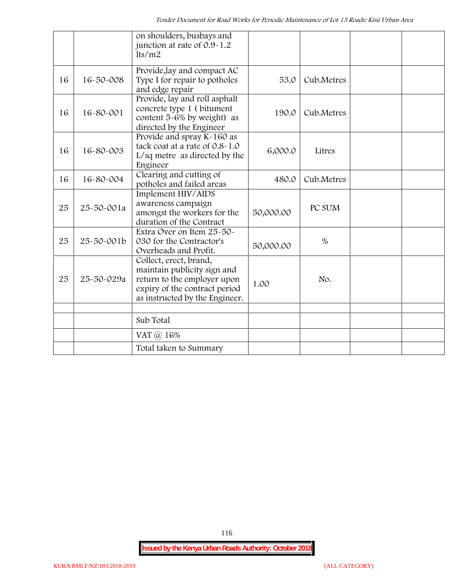|    |            | on shoulders, busbays and<br>junction at rate of 0.9-1.2<br>1ts/m2                                                                                      |           |            |  |
|----|------------|---------------------------------------------------------------------------------------------------------------------------------------------------------|-----------|------------|--|
|    |            |                                                                                                                                                         |           |            |  |
| 16 | 16-50-008  | Provide, lay and compact AC<br>Type I for repair to potholes<br>and edge repair                                                                         | 53.0      | Cub.Metres |  |
| 16 | 16-80-001  | Provide, lay and roll asphalt<br>concrete type 1 (bitument<br>content 5-6% by weight) as<br>directed by the Engineer                                    | 190.0     | Cub.Metres |  |
| 16 | 16-80-003  | Provide and spray K-160 as<br>tack coat at a rate of 0.8-1.0<br>$L/sq$ metre as directed by the<br>Engineer                                             | 6,000.0   | Litres     |  |
| 16 | 16-80-004  | Clearing and cutting of<br>potholes and failed areas                                                                                                    | 480.0     | Cub.Metres |  |
| 25 | 25-50-001a | Implement HIV/AIDS<br>awareness campaign<br>amongst the workers for the<br>duration of the Contract                                                     | 50,000.00 | PC SUM     |  |
| 25 | 25-50-001b | Extra Over on Item 25-50-<br>030 for the Contractor's<br>Overheads and Profit.                                                                          | 50,000.00 | $\%$       |  |
| 25 | 25-50-029a | Collect, erect, brand,<br>maintain publicity sign and<br>return to the employer upon<br>expiry of the contract period<br>as instructed by the Engineer. | 1.00      | No.        |  |
|    |            |                                                                                                                                                         |           |            |  |
|    |            | Sub Total                                                                                                                                               |           |            |  |
|    |            | VAT @ 16%                                                                                                                                               |           |            |  |
|    |            | Total taken to Summary                                                                                                                                  |           |            |  |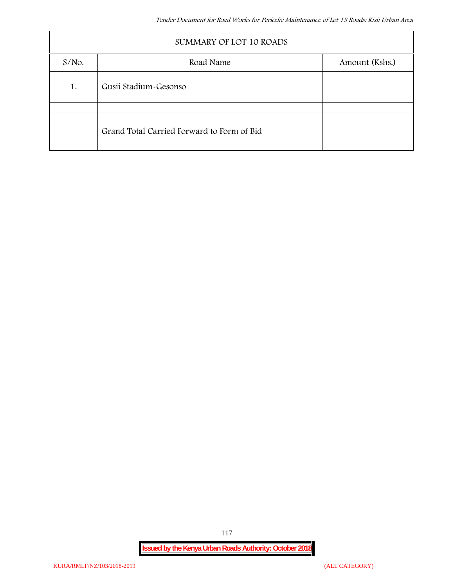$\overline{\phantom{a}}$ 

| SUMMARY OF LOT 10 ROADS |                                            |                |  |
|-------------------------|--------------------------------------------|----------------|--|
| $S/NO$ .                | Road Name                                  | Amount (Kshs.) |  |
| 1.                      | Gusii Stadium-Gesonso                      |                |  |
|                         |                                            |                |  |
|                         | Grand Total Carried Forward to Form of Bid |                |  |

**Issued by the Kenya Urban Roads Authority: October 2018**

 $\overline{1}$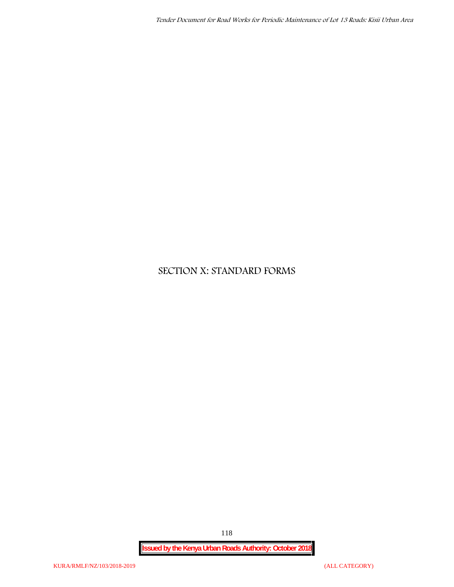# **SECTION X: STANDARD FORMS**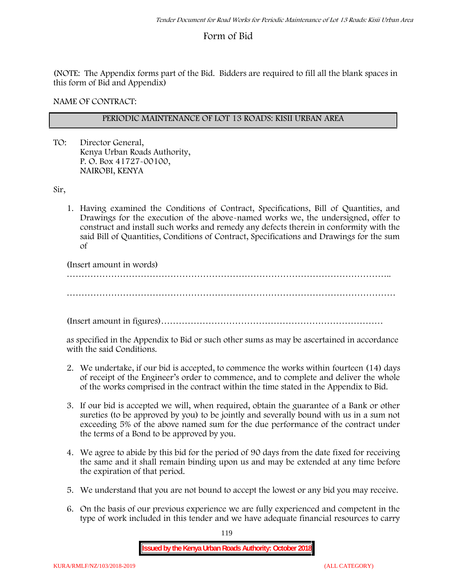# **Form of Bid**

(NOTE: The Appendix forms part of the Bid. Bidders are required to fill all the blank spaces in this form of Bid and Appendix)

**NAME OF CONTRACT:**

### **PERIODIC MAINTENANCE OF LOT 13 ROADS: KISII URBAN AREA**

TO: Director General, Kenya Urban Roads Authority, P. O. Box 41727-00100, **NAIROBI, KENYA**

Sir,

1. Having examined the Conditions of Contract, Specifications, Bill of Quantities, and Drawings for the execution of the above-named works we, the undersigned, offer to construct and install such works and remedy any defects therein in conformity with the said Bill of Quantities, Conditions of Contract, Specifications and Drawings for the sum of

(Insert amount in words)

………………………………………………………………………………………………..

…………………………………………………………………………………………………

(Insert amount in figures)…………………………………………………………………

as specified in the Appendix to Bid or such other sums as may be ascertained in accordance with the said Conditions.

- 2. We undertake, if our bid is accepted, to commence the works within fourteen (14) days of receipt of the Engineer's order to commence, and to complete and deliver the whole of the works comprised in the contract within the time stated in the Appendix to Bid.
- 3. If our bid is accepted we will, when required, obtain the guarantee of a Bank or other sureties (to be approved by you) to be jointly and severally bound with us in a sum not exceeding 5% of the above named sum for the due performance of the contract under the terms of a Bond to be approved by you.
- 4. We agree to abide by this bid for the period of 90 days from the date fixed for receiving the same and it shall remain binding upon us and may be extended at any time before the expiration of that period.
- 5. We understand that you are not bound to accept the lowest or any bid you may receive.
- 6. On the basis of our previous experience we are fully experienced and competent in the type of work included in this tender and we have adequate financial resources to carry

119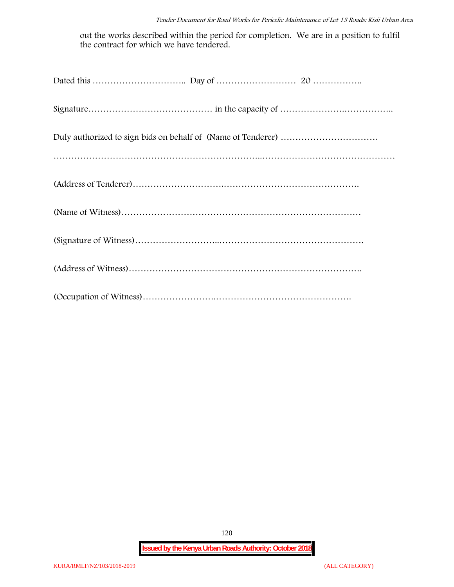out the works described within the period for completion. We are in a position to fulfil the contract for which we have tendered.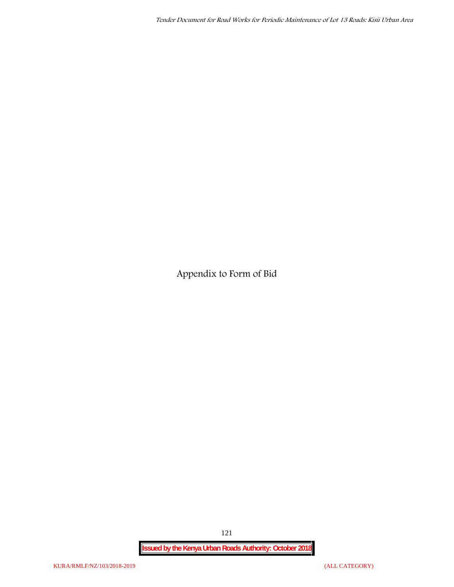**Appendix to Form of Bid**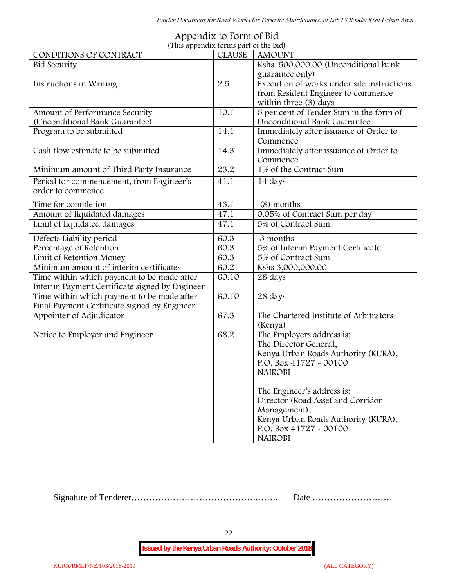| (This appendix forms part of the bid)          |               |                                            |
|------------------------------------------------|---------------|--------------------------------------------|
| CONDITIONS OF CONTRACT                         | <b>CLAUSE</b> | <b>AMOUNT</b>                              |
| <b>Bid Security</b>                            |               | Kshs. 500,000.00 (Unconditional bank       |
|                                                |               | guarantee only)                            |
| Instructions in Writing                        | 2.5           | Execution of works under site instructions |
|                                                |               | from Resident Engineer to commence         |
|                                                |               | within three (3) days                      |
| Amount of Performance Security                 | 10.1          | 5 per cent of Tender Sum in the form of    |
| (Unconditional Bank Guarantee)                 |               | Unconditional Bank Guarantee               |
| Program to be submitted                        | 14.1          | Immediately after issuance of Order to     |
|                                                |               | Commence                                   |
| Cash flow estimate to be submitted             | 14.3          | Immediately after issuance of Order to     |
|                                                |               | Commence                                   |
| Minimum amount of Third Party Insurance        | 23.2          | 1% of the Contract Sum                     |
| Period for commencement, from Engineer's       | 41.1          | 14 days                                    |
| order to commence                              |               |                                            |
| Time for completion                            | 43.1          | (8) months                                 |
| Amount of liquidated damages                   | 47.1          | 0.05% of Contract Sum per day              |
| Limit of liquidated damages                    | 47.1          | 5% of Contract Sum                         |
|                                                |               |                                            |
| Defects Liability period                       | 60.3          | 3 months                                   |
| Percentage of Retention                        | 60.3          | 5% of Interim Payment Certificate          |
| Limit of Retention Money                       | 60.3          | 5% of Contract Sum                         |
| Minimum amount of interim certificates         | 60.2          | Kshs 3,000,000.00                          |
| Time within which payment to be made after     | 60.10         | 28 days                                    |
| Interim Payment Certificate signed by Engineer |               |                                            |
| Time within which payment to be made after     | 60.10         | 28 days                                    |
| Final Payment Certificate signed by Engineer   |               |                                            |
| Appointer of Adjudicator                       | 67.3          | The Chartered Institute of Arbitrators     |
|                                                |               | (Kenya)                                    |
| Notice to Employer and Engineer                | 68.2          | The Employers address is:                  |
|                                                |               | The Director General,                      |
|                                                |               | Kenya Urban Roads Authority (KURA),        |
|                                                |               | P.O. Box 41727 - 00100                     |
|                                                |               | <b>NAIROBI</b>                             |
|                                                |               |                                            |
|                                                |               | The Engineer's address is:                 |
|                                                |               | Director (Road Asset and Corridor          |
|                                                |               | Management),                               |
|                                                |               | Kenya Urban Roads Authority (KURA),        |
|                                                |               | P.O. Box 41727 - 00100                     |
|                                                |               | <b>NAIROBI</b>                             |

# **Appendix to Form of Bid**

Signature of Tenderer…………………………………….……. Date ………………………

122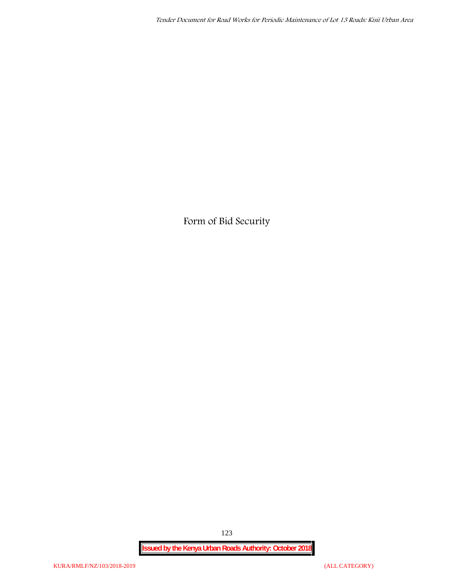**Form of Bid Security**

**Issued by the Kenya Urban Roads Authority: October 2018**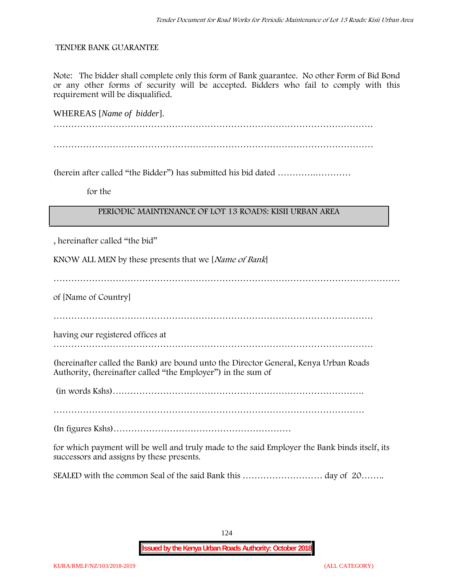#### **TENDER BANK GUARANTEE**

Note: The bidder shall complete only this form of Bank guarantee. No other Form of Bid Bond or any other forms of security will be accepted. Bidders who fail to comply with this requirement will be disqualified.

WHEREAS [*Name of bidder*]. ………………………………………………………………………………………………

(herein after called "the Bidder") has submitted his bid dated ………….…………

**for the**

#### **PERIODIC MAINTENANCE OF LOT 13 ROADS: KISII URBAN AREA**

, hereinafter called "the bid"

KNOW ALL MEN by these presents that we [*Name of Bank*]

………………………………………………………………………………………………………

of [Name of Country]

………………………………………………………………………………………………

having our registered offices at

………………………………………………………………………………………………

(hereinafter called the Bank) are bound unto the Director General, Kenya Urban Roads Authority, (hereinafter called "the Employer") in the sum of

(in words Kshs)………………………………………………………………………….

……………………………………………………………………………………………

(In figures Kshs)……………………………………………………

for which payment will be well and truly made to the said Employer the Bank binds itself, its successors and assigns by these presents.

SEALED with the common Seal of the said Bank this ……………………… day of 20……..

124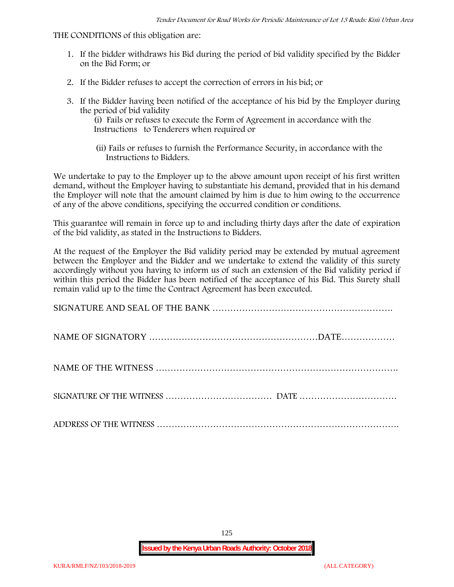#### THE CONDITIONS of this obligation are:

- 1. If the bidder withdraws his Bid during the period of bid validity specified by the Bidder on the Bid Form; or
- 2. If the Bidder refuses to accept the correction of errors in his bid; or
- 3. If the Bidder having been notified of the acceptance of his bid by the Employer during the period of bid validity

(i) Fails or refuses to execute the Form of Agreement in accordance with the Instructions to Tenderers when required or

(ii) Fails or refuses to furnish the Performance Security, in accordance with the Instructions to Bidders.

We undertake to pay to the Employer up to the above amount upon receipt of his first written demand, without the Employer having to substantiate his demand, provided that in his demand the Employer will note that the amount claimed by him is due to him owing to the occurrence of any of the above conditions, specifying the occurred condition or conditions.

This guarantee will remain in force up to and including thirty days after the date of expiration of the bid validity, as stated in the Instructions to Bidders.

At the request of the Employer the Bid validity period may be extended by mutual agreement between the Employer and the Bidder and we undertake to extend the validity of this surety accordingly without you having to inform us of such an extension of the Bid validity period if within this period the Bidder has been notified of the acceptance of his Bid. This Surety shall remain valid up to the time the Contract Agreement has been executed.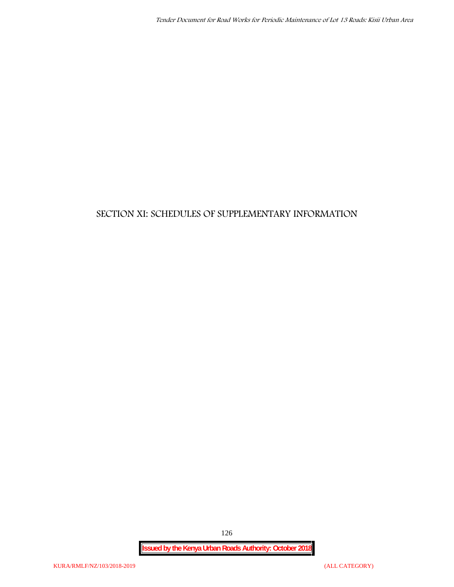# **SECTION XI: SCHEDULES OF SUPPLEMENTARY INFORMATION**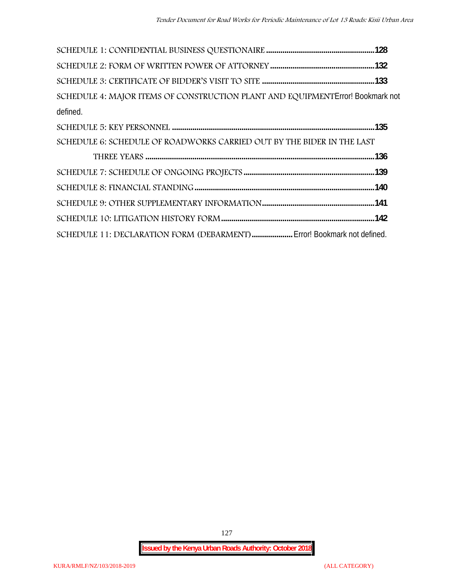| SCHEDULE 4: MAJOR ITEMS OF CONSTRUCTION PLANT AND EQUIPMENT Error! Bookmark not |  |
|---------------------------------------------------------------------------------|--|
| defined.                                                                        |  |
|                                                                                 |  |
| SCHEDULE 6: SCHEDULE OF ROADWORKS CARRIED OUT BY THE BIDER IN THE LAST          |  |
|                                                                                 |  |
|                                                                                 |  |
|                                                                                 |  |
|                                                                                 |  |
|                                                                                 |  |
| SCHEDULE 11: DECLARATION FORM (DEBARMENT) Error! Bookmark not defined.          |  |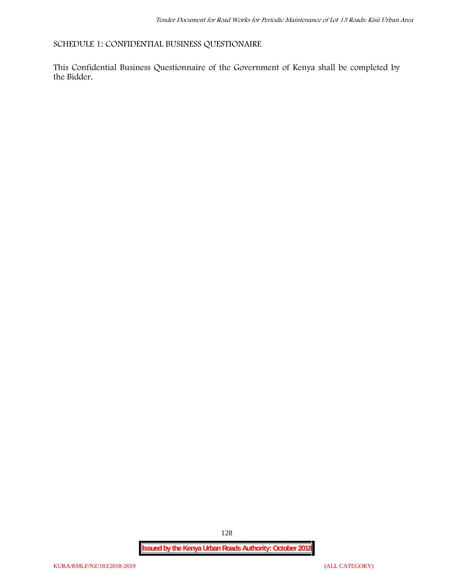### **SCHEDULE 1: CONFIDENTIAL BUSINESS QUESTIONAIRE**

This Confidential Business Questionnaire of the Government of Kenya shall be completed by the Bidder.

**Issued by the Kenya Urban Roads Authority: October 2018**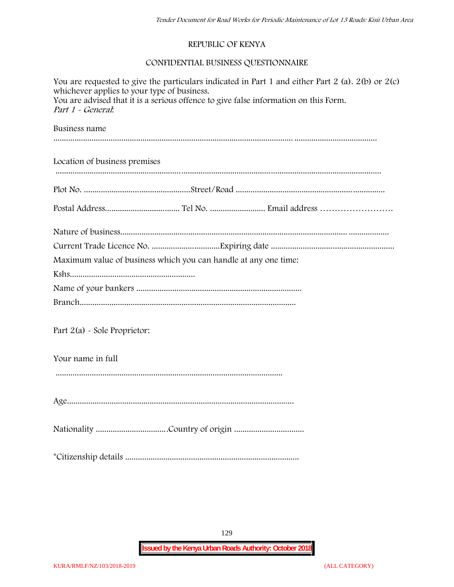#### **REPUBLIC OF KENYA**

### **CONFIDENTIAL BUSINESS QUESTIONNAIRE**

| You are requested to give the particulars indicated in Part 1 and either Part 2 (a). $2(b)$ or $2(c)$<br>whichever applies to your type of business.<br>You are advised that it is a serious offence to give false information on this Form.<br>Part 1 - General: |  |  |  |  |
|-------------------------------------------------------------------------------------------------------------------------------------------------------------------------------------------------------------------------------------------------------------------|--|--|--|--|
| Business name                                                                                                                                                                                                                                                     |  |  |  |  |
| Location of business premises                                                                                                                                                                                                                                     |  |  |  |  |
|                                                                                                                                                                                                                                                                   |  |  |  |  |
|                                                                                                                                                                                                                                                                   |  |  |  |  |
|                                                                                                                                                                                                                                                                   |  |  |  |  |
|                                                                                                                                                                                                                                                                   |  |  |  |  |
| Maximum value of business which you can handle at any one time:                                                                                                                                                                                                   |  |  |  |  |
|                                                                                                                                                                                                                                                                   |  |  |  |  |
|                                                                                                                                                                                                                                                                   |  |  |  |  |
|                                                                                                                                                                                                                                                                   |  |  |  |  |
| Part $2(a)$ - Sole Proprietor:                                                                                                                                                                                                                                    |  |  |  |  |
| Your name in full                                                                                                                                                                                                                                                 |  |  |  |  |
|                                                                                                                                                                                                                                                                   |  |  |  |  |
|                                                                                                                                                                                                                                                                   |  |  |  |  |
|                                                                                                                                                                                                                                                                   |  |  |  |  |
|                                                                                                                                                                                                                                                                   |  |  |  |  |

129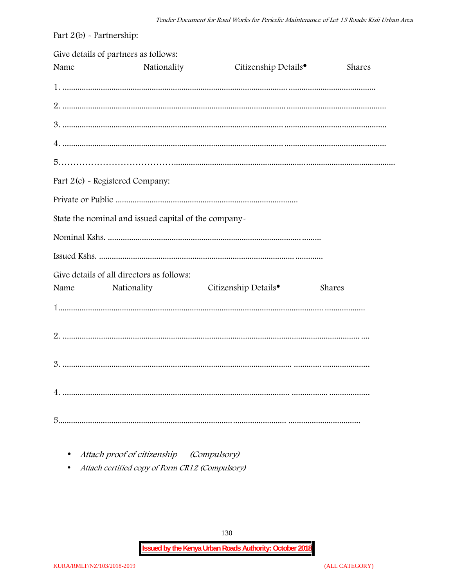| Part $2(b)$ - Partnership: |                                                      |                                  |        |
|----------------------------|------------------------------------------------------|----------------------------------|--------|
| Name                       | Give details of partners as follows:<br>Nationality  | Citizenship Details <sup>•</sup> | Shares |
|                            |                                                      |                                  |        |
|                            |                                                      |                                  |        |
|                            |                                                      |                                  |        |
|                            |                                                      |                                  |        |
|                            |                                                      |                                  |        |
|                            | Part 2(c) - Registered Company:                      |                                  |        |
|                            |                                                      |                                  |        |
|                            | State the nominal and issued capital of the company- |                                  |        |
|                            |                                                      |                                  |        |
|                            |                                                      |                                  |        |
|                            | Give details of all directors as follows:            |                                  |        |
| Name                       | Nationality                                          | Citizenship Details <sup>•</sup> | Shares |
|                            |                                                      |                                  |        |
|                            |                                                      |                                  |        |
|                            |                                                      |                                  |        |
|                            |                                                      |                                  |        |
|                            |                                                      |                                  |        |

• Attach proof of citizenship (Compulsory)

• Attach certified copy of Form CR12 (Compulsory)

130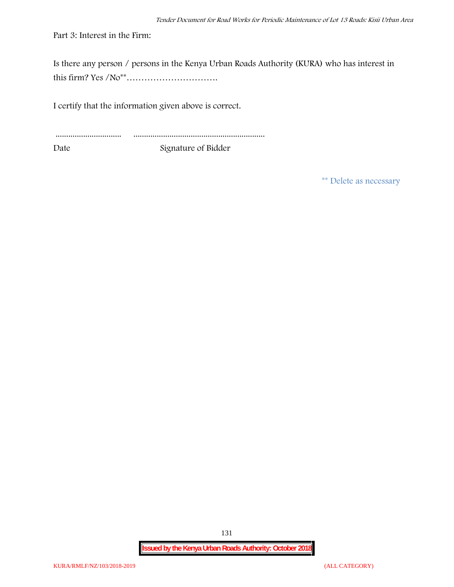Part 3: Interest in the Firm:

Is there any person / persons in the Kenya Urban Roads Authority (KURA) who has interest in this firm? Yes /No\*\*………………………….

I certify that the information given above is correct.

............................... .............................................................. Date Signature of Bidder

**\*\* Delete as necessary**

**Issued by the Kenya Urban Roads Authority: October 2018**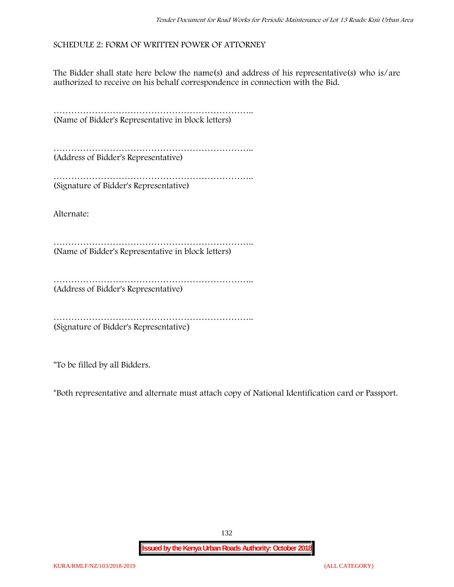#### **SCHEDULE 2: FORM OF WRITTEN POWER OF ATTORNEY**

The Bidder shall state here below the name(s) and address of his representative(s) who is/are authorized to receive on his behalf correspondence in connection with the Bid.

………………………………………………………….. (Name of Bidder's Representative in block letters)

………………………………………………………….. (Address of Bidder's Representative)

………………………………………………………….. (Signature of Bidder's Representative)

Alternate:

………………………………………………………….. (Name of Bidder's Representative in block letters)

……………………………………………………………………… (Address of Bidder's Representative)

………………………………………………………….. (Signature of Bidder's Representative)

\*To be filled by all Bidders.

\*Both representative and alternate **must** attach copy of National Identification card or Passport.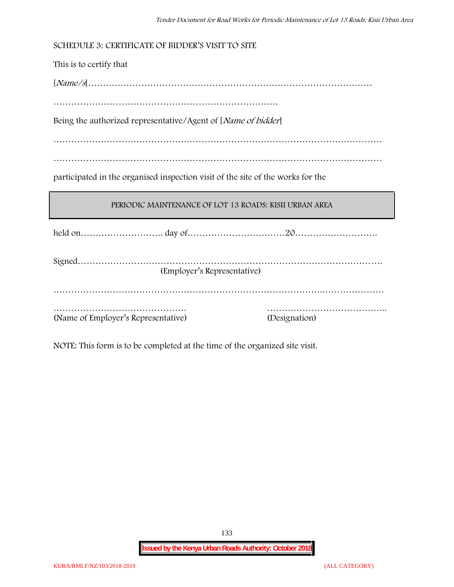| SCHEDULE 3: CERTIFICATE OF BIDDER'S VISIT TO SITE                               |  |  |  |
|---------------------------------------------------------------------------------|--|--|--|
| This is to certify that                                                         |  |  |  |
|                                                                                 |  |  |  |
|                                                                                 |  |  |  |
| Being the authorized representative/Agent of [Name of bidder]                   |  |  |  |
|                                                                                 |  |  |  |
|                                                                                 |  |  |  |
| participated in the organised inspection visit of the site of the works for the |  |  |  |
|                                                                                 |  |  |  |
| PERIODIC MAINTENANCE OF LOT 13 ROADS: KISII URBAN AREA                          |  |  |  |
|                                                                                 |  |  |  |
| (Employer's Representative)                                                     |  |  |  |
|                                                                                 |  |  |  |

NOTE: This form is to be completed at the time of the organized site visit.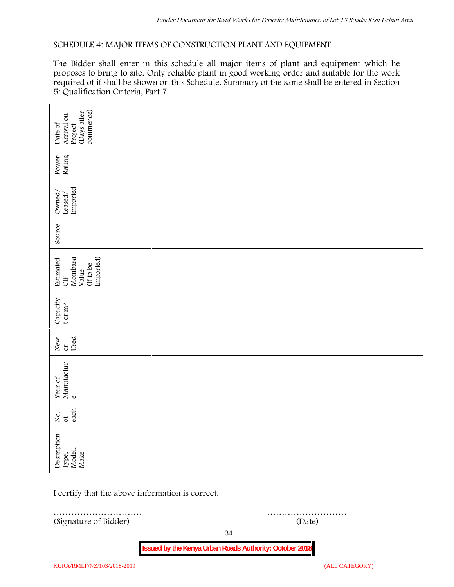#### **SCHEDULE 4: MAJOR ITEMS OF CONSTRUCTION PLANT AND EQUIPMENT**

The Bidder shall enter in this schedule all major items of plant and equipment which he proposes to bring to site. Only reliable plant in good working order and suitable for the work required of it shall be shown on this Schedule. Summary of the same shall be entered in Section 5: Qualification Criteria, Part 7.

| commence)<br>(Days after<br>Arrival on<br>Date of<br>Project   |        |
|----------------------------------------------------------------|--------|
| Power<br>Rating                                                |        |
| Leased/<br>Imported<br>Owned/                                  |        |
| Source                                                         |        |
| Imported)<br>Estimated<br>CIF<br>Mombasa<br>(If to be<br>Value |        |
| Capacity t or $\mathbf{m}^3$                                   |        |
| Used<br>New or                                                 |        |
| Year of Manufactur $_{\rm e}$                                  |        |
| each<br>Σό.                                                    |        |
| Description<br>Type,<br>Model,<br>Make                         |        |
| I certify that the above information is correct.               |        |
| .<br>(Signature of Bidder)                                     | (Date) |

134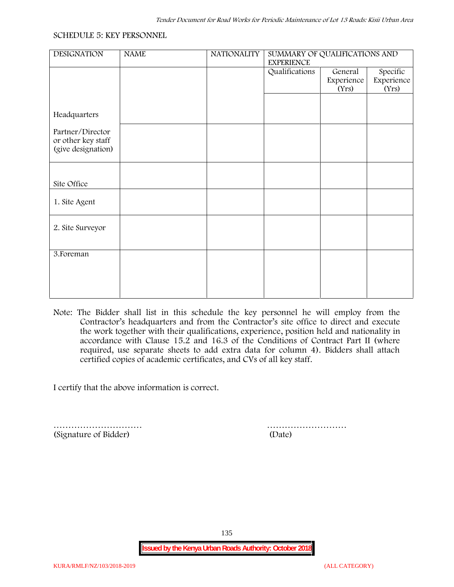#### **SCHEDULE 5: KEY PERSONNEL**

| <b>DESIGNATION</b>                                           | <b>NAME</b> | <b>NATIONALITY</b> | SUMMARY OF QUALIFICATIONS AND<br><b>EXPERIENCE</b> |                                |                                 |  |
|--------------------------------------------------------------|-------------|--------------------|----------------------------------------------------|--------------------------------|---------------------------------|--|
|                                                              |             |                    | Qualifications                                     | General<br>Experience<br>(Yrs) | Specific<br>Experience<br>(Yrs) |  |
| Headquarters                                                 |             |                    |                                                    |                                |                                 |  |
| Partner/Director<br>or other key staff<br>(give designation) |             |                    |                                                    |                                |                                 |  |
| Site Office                                                  |             |                    |                                                    |                                |                                 |  |
| 1. Site Agent                                                |             |                    |                                                    |                                |                                 |  |
| 2. Site Surveyor                                             |             |                    |                                                    |                                |                                 |  |
| 3. Foreman                                                   |             |                    |                                                    |                                |                                 |  |
|                                                              |             |                    |                                                    |                                |                                 |  |

**Note:** The Bidder shall list in this schedule the key personnel he will employ from the Contractor's headquarters and from the Contractor's site office to direct and execute the work together with their qualifications, experience, position held and nationality in accordance with Clause 15.2 and 16.3 of the Conditions of Contract Part II (where required, use separate sheets to add extra data for column 4). Bidders shall attach certified copies of academic certificates, and CVs of all key staff.

I certify that the above information is correct.

(Signature of Bidder) (Date)

………………………… ………………………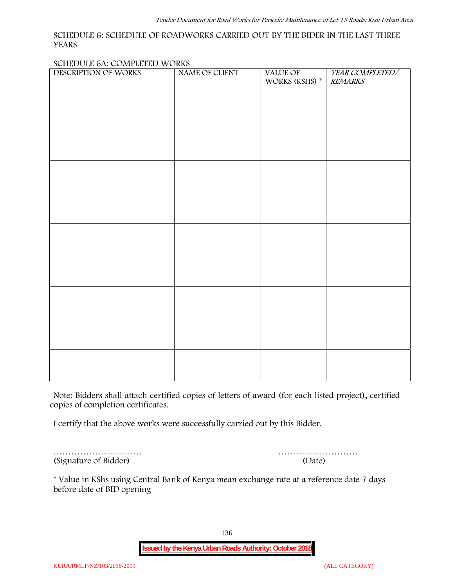#### **SCHEDULE 6: SCHEDULE OF ROADWORKS CARRIED OUT BY THE BIDER IN THE LAST THREE YEARS**

#### **SCHEDULE 6A: COMPLETED WORKS**

| DESCRIPTION OF WORKS | NAME OF CLIENT | VALUE OF<br>WORKS (KSHS) * | YEAR COMPLETED/<br><b>REMARKS</b> |
|----------------------|----------------|----------------------------|-----------------------------------|
|                      |                |                            |                                   |
|                      |                |                            |                                   |
|                      |                |                            |                                   |
|                      |                |                            |                                   |
|                      |                |                            |                                   |
|                      |                |                            |                                   |
|                      |                |                            |                                   |
|                      |                |                            |                                   |
|                      |                |                            |                                   |
|                      |                |                            |                                   |
|                      |                |                            |                                   |
|                      |                |                            |                                   |
|                      |                |                            |                                   |
|                      |                |                            |                                   |
|                      |                |                            |                                   |
|                      |                |                            |                                   |

**Note:** Bidders shall attach certified copies of letters of award (for each listed project), certified copies of completion certificates.

I certify that the above works were successfully carried out by this Bidder.

(Signature of Bidder) (Date)

………………………… ………………………

\* **Value in KShs using Central Bank of Kenya mean exchange rate at a reference date 7 days before date of BID opening**

136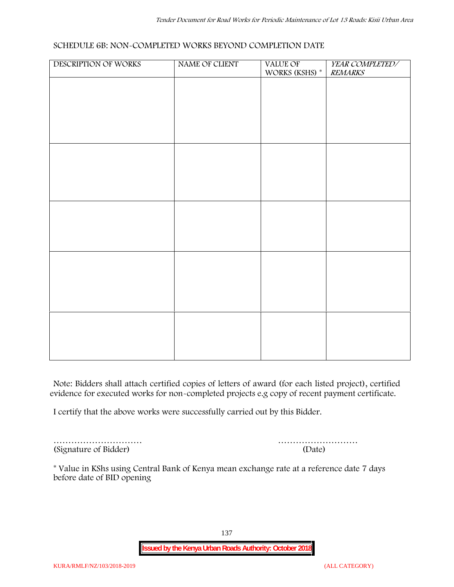#### **SCHEDULE 6B: NON-COMPLETED WORKS BEYOND COMPLETION DATE**

| DESCRIPTION OF WORKS | NAME OF CLIENT | VALUE OF<br>WORKS (KSHS) * | YEAR COMPLETED/<br><b>REMARKS</b> |
|----------------------|----------------|----------------------------|-----------------------------------|
|                      |                |                            |                                   |
|                      |                |                            |                                   |
|                      |                |                            |                                   |
|                      |                |                            |                                   |
|                      |                |                            |                                   |
|                      |                |                            |                                   |
|                      |                |                            |                                   |
|                      |                |                            |                                   |
|                      |                |                            |                                   |
|                      |                |                            |                                   |
|                      |                |                            |                                   |
|                      |                |                            |                                   |
|                      |                |                            |                                   |
|                      |                |                            |                                   |
|                      |                |                            |                                   |
|                      |                |                            |                                   |
|                      |                |                            |                                   |
|                      |                |                            |                                   |
|                      |                |                            |                                   |

**Note:** Bidders shall attach certified copies of letters of award (for each listed project), certified evidence for executed works for non-completed projects e.g copy of recent payment certificate.

I certify that the above works were successfully carried out by this Bidder.

(Signature of Bidder) (Date)

………………………… ………………………

\* **Value in KShs using Central Bank of Kenya mean exchange rate at a reference date 7 days before date of BID opening**

137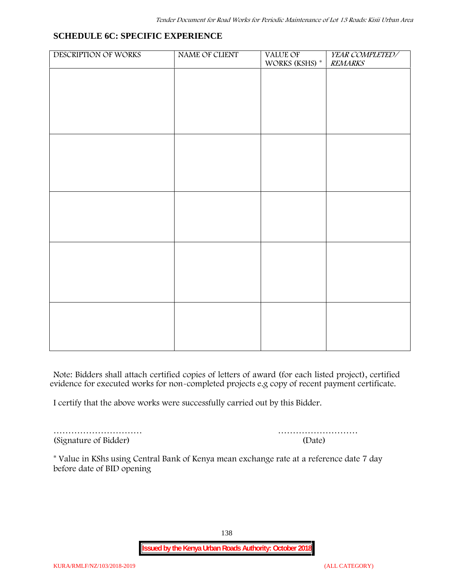| DESCRIPTION OF WORKS | NAME OF CLIENT | VALUE OF<br>WORKS (KSHS) * | YEAR COMPLETED/<br><b>REMARKS</b> |
|----------------------|----------------|----------------------------|-----------------------------------|
|                      |                |                            |                                   |
|                      |                |                            |                                   |
|                      |                |                            |                                   |
|                      |                |                            |                                   |
|                      |                |                            |                                   |
|                      |                |                            |                                   |
|                      |                |                            |                                   |
|                      |                |                            |                                   |
|                      |                |                            |                                   |
|                      |                |                            |                                   |
|                      |                |                            |                                   |
|                      |                |                            |                                   |
|                      |                |                            |                                   |
|                      |                |                            |                                   |
|                      |                |                            |                                   |
|                      |                |                            |                                   |

**Note:** Bidders shall attach certified copies of letters of award (for each listed project), certified evidence for executed works for non-completed projects e.g copy of recent payment certificate.

I certify that the above works were successfully carried out by this Bidder.

(Signature of Bidder) (Date)

………………………… ………………………

\* **Value in KShs using Central Bank of Kenya mean exchange rate at a reference date 7 day before date of BID opening**

138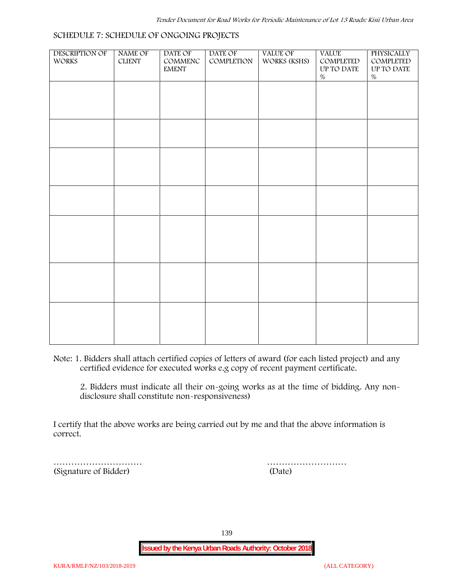| <b>DESCRIPTION OF</b><br><b>WORKS</b> | NAME OF<br><b>CLIENT</b> | DATE OF<br>COMMENC<br><b>EMENT</b> | DATE OF<br>COMPLETION | VALUE OF<br>WORKS (KSHS) | <b>VALUE</b><br>COMPLETED<br>UP TO DATE<br>$\%$ | PHYSICALLY<br>COMPLETED<br>UP TO DATE<br>$\%$ |  |
|---------------------------------------|--------------------------|------------------------------------|-----------------------|--------------------------|-------------------------------------------------|-----------------------------------------------|--|
|                                       |                          |                                    |                       |                          |                                                 |                                               |  |
|                                       |                          |                                    |                       |                          |                                                 |                                               |  |
|                                       |                          |                                    |                       |                          |                                                 |                                               |  |
|                                       |                          |                                    |                       |                          |                                                 |                                               |  |
|                                       |                          |                                    |                       |                          |                                                 |                                               |  |
|                                       |                          |                                    |                       |                          |                                                 |                                               |  |
|                                       |                          |                                    |                       |                          |                                                 |                                               |  |
|                                       |                          |                                    |                       |                          |                                                 |                                               |  |

#### **SCHEDULE 7: SCHEDULE OF ONGOING PROJECTS**

**Note:** 1. Bidders shall attach certified copies of letters of award (for each listed project) and any certified evidence for executed works e.g copy of recent payment certificate.

2. Bidders must indicate all their on-going works as at the time of bidding. Any non disclosure shall constitute non-responsiveness)

I certify that the above works are being carried out by me and that the above information is correct.

(Signature of Bidder) (Date)

………………………… ………………………

139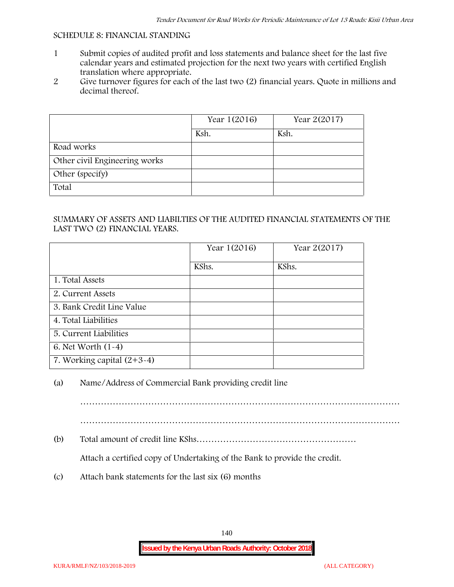#### **SCHEDULE 8: FINANCIAL STANDING**

- 1 Submit copies of audited profit and loss statements and balance sheet for the last five calendar years and estimated projection for the next two years with certified English translation where appropriate.
- 2 Give turnover figures for each of the last two (2) financial years. Quote in millions and decimal thereof.

|                               | Year 1(2016) | Year 2(2017) |
|-------------------------------|--------------|--------------|
|                               | Ksh.         | Ksh.         |
| Road works                    |              |              |
| Other civil Engineering works |              |              |
| Other (specify)               |              |              |
| Total                         |              |              |

#### SUMMARY OF ASSETS AND LIABILTIES OF THE AUDITED FINANCIAL STATEMENTS OF THE LAST TWO (2) FINANCIAL YEARS.

|                              | Year 1(2016) | Year 2(2017) |
|------------------------------|--------------|--------------|
|                              | KShs.        | KShs.        |
| 1. Total Assets              |              |              |
| 2. Current Assets            |              |              |
| 3. Bank Credit Line Value    |              |              |
| 4. Total Liabilities         |              |              |
| 5. Current Liabilities       |              |              |
| 6. Net Worth $(1-4)$         |              |              |
| 7. Working capital $(2+3-4)$ |              |              |

#### (a) Name/Address of Commercial Bank providing credit line

………………………………………………………………………………………………

………………………………………………………………………………………………

(b) Total amount of credit line KShs………………………………………………

Attach a certified copy of Undertaking of the Bank to provide the credit.

(c) Attach bank statements for the last six (6) months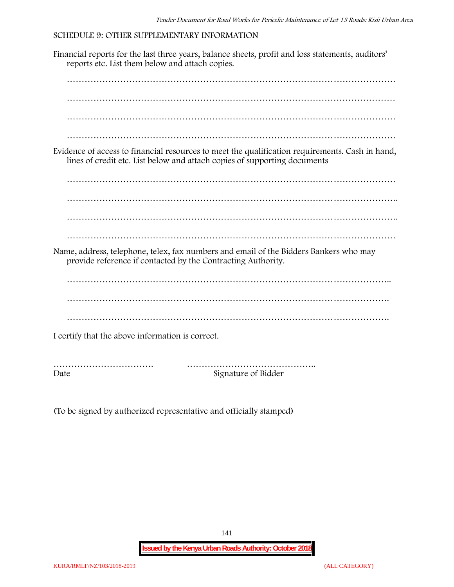#### **SCHEDULE 9: OTHER SUPPLEMENTARY INFORMATION**

Financial reports for the last three years, balance sheets, profit and loss statements, auditors' reports etc. List them below and attach copies. ………………………………………………………………………………………………… ………………………………………………………………………………………………… ………………………………………………………………………………………………… ………………………………………………………………………………………………… Evidence of access to financial resources to meet the qualification requirements. Cash in hand, lines of credit etc. List below and attach copies of supporting documents ………………………………………………………………………………………………… …………………………………………………………………………………………………. ………………………………………………………………………………………………… Name, address, telephone, telex, fax numbers and email of the Bidders Bankers who may provide reference if contacted by the Contracting Authority. ……………………………………………………………………………………………….. ………………………………………………………………………………………………. ………………………………………………………………………………………………. I certify that the above information is correct. ……………………………. …………………………………….. Date Signature of Bidder

(To be signed by authorized representative and officially stamped)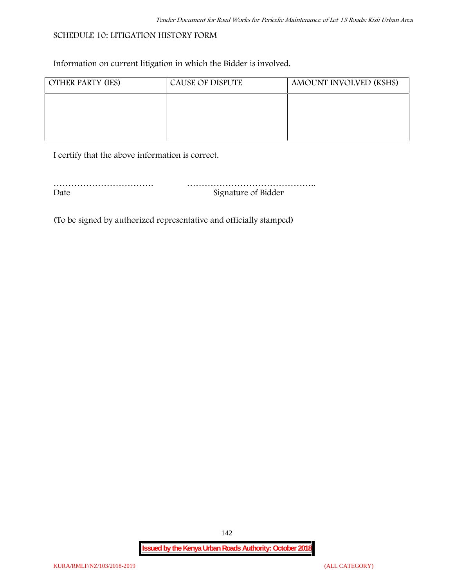#### **SCHEDULE 10: LITIGATION HISTORY FORM**

Information on current litigation in which the Bidder is involved.

| <b>OTHER PARTY (IES)</b> | <b>CAUSE OF DISPUTE</b> | AMOUNT INVOLVED (KSHS) |
|--------------------------|-------------------------|------------------------|
|                          |                         |                        |
|                          |                         |                        |
|                          |                         |                        |

I certify that the above information is correct.

| Date | Signature of Bidder |
|------|---------------------|

(To be signed by authorized representative and officially stamped)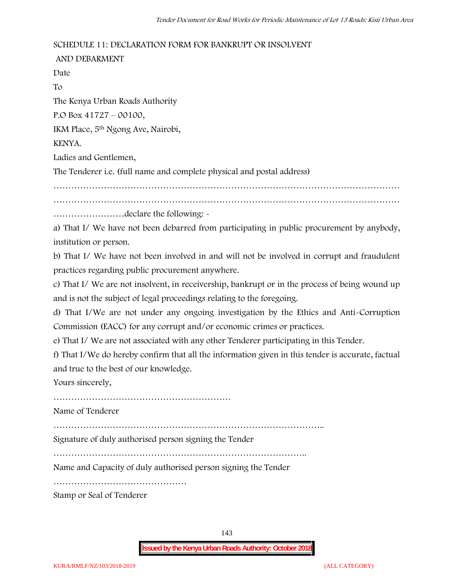#### **SCHEDULE 11: DECLARATION FORM FOR BANKRUPT OR INSOLVENT**

**AND DEBARMENT** Date To The Kenya Urban Roads Authority P.O Box 41727 – 00100, IKM Place, 5th Ngong Ave, Nairobi, KENYA. Ladies and Gentlemen, The Tenderer i.e. (full name and complete physical and postal address) ……………………………………………………………………………………………………… ……………………declare the following: -

a) That I/ We have not been debarred from participating in public procurement by anybody, institution or person.

b) That I/ We have not been involved in and will not be involved in corrupt and fraudulent practices regarding public procurement anywhere.

c) That I/ We are not insolvent, in receivership, bankrupt or in the process of being wound up and is not the subject of legal proceedings relating to the foregoing.

d) That I/We are not under any ongoing investigation by the Ethics and Anti-Corruption Commission (EACC) for any corrupt and/or economic crimes or practices.

e) That I/ We are not associated with any other Tenderer participating in this Tender.

f) That I/We do hereby confirm that all the information given in this tender is accurate, factual and true to the best of our knowledge.

Yours sincerely,

……………………………………………………

Name of Tenderer

………………………………………………………………………………..

Signature of duly authorised person signing the Tender

…………………………………………………………………………..

Name and Capacity of duly authorised person signing the Tender

………………………………………

Stamp or Seal of Tenderer

143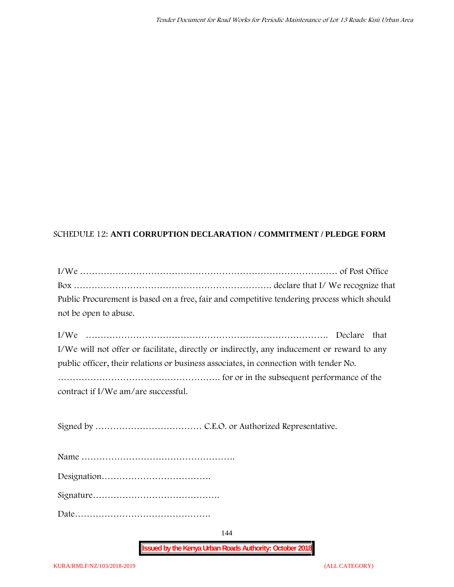## **SCHEDULE 12: ANTI CORRUPTION DECLARATION / COMMITMENT / PLEDGE FORM**

I/We …………………………………………………………………………… of Post Office Box …………………………………………………………. declare that I/ We recognize that Public Procurement is based on a free, fair and competitive tendering process which should not be open to abuse.

I/We ………………………………………………………………………. Declare that I/We will not offer or facilitate, directly or indirectly, any inducement or reward to any public officer, their relations or business associates, in connection with tender No. ………………………………………………. for or in the subsequent performance of the contract if I/We am/are successful.

Signed by ……………………………… C.E.O. or Authorized Representative.

144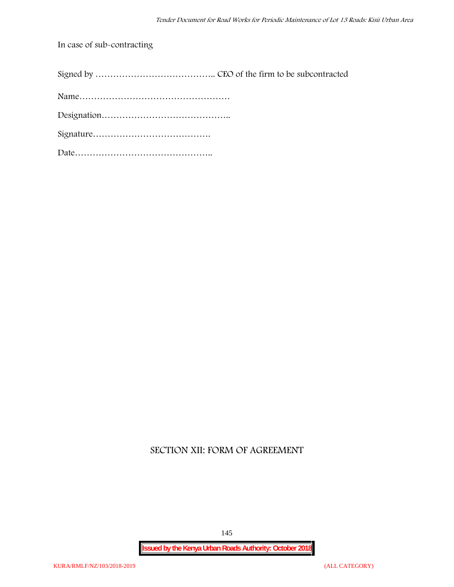**In case of sub-contracting**

Signed by ………………………………….. CEO of the firm to be subcontracted

Name……………………………………………

Designation……………………………………..

Signature………………………………….

Date………………………………………..

## **SECTION XII: FORM OF AGREEMENT**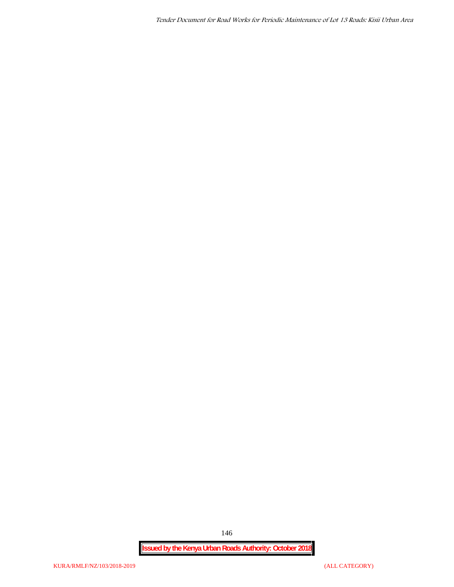*Tender Document for Road Works for Periodic Maintenance of Lot 13 Roads: Kisii Urban Area*

**Issued by the Kenya Urban Roads Authority: October 2018**

146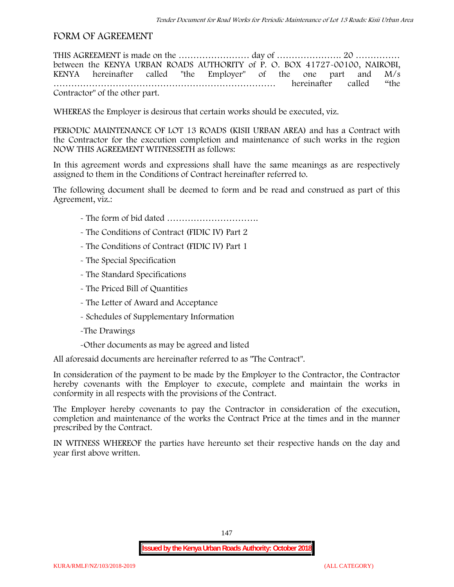## **FORM OF AGREEMENT**

THIS AGREEMENT is made on the …………………… day of …………………. 20 …………… between the **KENYA URBAN ROADS AUTHORITY** of **P. O. BOX 41727-00100, NAIROBI, KENYA** hereinafter called "the Employer" of the one part and **M/s …………………………………………………………………** hereinafter called "the Contractor" of the other part.

WHEREAS the Employer is desirous that certain works should be executed, viz.

**PERIODIC MAINTENANCE OF LOT 13 ROADS (KISII URBAN AREA)** and has a Contract with the Contractor for the execution completion and maintenance of such works in the region NOW THIS AGREEMENT WITNESSETH as follows:

In this agreement words and expressions shall have the same meanings as are respectively assigned to them in the Conditions of Contract hereinafter referred to.

The following document shall be deemed to form and be read and construed as part of this Agreement, viz.:

- The form of bid dated **………………………….**
- The Conditions of Contract (FIDIC IV) Part 2
- The Conditions of Contract (FIDIC IV) Part 1
- The Special Specification
- The Standard Specifications
- The Priced Bill of Quantities
- The Letter of Award and Acceptance
- Schedules of Supplementary Information
- -The Drawings
- -Other documents as may be agreed and listed

All aforesaid documents are hereinafter referred to as "The Contract".

In consideration of the payment to be made by the Employer to the Contractor, the Contractor hereby covenants with the Employer to execute, complete and maintain the works in conformity in all respects with the provisions of the Contract.

The Employer hereby covenants to pay the Contractor in consideration of the execution, completion and maintenance of the works the Contract Price at the times and in the manner prescribed by the Contract.

IN WITNESS WHEREOF the parties have hereunto set their respective hands on the day and year first above written.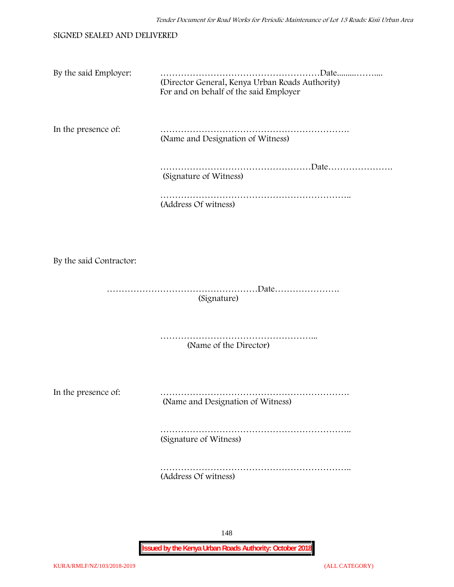#### SIGNED SEALED AND DELIVERED

| By the said Employer:   | (Director General, Kenya Urban Roads Authority)<br>For and on behalf of the said Employer |
|-------------------------|-------------------------------------------------------------------------------------------|
| In the presence of:     | (Name and Designation of Witness)                                                         |
|                         | (Signature of Witness)                                                                    |
|                         | (Address Of witness)                                                                      |
|                         |                                                                                           |
| By the said Contractor: |                                                                                           |
|                         | (Signature)                                                                               |
|                         | (Name of the Director)                                                                    |
| In the presence of:     | (Name and Designation of Witness)                                                         |
|                         | (Signature of Witness)                                                                    |
|                         | (Address Of witness)                                                                      |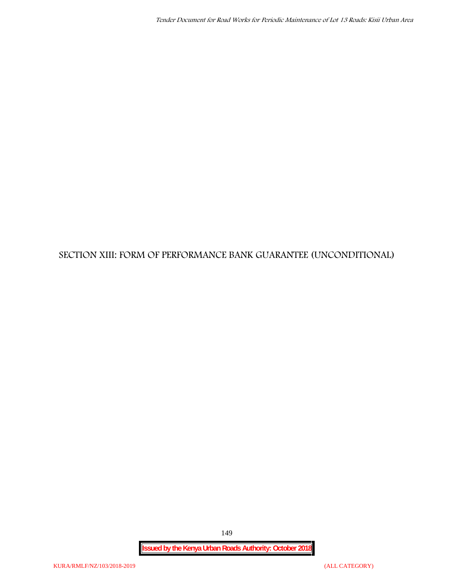# **SECTION XIII: FORM OF PERFORMANCE BANK GUARANTEE (UNCONDITIONAL)**